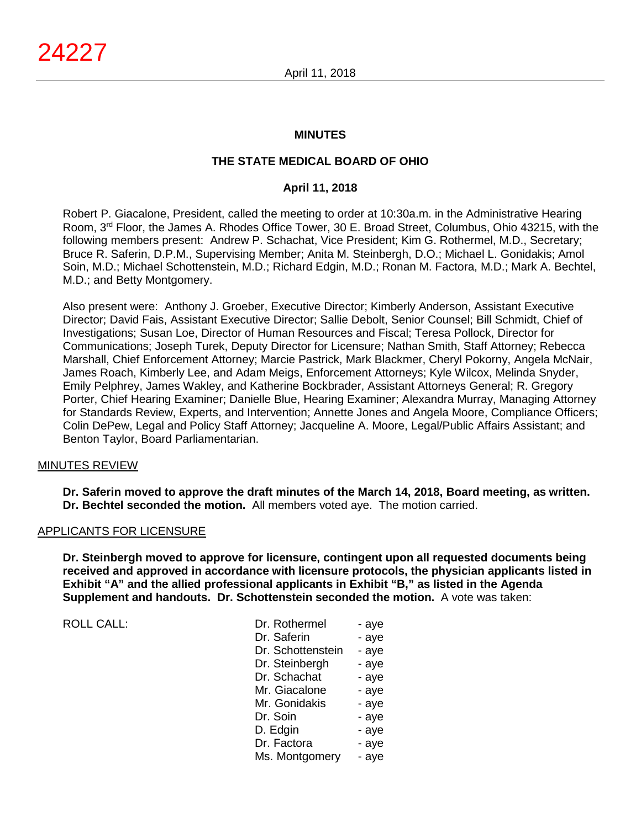# **MINUTES**

# **THE STATE MEDICAL BOARD OF OHIO**

# **April 11, 2018**

Robert P. Giacalone, President, called the meeting to order at 10:30a.m. in the Administrative Hearing Room, 3rd Floor, the James A. Rhodes Office Tower, 30 E. Broad Street, Columbus, Ohio 43215, with the following members present: Andrew P. Schachat, Vice President; Kim G. Rothermel, M.D., Secretary; Bruce R. Saferin, D.P.M., Supervising Member; Anita M. Steinbergh, D.O.; Michael L. Gonidakis; Amol Soin, M.D.; Michael Schottenstein, M.D.; Richard Edgin, M.D.; Ronan M. Factora, M.D.; Mark A. Bechtel, M.D.; and Betty Montgomery.

Also present were: Anthony J. Groeber, Executive Director; Kimberly Anderson, Assistant Executive Director; David Fais, Assistant Executive Director; Sallie Debolt, Senior Counsel; Bill Schmidt, Chief of Investigations; Susan Loe, Director of Human Resources and Fiscal; Teresa Pollock, Director for Communications; Joseph Turek, Deputy Director for Licensure; Nathan Smith, Staff Attorney; Rebecca Marshall, Chief Enforcement Attorney; Marcie Pastrick, Mark Blackmer, Cheryl Pokorny, Angela McNair, James Roach, Kimberly Lee, and Adam Meigs, Enforcement Attorneys; Kyle Wilcox, Melinda Snyder, Emily Pelphrey, James Wakley, and Katherine Bockbrader, Assistant Attorneys General; R. Gregory Porter, Chief Hearing Examiner; Danielle Blue, Hearing Examiner; Alexandra Murray, Managing Attorney for Standards Review, Experts, and Intervention; Annette Jones and Angela Moore, Compliance Officers; Colin DePew, Legal and Policy Staff Attorney; Jacqueline A. Moore, Legal/Public Affairs Assistant; and Benton Taylor, Board Parliamentarian.

### MINUTES REVIEW

**Dr. Saferin moved to approve the draft minutes of the March 14, 2018, Board meeting, as written. Dr. Bechtel seconded the motion.** All members voted aye. The motion carried.

### APPLICANTS FOR LICENSURE

**Dr. Steinbergh moved to approve for licensure, contingent upon all requested documents being received and approved in accordance with licensure protocols, the physician applicants listed in Exhibit "A" and the allied professional applicants in Exhibit "B," as listed in the Agenda Supplement and handouts. Dr. Schottenstein seconded the motion.** A vote was taken:

ROLL CALL:

| Dr. Rothermel     | - aye |
|-------------------|-------|
| Dr. Saferin       | - aye |
| Dr. Schottenstein | - aye |
| Dr. Steinbergh    | - aye |
| Dr. Schachat      | - aye |
| Mr. Giacalone     | - aye |
| Mr. Gonidakis     | - aye |
| Dr. Soin          | - aye |
| D. Edgin          | - aye |
| Dr. Factora       | - aye |
| Ms. Montgomery    | - aye |
|                   |       |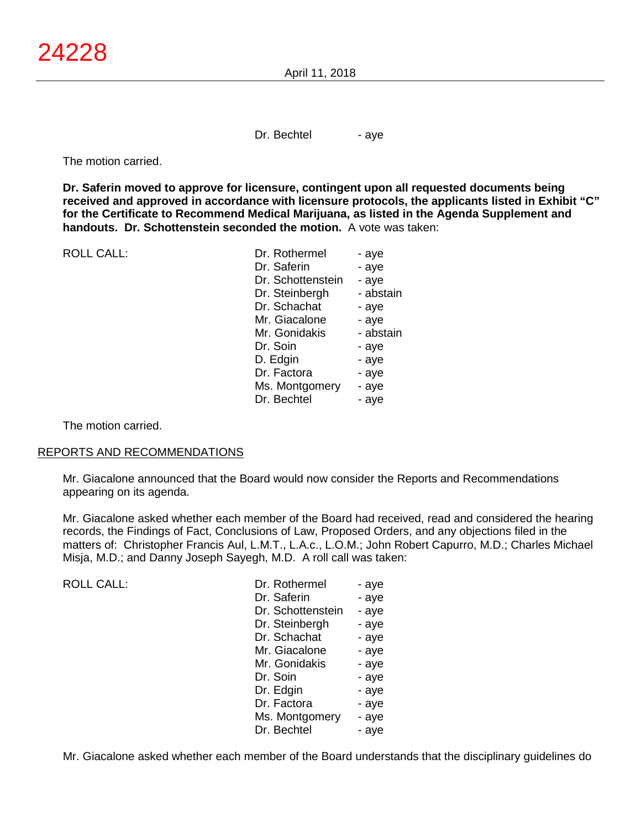Dr. Bechtel - aye

The motion carried.

**Dr. Saferin moved to approve for licensure, contingent upon all requested documents being received and approved in accordance with licensure protocols, the applicants listed in Exhibit "C" for the Certificate to Recommend Medical Marijuana, as listed in the Agenda Supplement and handouts. Dr. Schottenstein seconded the motion.** A vote was taken:

ROLL CALL:

| Dr. Rothermel     | - aye     |
|-------------------|-----------|
| Dr. Saferin       | - aye     |
| Dr. Schottenstein | - aye     |
| Dr. Steinbergh    | - abstain |
| Dr. Schachat      | - aye     |
| Mr. Giacalone     | - aye     |
| Mr. Gonidakis     | - abstain |
| Dr. Soin          | - aye     |
| D. Edgin          | - aye     |
| Dr. Factora       | - aye     |
| Ms. Montgomery    | - aye     |
| Dr. Bechtel       | - aye     |
|                   |           |

The motion carried.

ROLL CALL:

### REPORTS AND RECOMMENDATIONS

Mr. Giacalone announced that the Board would now consider the Reports and Recommendations appearing on its agenda.

Mr. Giacalone asked whether each member of the Board had received, read and considered the hearing records, the Findings of Fact, Conclusions of Law, Proposed Orders, and any objections filed in the matters of: Christopher Francis Aul, L.M.T., L.A.c., L.O.M.; John Robert Capurro, M.D.; Charles Michael Misja, M.D.; and Danny Joseph Sayegh, M.D. A roll call was taken:

| Dr. Rothermel     | - aye |
|-------------------|-------|
| Dr. Saferin       | - aye |
| Dr. Schottenstein | - aye |
| Dr. Steinbergh    | - aye |
| Dr. Schachat      | - aye |
| Mr. Giacalone     | - aye |
| Mr. Gonidakis     | - aye |
| Dr. Soin          | - aye |
| Dr. Edgin         | - aye |
| Dr. Factora       | - aye |
| Ms. Montgomery    | - aye |
| Dr. Bechtel       | - aye |

Mr. Giacalone asked whether each member of the Board understands that the disciplinary guidelines do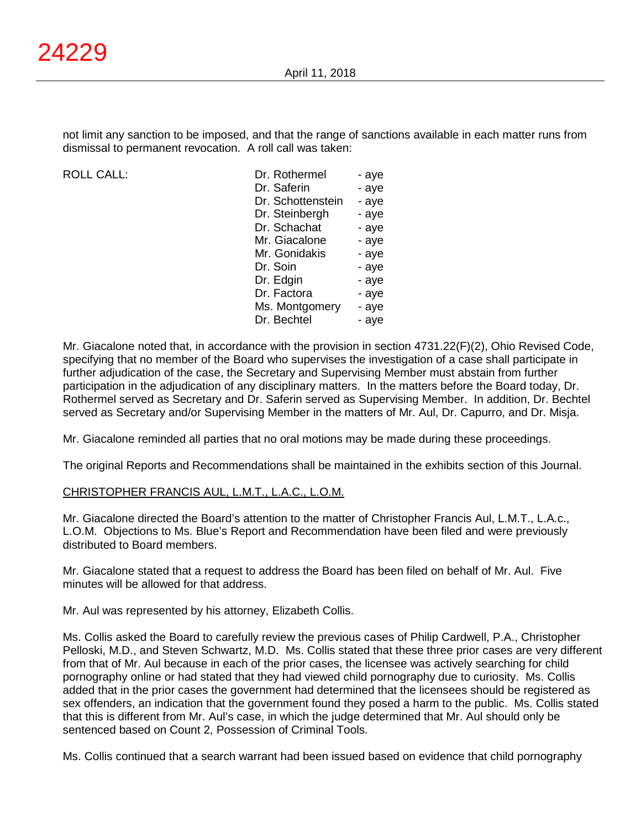not limit any sanction to be imposed, and that the range of sanctions available in each matter runs from dismissal to permanent revocation. A roll call was taken:

ROLL CALL:

| Dr. Rothermel     | - aye |
|-------------------|-------|
| Dr. Saferin       | - aye |
| Dr. Schottenstein | - aye |
| Dr. Steinbergh    | - aye |
| Dr. Schachat      | - aye |
| Mr. Giacalone     | - aye |
| Mr. Gonidakis     | - aye |
| Dr. Soin          | - aye |
| Dr. Edgin         | - aye |
| Dr. Factora       | - aye |
| Ms. Montgomery    | - aye |
| Dr. Bechtel       | - aye |
|                   |       |

Mr. Giacalone noted that, in accordance with the provision in section 4731.22(F)(2), Ohio Revised Code, specifying that no member of the Board who supervises the investigation of a case shall participate in further adjudication of the case, the Secretary and Supervising Member must abstain from further participation in the adjudication of any disciplinary matters. In the matters before the Board today, Dr. Rothermel served as Secretary and Dr. Saferin served as Supervising Member. In addition, Dr. Bechtel served as Secretary and/or Supervising Member in the matters of Mr. Aul, Dr. Capurro, and Dr. Misja.

Mr. Giacalone reminded all parties that no oral motions may be made during these proceedings.

The original Reports and Recommendations shall be maintained in the exhibits section of this Journal.

# CHRISTOPHER FRANCIS AUL, L.M.T., L.A.C., L.O.M.

Mr. Giacalone directed the Board's attention to the matter of Christopher Francis Aul, L.M.T., L.A.c., L.O.M. Objections to Ms. Blue's Report and Recommendation have been filed and were previously distributed to Board members.

Mr. Giacalone stated that a request to address the Board has been filed on behalf of Mr. Aul. Five minutes will be allowed for that address.

Mr. Aul was represented by his attorney, Elizabeth Collis.

Ms. Collis asked the Board to carefully review the previous cases of Philip Cardwell, P.A., Christopher Pelloski, M.D., and Steven Schwartz, M.D. Ms. Collis stated that these three prior cases are very different from that of Mr. Aul because in each of the prior cases, the licensee was actively searching for child pornography online or had stated that they had viewed child pornography due to curiosity. Ms. Collis added that in the prior cases the government had determined that the licensees should be registered as sex offenders, an indication that the government found they posed a harm to the public. Ms. Collis stated that this is different from Mr. Aul's case, in which the judge determined that Mr. Aul should only be sentenced based on Count 2, Possession of Criminal Tools.

Ms. Collis continued that a search warrant had been issued based on evidence that child pornography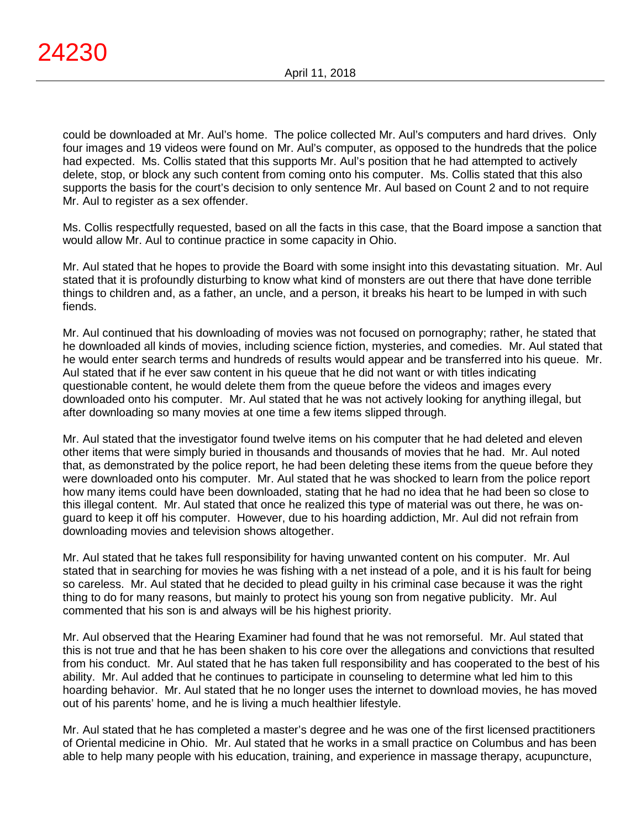could be downloaded at Mr. Aul's home. The police collected Mr. Aul's computers and hard drives. Only four images and 19 videos were found on Mr. Aul's computer, as opposed to the hundreds that the police had expected. Ms. Collis stated that this supports Mr. Aul's position that he had attempted to actively delete, stop, or block any such content from coming onto his computer. Ms. Collis stated that this also supports the basis for the court's decision to only sentence Mr. Aul based on Count 2 and to not require Mr. Aul to register as a sex offender.

Ms. Collis respectfully requested, based on all the facts in this case, that the Board impose a sanction that would allow Mr. Aul to continue practice in some capacity in Ohio.

Mr. Aul stated that he hopes to provide the Board with some insight into this devastating situation. Mr. Aul stated that it is profoundly disturbing to know what kind of monsters are out there that have done terrible things to children and, as a father, an uncle, and a person, it breaks his heart to be lumped in with such fiends.

Mr. Aul continued that his downloading of movies was not focused on pornography; rather, he stated that he downloaded all kinds of movies, including science fiction, mysteries, and comedies. Mr. Aul stated that he would enter search terms and hundreds of results would appear and be transferred into his queue. Mr. Aul stated that if he ever saw content in his queue that he did not want or with titles indicating questionable content, he would delete them from the queue before the videos and images every downloaded onto his computer. Mr. Aul stated that he was not actively looking for anything illegal, but after downloading so many movies at one time a few items slipped through.

Mr. Aul stated that the investigator found twelve items on his computer that he had deleted and eleven other items that were simply buried in thousands and thousands of movies that he had. Mr. Aul noted that, as demonstrated by the police report, he had been deleting these items from the queue before they were downloaded onto his computer. Mr. Aul stated that he was shocked to learn from the police report how many items could have been downloaded, stating that he had no idea that he had been so close to this illegal content. Mr. Aul stated that once he realized this type of material was out there, he was onguard to keep it off his computer. However, due to his hoarding addiction, Mr. Aul did not refrain from downloading movies and television shows altogether.

Mr. Aul stated that he takes full responsibility for having unwanted content on his computer. Mr. Aul stated that in searching for movies he was fishing with a net instead of a pole, and it is his fault for being so careless. Mr. Aul stated that he decided to plead guilty in his criminal case because it was the right thing to do for many reasons, but mainly to protect his young son from negative publicity. Mr. Aul commented that his son is and always will be his highest priority.

Mr. Aul observed that the Hearing Examiner had found that he was not remorseful. Mr. Aul stated that this is not true and that he has been shaken to his core over the allegations and convictions that resulted from his conduct. Mr. Aul stated that he has taken full responsibility and has cooperated to the best of his ability. Mr. Aul added that he continues to participate in counseling to determine what led him to this hoarding behavior. Mr. Aul stated that he no longer uses the internet to download movies, he has moved out of his parents' home, and he is living a much healthier lifestyle.

Mr. Aul stated that he has completed a master's degree and he was one of the first licensed practitioners of Oriental medicine in Ohio. Mr. Aul stated that he works in a small practice on Columbus and has been able to help many people with his education, training, and experience in massage therapy, acupuncture,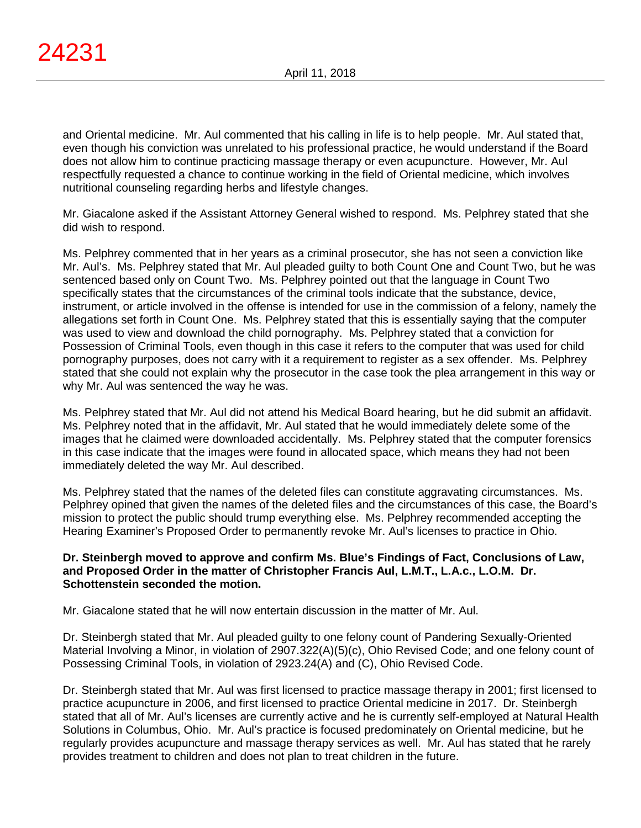and Oriental medicine. Mr. Aul commented that his calling in life is to help people. Mr. Aul stated that, even though his conviction was unrelated to his professional practice, he would understand if the Board does not allow him to continue practicing massage therapy or even acupuncture. However, Mr. Aul respectfully requested a chance to continue working in the field of Oriental medicine, which involves nutritional counseling regarding herbs and lifestyle changes.

Mr. Giacalone asked if the Assistant Attorney General wished to respond. Ms. Pelphrey stated that she did wish to respond.

Ms. Pelphrey commented that in her years as a criminal prosecutor, she has not seen a conviction like Mr. Aul's. Ms. Pelphrey stated that Mr. Aul pleaded guilty to both Count One and Count Two, but he was sentenced based only on Count Two. Ms. Pelphrey pointed out that the language in Count Two specifically states that the circumstances of the criminal tools indicate that the substance, device, instrument, or article involved in the offense is intended for use in the commission of a felony, namely the allegations set forth in Count One. Ms. Pelphrey stated that this is essentially saying that the computer was used to view and download the child pornography. Ms. Pelphrey stated that a conviction for Possession of Criminal Tools, even though in this case it refers to the computer that was used for child pornography purposes, does not carry with it a requirement to register as a sex offender. Ms. Pelphrey stated that she could not explain why the prosecutor in the case took the plea arrangement in this way or why Mr. Aul was sentenced the way he was.

Ms. Pelphrey stated that Mr. Aul did not attend his Medical Board hearing, but he did submit an affidavit. Ms. Pelphrey noted that in the affidavit, Mr. Aul stated that he would immediately delete some of the images that he claimed were downloaded accidentally. Ms. Pelphrey stated that the computer forensics in this case indicate that the images were found in allocated space, which means they had not been immediately deleted the way Mr. Aul described.

Ms. Pelphrey stated that the names of the deleted files can constitute aggravating circumstances. Ms. Pelphrey opined that given the names of the deleted files and the circumstances of this case, the Board's mission to protect the public should trump everything else. Ms. Pelphrey recommended accepting the Hearing Examiner's Proposed Order to permanently revoke Mr. Aul's licenses to practice in Ohio.

# **Dr. Steinbergh moved to approve and confirm Ms. Blue's Findings of Fact, Conclusions of Law, and Proposed Order in the matter of Christopher Francis Aul, L.M.T., L.A.c., L.O.M. Dr. Schottenstein seconded the motion.**

Mr. Giacalone stated that he will now entertain discussion in the matter of Mr. Aul.

Dr. Steinbergh stated that Mr. Aul pleaded guilty to one felony count of Pandering Sexually-Oriented Material Involving a Minor, in violation of 2907.322(A)(5)(c), Ohio Revised Code; and one felony count of Possessing Criminal Tools, in violation of 2923.24(A) and (C), Ohio Revised Code.

Dr. Steinbergh stated that Mr. Aul was first licensed to practice massage therapy in 2001; first licensed to practice acupuncture in 2006, and first licensed to practice Oriental medicine in 2017. Dr. Steinbergh stated that all of Mr. Aul's licenses are currently active and he is currently self-employed at Natural Health Solutions in Columbus, Ohio. Mr. Aul's practice is focused predominately on Oriental medicine, but he regularly provides acupuncture and massage therapy services as well. Mr. Aul has stated that he rarely provides treatment to children and does not plan to treat children in the future.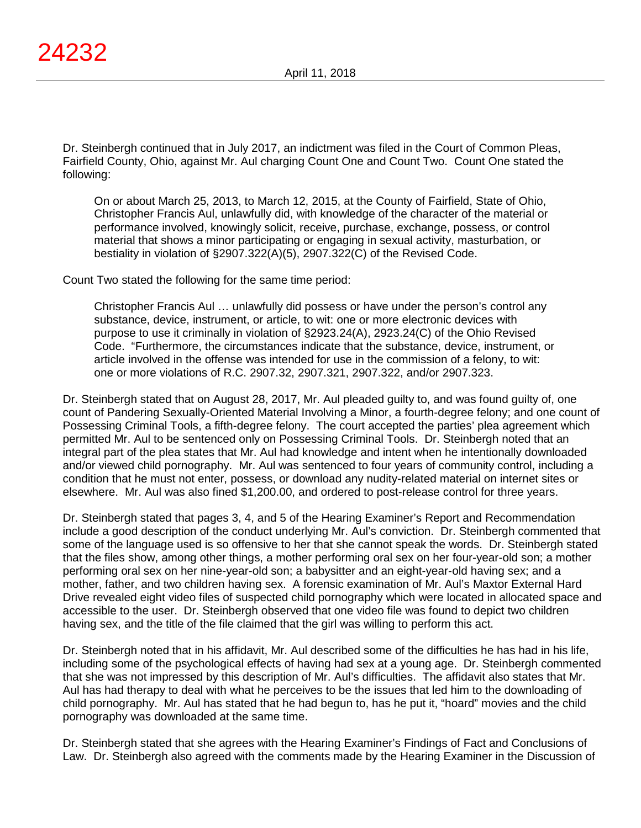Dr. Steinbergh continued that in July 2017, an indictment was filed in the Court of Common Pleas, Fairfield County, Ohio, against Mr. Aul charging Count One and Count Two. Count One stated the following:

On or about March 25, 2013, to March 12, 2015, at the County of Fairfield, State of Ohio, Christopher Francis Aul, unlawfully did, with knowledge of the character of the material or performance involved, knowingly solicit, receive, purchase, exchange, possess, or control material that shows a minor participating or engaging in sexual activity, masturbation, or bestiality in violation of §2907.322(A)(5), 2907.322(C) of the Revised Code.

Count Two stated the following for the same time period:

Christopher Francis Aul … unlawfully did possess or have under the person's control any substance, device, instrument, or article, to wit: one or more electronic devices with purpose to use it criminally in violation of §2923.24(A), 2923.24(C) of the Ohio Revised Code. "Furthermore, the circumstances indicate that the substance, device, instrument, or article involved in the offense was intended for use in the commission of a felony, to wit: one or more violations of R.C. 2907.32, 2907.321, 2907.322, and/or 2907.323.

Dr. Steinbergh stated that on August 28, 2017, Mr. Aul pleaded guilty to, and was found guilty of, one count of Pandering Sexually-Oriented Material Involving a Minor, a fourth-degree felony; and one count of Possessing Criminal Tools, a fifth-degree felony. The court accepted the parties' plea agreement which permitted Mr. Aul to be sentenced only on Possessing Criminal Tools. Dr. Steinbergh noted that an integral part of the plea states that Mr. Aul had knowledge and intent when he intentionally downloaded and/or viewed child pornography. Mr. Aul was sentenced to four years of community control, including a condition that he must not enter, possess, or download any nudity-related material on internet sites or elsewhere. Mr. Aul was also fined \$1,200.00, and ordered to post-release control for three years.

Dr. Steinbergh stated that pages 3, 4, and 5 of the Hearing Examiner's Report and Recommendation include a good description of the conduct underlying Mr. Aul's conviction. Dr. Steinbergh commented that some of the language used is so offensive to her that she cannot speak the words. Dr. Steinbergh stated that the files show, among other things, a mother performing oral sex on her four-year-old son; a mother performing oral sex on her nine-year-old son; a babysitter and an eight-year-old having sex; and a mother, father, and two children having sex. A forensic examination of Mr. Aul's Maxtor External Hard Drive revealed eight video files of suspected child pornography which were located in allocated space and accessible to the user. Dr. Steinbergh observed that one video file was found to depict two children having sex, and the title of the file claimed that the girl was willing to perform this act.

Dr. Steinbergh noted that in his affidavit, Mr. Aul described some of the difficulties he has had in his life, including some of the psychological effects of having had sex at a young age. Dr. Steinbergh commented that she was not impressed by this description of Mr. Aul's difficulties. The affidavit also states that Mr. Aul has had therapy to deal with what he perceives to be the issues that led him to the downloading of child pornography. Mr. Aul has stated that he had begun to, has he put it, "hoard" movies and the child pornography was downloaded at the same time.

Dr. Steinbergh stated that she agrees with the Hearing Examiner's Findings of Fact and Conclusions of Law. Dr. Steinbergh also agreed with the comments made by the Hearing Examiner in the Discussion of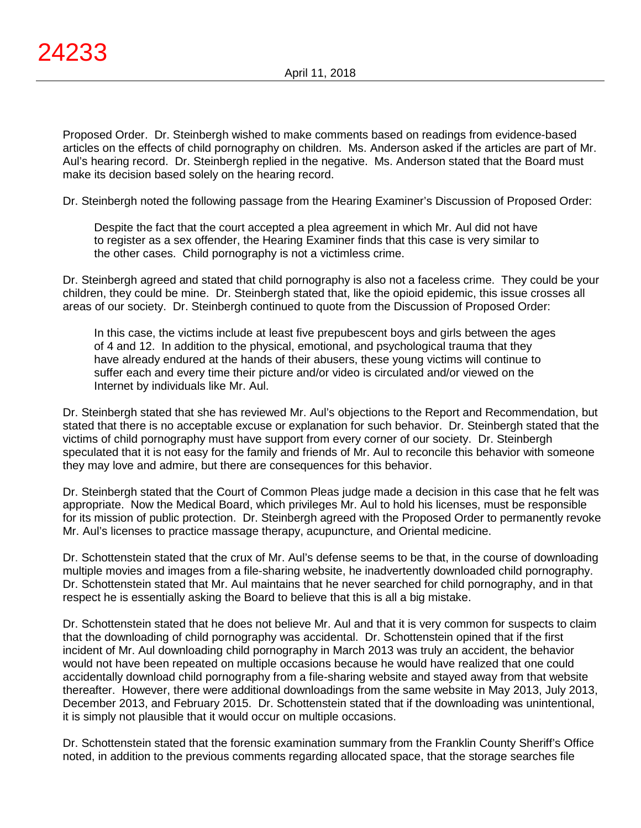Proposed Order. Dr. Steinbergh wished to make comments based on readings from evidence-based articles on the effects of child pornography on children. Ms. Anderson asked if the articles are part of Mr. Aul's hearing record. Dr. Steinbergh replied in the negative. Ms. Anderson stated that the Board must make its decision based solely on the hearing record.

Dr. Steinbergh noted the following passage from the Hearing Examiner's Discussion of Proposed Order:

Despite the fact that the court accepted a plea agreement in which Mr. Aul did not have to register as a sex offender, the Hearing Examiner finds that this case is very similar to the other cases. Child pornography is not a victimless crime.

Dr. Steinbergh agreed and stated that child pornography is also not a faceless crime. They could be your children, they could be mine. Dr. Steinbergh stated that, like the opioid epidemic, this issue crosses all areas of our society. Dr. Steinbergh continued to quote from the Discussion of Proposed Order:

In this case, the victims include at least five prepubescent boys and girls between the ages of 4 and 12. In addition to the physical, emotional, and psychological trauma that they have already endured at the hands of their abusers, these young victims will continue to suffer each and every time their picture and/or video is circulated and/or viewed on the Internet by individuals like Mr. Aul.

Dr. Steinbergh stated that she has reviewed Mr. Aul's objections to the Report and Recommendation, but stated that there is no acceptable excuse or explanation for such behavior. Dr. Steinbergh stated that the victims of child pornography must have support from every corner of our society. Dr. Steinbergh speculated that it is not easy for the family and friends of Mr. Aul to reconcile this behavior with someone they may love and admire, but there are consequences for this behavior.

Dr. Steinbergh stated that the Court of Common Pleas judge made a decision in this case that he felt was appropriate. Now the Medical Board, which privileges Mr. Aul to hold his licenses, must be responsible for its mission of public protection. Dr. Steinbergh agreed with the Proposed Order to permanently revoke Mr. Aul's licenses to practice massage therapy, acupuncture, and Oriental medicine.

Dr. Schottenstein stated that the crux of Mr. Aul's defense seems to be that, in the course of downloading multiple movies and images from a file-sharing website, he inadvertently downloaded child pornography. Dr. Schottenstein stated that Mr. Aul maintains that he never searched for child pornography, and in that respect he is essentially asking the Board to believe that this is all a big mistake.

Dr. Schottenstein stated that he does not believe Mr. Aul and that it is very common for suspects to claim that the downloading of child pornography was accidental. Dr. Schottenstein opined that if the first incident of Mr. Aul downloading child pornography in March 2013 was truly an accident, the behavior would not have been repeated on multiple occasions because he would have realized that one could accidentally download child pornography from a file-sharing website and stayed away from that website thereafter. However, there were additional downloadings from the same website in May 2013, July 2013, December 2013, and February 2015. Dr. Schottenstein stated that if the downloading was unintentional, it is simply not plausible that it would occur on multiple occasions.

Dr. Schottenstein stated that the forensic examination summary from the Franklin County Sheriff's Office noted, in addition to the previous comments regarding allocated space, that the storage searches file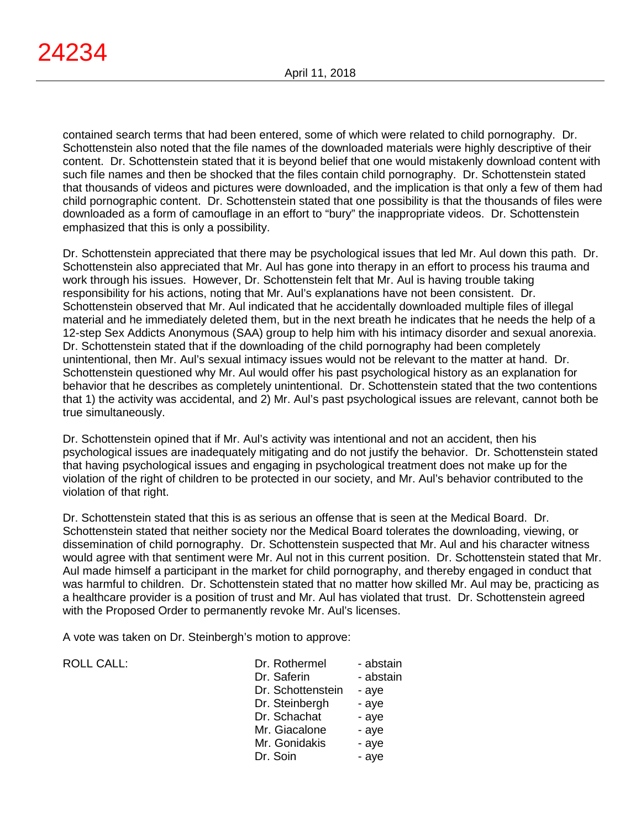contained search terms that had been entered, some of which were related to child pornography. Dr. Schottenstein also noted that the file names of the downloaded materials were highly descriptive of their content. Dr. Schottenstein stated that it is beyond belief that one would mistakenly download content with such file names and then be shocked that the files contain child pornography. Dr. Schottenstein stated that thousands of videos and pictures were downloaded, and the implication is that only a few of them had child pornographic content. Dr. Schottenstein stated that one possibility is that the thousands of files were downloaded as a form of camouflage in an effort to "bury" the inappropriate videos. Dr. Schottenstein emphasized that this is only a possibility.

Dr. Schottenstein appreciated that there may be psychological issues that led Mr. Aul down this path. Dr. Schottenstein also appreciated that Mr. Aul has gone into therapy in an effort to process his trauma and work through his issues. However, Dr. Schottenstein felt that Mr. Aul is having trouble taking responsibility for his actions, noting that Mr. Aul's explanations have not been consistent. Dr. Schottenstein observed that Mr. Aul indicated that he accidentally downloaded multiple files of illegal material and he immediately deleted them, but in the next breath he indicates that he needs the help of a 12-step Sex Addicts Anonymous (SAA) group to help him with his intimacy disorder and sexual anorexia. Dr. Schottenstein stated that if the downloading of the child pornography had been completely unintentional, then Mr. Aul's sexual intimacy issues would not be relevant to the matter at hand. Dr. Schottenstein questioned why Mr. Aul would offer his past psychological history as an explanation for behavior that he describes as completely unintentional. Dr. Schottenstein stated that the two contentions that 1) the activity was accidental, and 2) Mr. Aul's past psychological issues are relevant, cannot both be true simultaneously.

Dr. Schottenstein opined that if Mr. Aul's activity was intentional and not an accident, then his psychological issues are inadequately mitigating and do not justify the behavior. Dr. Schottenstein stated that having psychological issues and engaging in psychological treatment does not make up for the violation of the right of children to be protected in our society, and Mr. Aul's behavior contributed to the violation of that right.

Dr. Schottenstein stated that this is as serious an offense that is seen at the Medical Board. Dr. Schottenstein stated that neither society nor the Medical Board tolerates the downloading, viewing, or dissemination of child pornography. Dr. Schottenstein suspected that Mr. Aul and his character witness would agree with that sentiment were Mr. Aul not in this current position. Dr. Schottenstein stated that Mr. Aul made himself a participant in the market for child pornography, and thereby engaged in conduct that was harmful to children. Dr. Schottenstein stated that no matter how skilled Mr. Aul may be, practicing as a healthcare provider is a position of trust and Mr. Aul has violated that trust. Dr. Schottenstein agreed with the Proposed Order to permanently revoke Mr. Aul's licenses.

A vote was taken on Dr. Steinbergh's motion to approve:

 $ROILCAIL$ :

| Dr. Rothermel     | - abstain |
|-------------------|-----------|
| Dr. Saferin       | - abstain |
| Dr. Schottenstein | - aye     |
| Dr. Steinbergh    | - aye     |
| Dr. Schachat      | - aye     |
| Mr. Giacalone     | - aye     |
| Mr. Gonidakis     | - aye     |
| Dr. Soin          | - aye     |
|                   |           |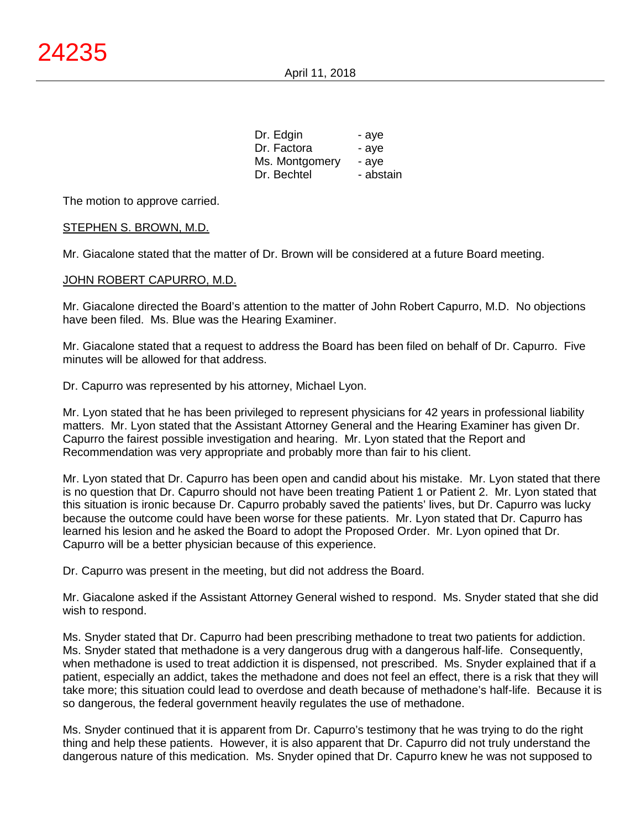| Dr. Edgin      | - aye     |
|----------------|-----------|
| Dr. Factora    | - aye     |
| Ms. Montgomery | - aye     |
| Dr. Bechtel    | - abstain |
|                |           |

The motion to approve carried.

#### STEPHEN S. BROWN, M.D.

Mr. Giacalone stated that the matter of Dr. Brown will be considered at a future Board meeting.

### JOHN ROBERT CAPURRO, M.D.

Mr. Giacalone directed the Board's attention to the matter of John Robert Capurro, M.D. No objections have been filed. Ms. Blue was the Hearing Examiner.

Mr. Giacalone stated that a request to address the Board has been filed on behalf of Dr. Capurro. Five minutes will be allowed for that address.

Dr. Capurro was represented by his attorney, Michael Lyon.

Mr. Lyon stated that he has been privileged to represent physicians for 42 years in professional liability matters. Mr. Lyon stated that the Assistant Attorney General and the Hearing Examiner has given Dr. Capurro the fairest possible investigation and hearing. Mr. Lyon stated that the Report and Recommendation was very appropriate and probably more than fair to his client.

Mr. Lyon stated that Dr. Capurro has been open and candid about his mistake. Mr. Lyon stated that there is no question that Dr. Capurro should not have been treating Patient 1 or Patient 2. Mr. Lyon stated that this situation is ironic because Dr. Capurro probably saved the patients' lives, but Dr. Capurro was lucky because the outcome could have been worse for these patients. Mr. Lyon stated that Dr. Capurro has learned his lesion and he asked the Board to adopt the Proposed Order. Mr. Lyon opined that Dr. Capurro will be a better physician because of this experience.

Dr. Capurro was present in the meeting, but did not address the Board.

Mr. Giacalone asked if the Assistant Attorney General wished to respond. Ms. Snyder stated that she did wish to respond.

Ms. Snyder stated that Dr. Capurro had been prescribing methadone to treat two patients for addiction. Ms. Snyder stated that methadone is a very dangerous drug with a dangerous half-life. Consequently, when methadone is used to treat addiction it is dispensed, not prescribed. Ms. Snyder explained that if a patient, especially an addict, takes the methadone and does not feel an effect, there is a risk that they will take more; this situation could lead to overdose and death because of methadone's half-life. Because it is so dangerous, the federal government heavily regulates the use of methadone.

Ms. Snyder continued that it is apparent from Dr. Capurro's testimony that he was trying to do the right thing and help these patients. However, it is also apparent that Dr. Capurro did not truly understand the dangerous nature of this medication. Ms. Snyder opined that Dr. Capurro knew he was not supposed to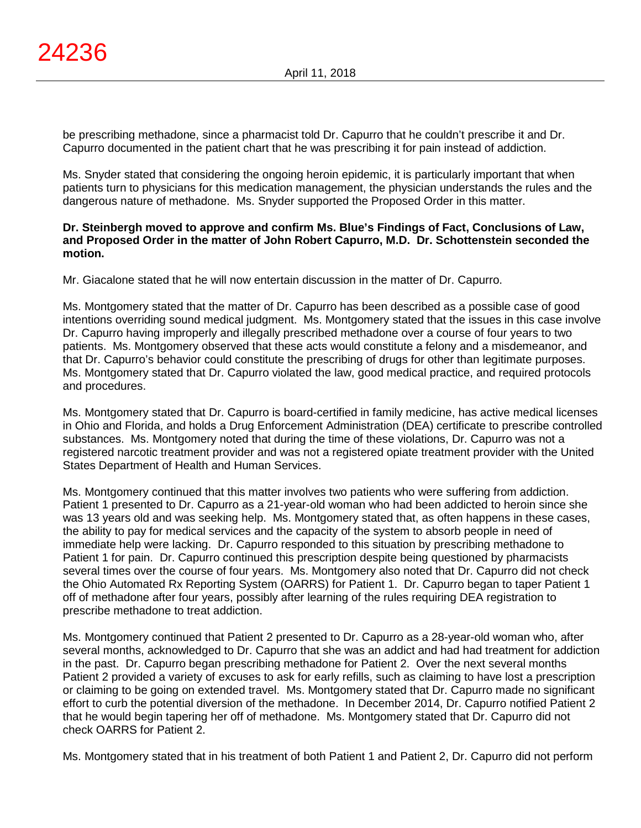be prescribing methadone, since a pharmacist told Dr. Capurro that he couldn't prescribe it and Dr. Capurro documented in the patient chart that he was prescribing it for pain instead of addiction.

Ms. Snyder stated that considering the ongoing heroin epidemic, it is particularly important that when patients turn to physicians for this medication management, the physician understands the rules and the dangerous nature of methadone. Ms. Snyder supported the Proposed Order in this matter.

# **Dr. Steinbergh moved to approve and confirm Ms. Blue's Findings of Fact, Conclusions of Law, and Proposed Order in the matter of John Robert Capurro, M.D. Dr. Schottenstein seconded the motion.**

Mr. Giacalone stated that he will now entertain discussion in the matter of Dr. Capurro.

Ms. Montgomery stated that the matter of Dr. Capurro has been described as a possible case of good intentions overriding sound medical judgment. Ms. Montgomery stated that the issues in this case involve Dr. Capurro having improperly and illegally prescribed methadone over a course of four years to two patients. Ms. Montgomery observed that these acts would constitute a felony and a misdemeanor, and that Dr. Capurro's behavior could constitute the prescribing of drugs for other than legitimate purposes. Ms. Montgomery stated that Dr. Capurro violated the law, good medical practice, and required protocols and procedures.

Ms. Montgomery stated that Dr. Capurro is board-certified in family medicine, has active medical licenses in Ohio and Florida, and holds a Drug Enforcement Administration (DEA) certificate to prescribe controlled substances. Ms. Montgomery noted that during the time of these violations, Dr. Capurro was not a registered narcotic treatment provider and was not a registered opiate treatment provider with the United States Department of Health and Human Services.

Ms. Montgomery continued that this matter involves two patients who were suffering from addiction. Patient 1 presented to Dr. Capurro as a 21-year-old woman who had been addicted to heroin since she was 13 years old and was seeking help. Ms. Montgomery stated that, as often happens in these cases, the ability to pay for medical services and the capacity of the system to absorb people in need of immediate help were lacking. Dr. Capurro responded to this situation by prescribing methadone to Patient 1 for pain. Dr. Capurro continued this prescription despite being questioned by pharmacists several times over the course of four years. Ms. Montgomery also noted that Dr. Capurro did not check the Ohio Automated Rx Reporting System (OARRS) for Patient 1. Dr. Capurro began to taper Patient 1 off of methadone after four years, possibly after learning of the rules requiring DEA registration to prescribe methadone to treat addiction.

Ms. Montgomery continued that Patient 2 presented to Dr. Capurro as a 28-year-old woman who, after several months, acknowledged to Dr. Capurro that she was an addict and had had treatment for addiction in the past. Dr. Capurro began prescribing methadone for Patient 2. Over the next several months Patient 2 provided a variety of excuses to ask for early refills, such as claiming to have lost a prescription or claiming to be going on extended travel. Ms. Montgomery stated that Dr. Capurro made no significant effort to curb the potential diversion of the methadone. In December 2014, Dr. Capurro notified Patient 2 that he would begin tapering her off of methadone. Ms. Montgomery stated that Dr. Capurro did not check OARRS for Patient 2.

Ms. Montgomery stated that in his treatment of both Patient 1 and Patient 2, Dr. Capurro did not perform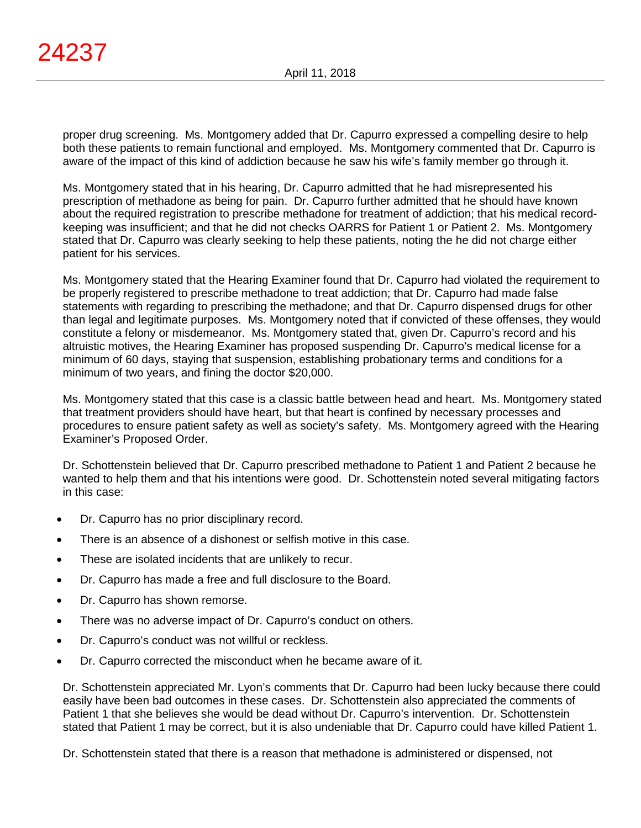proper drug screening. Ms. Montgomery added that Dr. Capurro expressed a compelling desire to help both these patients to remain functional and employed. Ms. Montgomery commented that Dr. Capurro is aware of the impact of this kind of addiction because he saw his wife's family member go through it.

Ms. Montgomery stated that in his hearing, Dr. Capurro admitted that he had misrepresented his prescription of methadone as being for pain. Dr. Capurro further admitted that he should have known about the required registration to prescribe methadone for treatment of addiction; that his medical recordkeeping was insufficient; and that he did not checks OARRS for Patient 1 or Patient 2. Ms. Montgomery stated that Dr. Capurro was clearly seeking to help these patients, noting the he did not charge either patient for his services.

Ms. Montgomery stated that the Hearing Examiner found that Dr. Capurro had violated the requirement to be properly registered to prescribe methadone to treat addiction; that Dr. Capurro had made false statements with regarding to prescribing the methadone; and that Dr. Capurro dispensed drugs for other than legal and legitimate purposes. Ms. Montgomery noted that if convicted of these offenses, they would constitute a felony or misdemeanor. Ms. Montgomery stated that, given Dr. Capurro's record and his altruistic motives, the Hearing Examiner has proposed suspending Dr. Capurro's medical license for a minimum of 60 days, staying that suspension, establishing probationary terms and conditions for a minimum of two years, and fining the doctor \$20,000.

Ms. Montgomery stated that this case is a classic battle between head and heart. Ms. Montgomery stated that treatment providers should have heart, but that heart is confined by necessary processes and procedures to ensure patient safety as well as society's safety. Ms. Montgomery agreed with the Hearing Examiner's Proposed Order.

Dr. Schottenstein believed that Dr. Capurro prescribed methadone to Patient 1 and Patient 2 because he wanted to help them and that his intentions were good. Dr. Schottenstein noted several mitigating factors in this case:

- Dr. Capurro has no prior disciplinary record.
- There is an absence of a dishonest or selfish motive in this case.
- These are isolated incidents that are unlikely to recur.
- Dr. Capurro has made a free and full disclosure to the Board.
- Dr. Capurro has shown remorse.
- There was no adverse impact of Dr. Capurro's conduct on others.
- Dr. Capurro's conduct was not willful or reckless.
- Dr. Capurro corrected the misconduct when he became aware of it.

Dr. Schottenstein appreciated Mr. Lyon's comments that Dr. Capurro had been lucky because there could easily have been bad outcomes in these cases. Dr. Schottenstein also appreciated the comments of Patient 1 that she believes she would be dead without Dr. Capurro's intervention. Dr. Schottenstein stated that Patient 1 may be correct, but it is also undeniable that Dr. Capurro could have killed Patient 1.

Dr. Schottenstein stated that there is a reason that methadone is administered or dispensed, not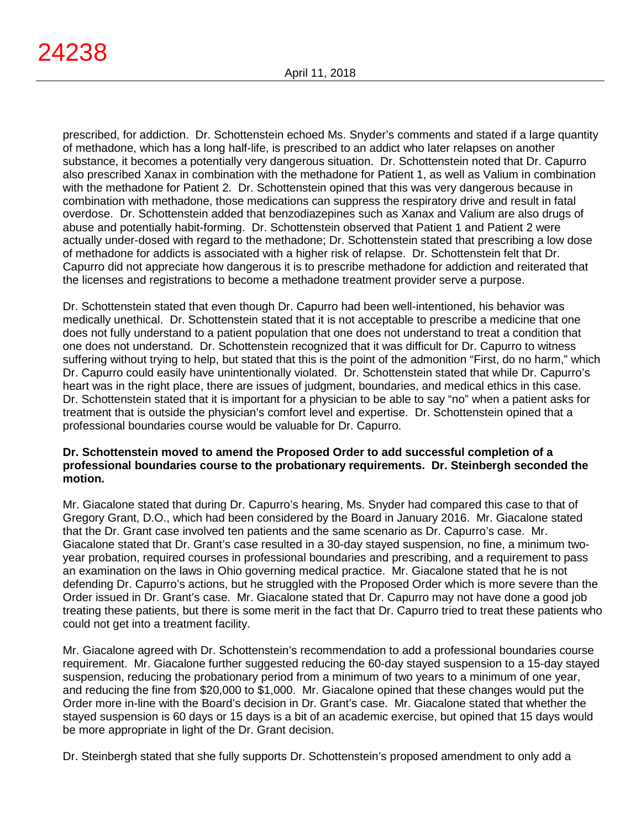prescribed, for addiction. Dr. Schottenstein echoed Ms. Snyder's comments and stated if a large quantity of methadone, which has a long half-life, is prescribed to an addict who later relapses on another substance, it becomes a potentially very dangerous situation. Dr. Schottenstein noted that Dr. Capurro also prescribed Xanax in combination with the methadone for Patient 1, as well as Valium in combination with the methadone for Patient 2. Dr. Schottenstein opined that this was very dangerous because in combination with methadone, those medications can suppress the respiratory drive and result in fatal overdose. Dr. Schottenstein added that benzodiazepines such as Xanax and Valium are also drugs of abuse and potentially habit-forming. Dr. Schottenstein observed that Patient 1 and Patient 2 were actually under-dosed with regard to the methadone; Dr. Schottenstein stated that prescribing a low dose of methadone for addicts is associated with a higher risk of relapse. Dr. Schottenstein felt that Dr. Capurro did not appreciate how dangerous it is to prescribe methadone for addiction and reiterated that the licenses and registrations to become a methadone treatment provider serve a purpose.

Dr. Schottenstein stated that even though Dr. Capurro had been well-intentioned, his behavior was medically unethical. Dr. Schottenstein stated that it is not acceptable to prescribe a medicine that one does not fully understand to a patient population that one does not understand to treat a condition that one does not understand. Dr. Schottenstein recognized that it was difficult for Dr. Capurro to witness suffering without trying to help, but stated that this is the point of the admonition "First, do no harm," which Dr. Capurro could easily have unintentionally violated. Dr. Schottenstein stated that while Dr. Capurro's heart was in the right place, there are issues of judgment, boundaries, and medical ethics in this case. Dr. Schottenstein stated that it is important for a physician to be able to say "no" when a patient asks for treatment that is outside the physician's comfort level and expertise. Dr. Schottenstein opined that a professional boundaries course would be valuable for Dr. Capurro.

# **Dr. Schottenstein moved to amend the Proposed Order to add successful completion of a professional boundaries course to the probationary requirements. Dr. Steinbergh seconded the motion.**

Mr. Giacalone stated that during Dr. Capurro's hearing, Ms. Snyder had compared this case to that of Gregory Grant, D.O., which had been considered by the Board in January 2016. Mr. Giacalone stated that the Dr. Grant case involved ten patients and the same scenario as Dr. Capurro's case. Mr. Giacalone stated that Dr. Grant's case resulted in a 30-day stayed suspension, no fine, a minimum twoyear probation, required courses in professional boundaries and prescribing, and a requirement to pass an examination on the laws in Ohio governing medical practice. Mr. Giacalone stated that he is not defending Dr. Capurro's actions, but he struggled with the Proposed Order which is more severe than the Order issued in Dr. Grant's case. Mr. Giacalone stated that Dr. Capurro may not have done a good job treating these patients, but there is some merit in the fact that Dr. Capurro tried to treat these patients who could not get into a treatment facility.

Mr. Giacalone agreed with Dr. Schottenstein's recommendation to add a professional boundaries course requirement. Mr. Giacalone further suggested reducing the 60-day stayed suspension to a 15-day stayed suspension, reducing the probationary period from a minimum of two years to a minimum of one year, and reducing the fine from \$20,000 to \$1,000. Mr. Giacalone opined that these changes would put the Order more in-line with the Board's decision in Dr. Grant's case. Mr. Giacalone stated that whether the stayed suspension is 60 days or 15 days is a bit of an academic exercise, but opined that 15 days would be more appropriate in light of the Dr. Grant decision.

Dr. Steinbergh stated that she fully supports Dr. Schottenstein's proposed amendment to only add a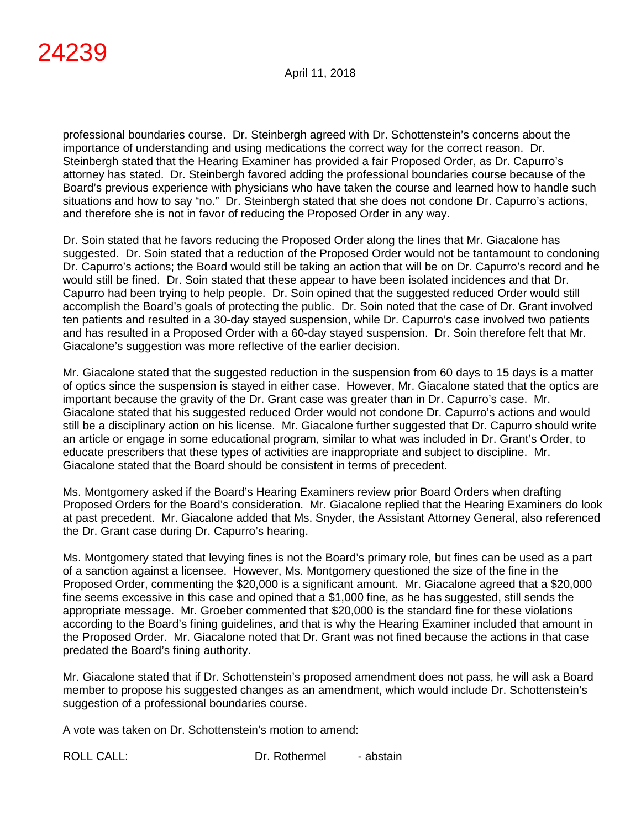professional boundaries course. Dr. Steinbergh agreed with Dr. Schottenstein's concerns about the importance of understanding and using medications the correct way for the correct reason. Dr. Steinbergh stated that the Hearing Examiner has provided a fair Proposed Order, as Dr. Capurro's attorney has stated. Dr. Steinbergh favored adding the professional boundaries course because of the Board's previous experience with physicians who have taken the course and learned how to handle such situations and how to say "no." Dr. Steinbergh stated that she does not condone Dr. Capurro's actions, and therefore she is not in favor of reducing the Proposed Order in any way.

Dr. Soin stated that he favors reducing the Proposed Order along the lines that Mr. Giacalone has suggested. Dr. Soin stated that a reduction of the Proposed Order would not be tantamount to condoning Dr. Capurro's actions; the Board would still be taking an action that will be on Dr. Capurro's record and he would still be fined. Dr. Soin stated that these appear to have been isolated incidences and that Dr. Capurro had been trying to help people. Dr. Soin opined that the suggested reduced Order would still accomplish the Board's goals of protecting the public. Dr. Soin noted that the case of Dr. Grant involved ten patients and resulted in a 30-day stayed suspension, while Dr. Capurro's case involved two patients and has resulted in a Proposed Order with a 60-day stayed suspension. Dr. Soin therefore felt that Mr. Giacalone's suggestion was more reflective of the earlier decision.

Mr. Giacalone stated that the suggested reduction in the suspension from 60 days to 15 days is a matter of optics since the suspension is stayed in either case. However, Mr. Giacalone stated that the optics are important because the gravity of the Dr. Grant case was greater than in Dr. Capurro's case. Mr. Giacalone stated that his suggested reduced Order would not condone Dr. Capurro's actions and would still be a disciplinary action on his license. Mr. Giacalone further suggested that Dr. Capurro should write an article or engage in some educational program, similar to what was included in Dr. Grant's Order, to educate prescribers that these types of activities are inappropriate and subject to discipline. Mr. Giacalone stated that the Board should be consistent in terms of precedent.

Ms. Montgomery asked if the Board's Hearing Examiners review prior Board Orders when drafting Proposed Orders for the Board's consideration. Mr. Giacalone replied that the Hearing Examiners do look at past precedent. Mr. Giacalone added that Ms. Snyder, the Assistant Attorney General, also referenced the Dr. Grant case during Dr. Capurro's hearing.

Ms. Montgomery stated that levying fines is not the Board's primary role, but fines can be used as a part of a sanction against a licensee. However, Ms. Montgomery questioned the size of the fine in the Proposed Order, commenting the \$20,000 is a significant amount. Mr. Giacalone agreed that a \$20,000 fine seems excessive in this case and opined that a \$1,000 fine, as he has suggested, still sends the appropriate message. Mr. Groeber commented that \$20,000 is the standard fine for these violations according to the Board's fining guidelines, and that is why the Hearing Examiner included that amount in the Proposed Order. Mr. Giacalone noted that Dr. Grant was not fined because the actions in that case predated the Board's fining authority.

Mr. Giacalone stated that if Dr. Schottenstein's proposed amendment does not pass, he will ask a Board member to propose his suggested changes as an amendment, which would include Dr. Schottenstein's suggestion of a professional boundaries course.

A vote was taken on Dr. Schottenstein's motion to amend:

ROLL CALL: Dr. Rothermel - abstain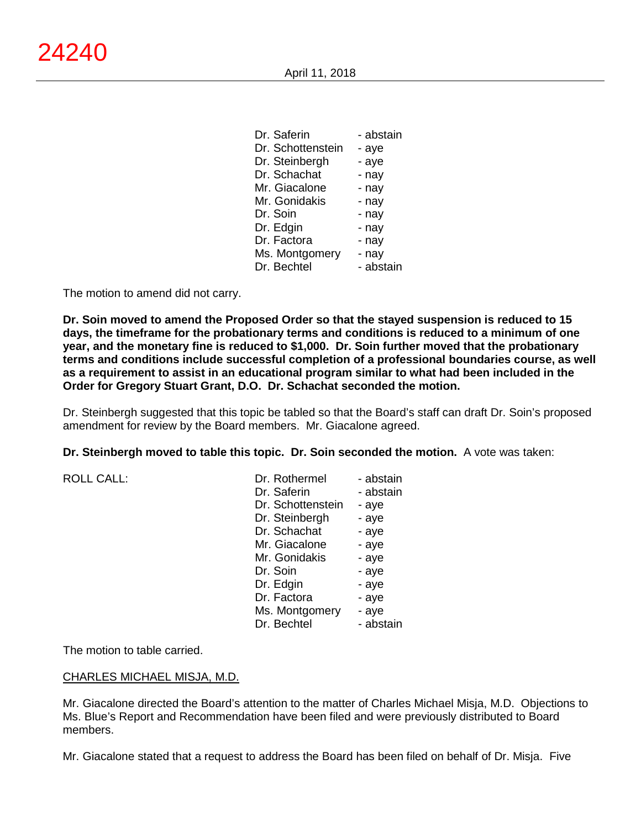| Dr. Saferin       | - abstain |
|-------------------|-----------|
| Dr. Schottenstein | - aye     |
| Dr. Steinbergh    | - aye     |
| Dr. Schachat      | - nay     |
| Mr. Giacalone     | - nay     |
| Mr. Gonidakis     | - nay     |
| Dr. Soin          | - nay     |
| Dr. Edgin         | - nay     |
| Dr. Factora       | - nay     |
| Ms. Montgomery    | - nay     |
| Dr. Bechtel       | - abstain |

The motion to amend did not carry.

**Dr. Soin moved to amend the Proposed Order so that the stayed suspension is reduced to 15 days, the timeframe for the probationary terms and conditions is reduced to a minimum of one year, and the monetary fine is reduced to \$1,000. Dr. Soin further moved that the probationary terms and conditions include successful completion of a professional boundaries course, as well as a requirement to assist in an educational program similar to what had been included in the Order for Gregory Stuart Grant, D.O. Dr. Schachat seconded the motion.**

Dr. Steinbergh suggested that this topic be tabled so that the Board's staff can draft Dr. Soin's proposed amendment for review by the Board members. Mr. Giacalone agreed.

**Dr. Steinbergh moved to table this topic. Dr. Soin seconded the motion.** A vote was taken:

 $ROILCAII$ :

| Dr. Rothermel     | - abstain |
|-------------------|-----------|
| Dr. Saferin       | - abstain |
| Dr. Schottenstein | - aye     |
| Dr. Steinbergh    | - aye     |
| Dr. Schachat      | - aye     |
| Mr. Giacalone     | - aye     |
| Mr. Gonidakis     | - aye     |
| Dr. Soin          | - aye     |
| Dr. Edgin         | - aye     |
| Dr. Factora       | - aye     |
| Ms. Montgomery    | - aye     |
| Dr. Bechtel       | - abstain |

The motion to table carried.

### CHARLES MICHAEL MISJA, M.D.

Mr. Giacalone directed the Board's attention to the matter of Charles Michael Misja, M.D. Objections to Ms. Blue's Report and Recommendation have been filed and were previously distributed to Board members.

Mr. Giacalone stated that a request to address the Board has been filed on behalf of Dr. Misja. Five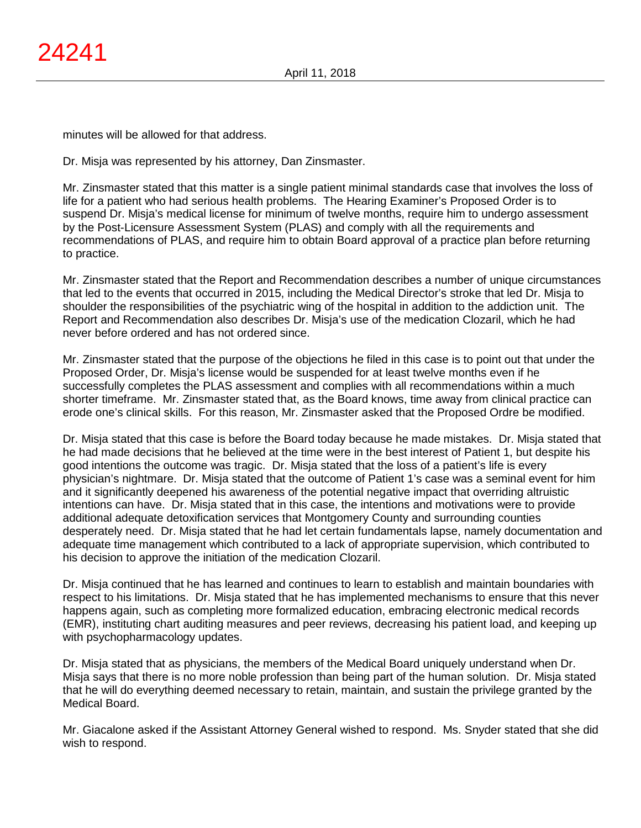minutes will be allowed for that address.

Dr. Misja was represented by his attorney, Dan Zinsmaster.

Mr. Zinsmaster stated that this matter is a single patient minimal standards case that involves the loss of life for a patient who had serious health problems. The Hearing Examiner's Proposed Order is to suspend Dr. Misja's medical license for minimum of twelve months, require him to undergo assessment by the Post-Licensure Assessment System (PLAS) and comply with all the requirements and recommendations of PLAS, and require him to obtain Board approval of a practice plan before returning to practice.

Mr. Zinsmaster stated that the Report and Recommendation describes a number of unique circumstances that led to the events that occurred in 2015, including the Medical Director's stroke that led Dr. Misja to shoulder the responsibilities of the psychiatric wing of the hospital in addition to the addiction unit. The Report and Recommendation also describes Dr. Misja's use of the medication Clozaril, which he had never before ordered and has not ordered since.

Mr. Zinsmaster stated that the purpose of the objections he filed in this case is to point out that under the Proposed Order, Dr. Misja's license would be suspended for at least twelve months even if he successfully completes the PLAS assessment and complies with all recommendations within a much shorter timeframe. Mr. Zinsmaster stated that, as the Board knows, time away from clinical practice can erode one's clinical skills. For this reason, Mr. Zinsmaster asked that the Proposed Ordre be modified.

Dr. Misja stated that this case is before the Board today because he made mistakes. Dr. Misja stated that he had made decisions that he believed at the time were in the best interest of Patient 1, but despite his good intentions the outcome was tragic. Dr. Misja stated that the loss of a patient's life is every physician's nightmare. Dr. Misja stated that the outcome of Patient 1's case was a seminal event for him and it significantly deepened his awareness of the potential negative impact that overriding altruistic intentions can have. Dr. Misja stated that in this case, the intentions and motivations were to provide additional adequate detoxification services that Montgomery County and surrounding counties desperately need. Dr. Misja stated that he had let certain fundamentals lapse, namely documentation and adequate time management which contributed to a lack of appropriate supervision, which contributed to his decision to approve the initiation of the medication Clozaril.

Dr. Misja continued that he has learned and continues to learn to establish and maintain boundaries with respect to his limitations. Dr. Misja stated that he has implemented mechanisms to ensure that this never happens again, such as completing more formalized education, embracing electronic medical records (EMR), instituting chart auditing measures and peer reviews, decreasing his patient load, and keeping up with psychopharmacology updates.

Dr. Misja stated that as physicians, the members of the Medical Board uniquely understand when Dr. Misja says that there is no more noble profession than being part of the human solution. Dr. Misja stated that he will do everything deemed necessary to retain, maintain, and sustain the privilege granted by the Medical Board.

Mr. Giacalone asked if the Assistant Attorney General wished to respond. Ms. Snyder stated that she did wish to respond.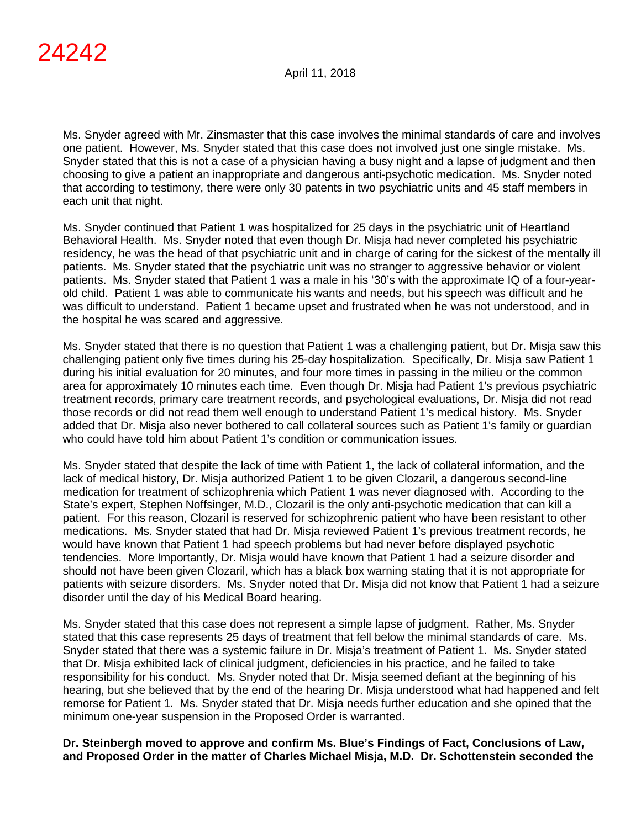Ms. Snyder agreed with Mr. Zinsmaster that this case involves the minimal standards of care and involves one patient. However, Ms. Snyder stated that this case does not involved just one single mistake. Ms. Snyder stated that this is not a case of a physician having a busy night and a lapse of judgment and then choosing to give a patient an inappropriate and dangerous anti-psychotic medication. Ms. Snyder noted that according to testimony, there were only 30 patents in two psychiatric units and 45 staff members in each unit that night.

Ms. Snyder continued that Patient 1 was hospitalized for 25 days in the psychiatric unit of Heartland Behavioral Health. Ms. Snyder noted that even though Dr. Misja had never completed his psychiatric residency, he was the head of that psychiatric unit and in charge of caring for the sickest of the mentally ill patients. Ms. Snyder stated that the psychiatric unit was no stranger to aggressive behavior or violent patients. Ms. Snyder stated that Patient 1 was a male in his '30's with the approximate IQ of a four-yearold child. Patient 1 was able to communicate his wants and needs, but his speech was difficult and he was difficult to understand. Patient 1 became upset and frustrated when he was not understood, and in the hospital he was scared and aggressive.

Ms. Snyder stated that there is no question that Patient 1 was a challenging patient, but Dr. Misja saw this challenging patient only five times during his 25-day hospitalization. Specifically, Dr. Misja saw Patient 1 during his initial evaluation for 20 minutes, and four more times in passing in the milieu or the common area for approximately 10 minutes each time. Even though Dr. Misja had Patient 1's previous psychiatric treatment records, primary care treatment records, and psychological evaluations, Dr. Misja did not read those records or did not read them well enough to understand Patient 1's medical history. Ms. Snyder added that Dr. Misja also never bothered to call collateral sources such as Patient 1's family or guardian who could have told him about Patient 1's condition or communication issues.

Ms. Snyder stated that despite the lack of time with Patient 1, the lack of collateral information, and the lack of medical history, Dr. Misja authorized Patient 1 to be given Clozaril, a dangerous second-line medication for treatment of schizophrenia which Patient 1 was never diagnosed with. According to the State's expert, Stephen Noffsinger, M.D., Clozaril is the only anti-psychotic medication that can kill a patient. For this reason, Clozaril is reserved for schizophrenic patient who have been resistant to other medications. Ms. Snyder stated that had Dr. Misja reviewed Patient 1's previous treatment records, he would have known that Patient 1 had speech problems but had never before displayed psychotic tendencies. More Importantly, Dr. Misja would have known that Patient 1 had a seizure disorder and should not have been given Clozaril, which has a black box warning stating that it is not appropriate for patients with seizure disorders. Ms. Snyder noted that Dr. Misja did not know that Patient 1 had a seizure disorder until the day of his Medical Board hearing.

Ms. Snyder stated that this case does not represent a simple lapse of judgment. Rather, Ms. Snyder stated that this case represents 25 days of treatment that fell below the minimal standards of care. Ms. Snyder stated that there was a systemic failure in Dr. Misja's treatment of Patient 1. Ms. Snyder stated that Dr. Misja exhibited lack of clinical judgment, deficiencies in his practice, and he failed to take responsibility for his conduct. Ms. Snyder noted that Dr. Misja seemed defiant at the beginning of his hearing, but she believed that by the end of the hearing Dr. Misja understood what had happened and felt remorse for Patient 1. Ms. Snyder stated that Dr. Misja needs further education and she opined that the minimum one-year suspension in the Proposed Order is warranted.

**Dr. Steinbergh moved to approve and confirm Ms. Blue's Findings of Fact, Conclusions of Law, and Proposed Order in the matter of Charles Michael Misja, M.D. Dr. Schottenstein seconded the**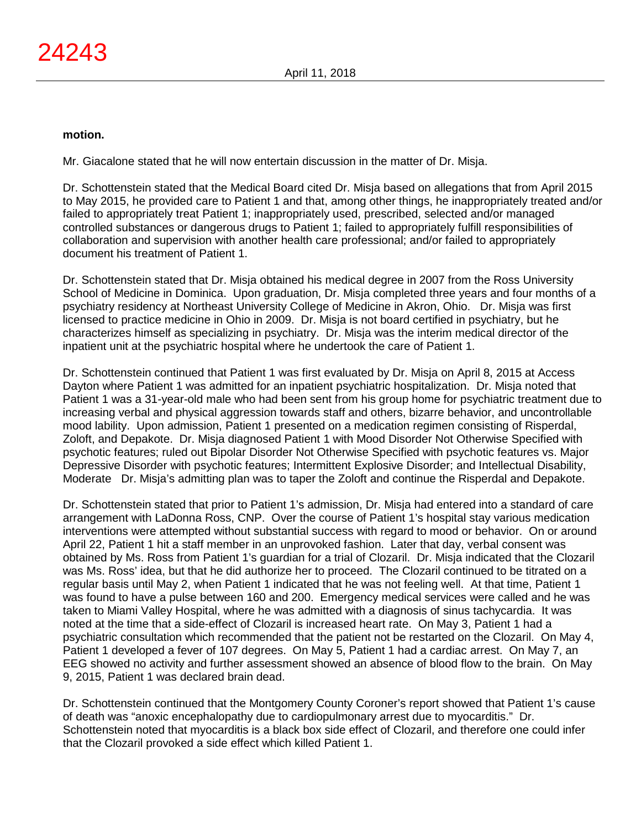### **motion.**

Mr. Giacalone stated that he will now entertain discussion in the matter of Dr. Misja.

Dr. Schottenstein stated that the Medical Board cited Dr. Misja based on allegations that from April 2015 to May 2015, he provided care to Patient 1 and that, among other things, he inappropriately treated and/or failed to appropriately treat Patient 1; inappropriately used, prescribed, selected and/or managed controlled substances or dangerous drugs to Patient 1; failed to appropriately fulfill responsibilities of collaboration and supervision with another health care professional; and/or failed to appropriately document his treatment of Patient 1.

Dr. Schottenstein stated that Dr. Misja obtained his medical degree in 2007 from the Ross University School of Medicine in Dominica. Upon graduation, Dr. Misja completed three years and four months of a psychiatry residency at Northeast University College of Medicine in Akron, Ohio. Dr. Misja was first licensed to practice medicine in Ohio in 2009. Dr. Misja is not board certified in psychiatry, but he characterizes himself as specializing in psychiatry. Dr. Misja was the interim medical director of the inpatient unit at the psychiatric hospital where he undertook the care of Patient 1.

Dr. Schottenstein continued that Patient 1 was first evaluated by Dr. Misja on April 8, 2015 at Access Dayton where Patient 1 was admitted for an inpatient psychiatric hospitalization. Dr. Misja noted that Patient 1 was a 31-year-old male who had been sent from his group home for psychiatric treatment due to increasing verbal and physical aggression towards staff and others, bizarre behavior, and uncontrollable mood lability. Upon admission, Patient 1 presented on a medication regimen consisting of Risperdal, Zoloft, and Depakote. Dr. Misja diagnosed Patient 1 with Mood Disorder Not Otherwise Specified with psychotic features; ruled out Bipolar Disorder Not Otherwise Specified with psychotic features vs. Major Depressive Disorder with psychotic features; Intermittent Explosive Disorder; and Intellectual Disability, Moderate Dr. Misja's admitting plan was to taper the Zoloft and continue the Risperdal and Depakote.

Dr. Schottenstein stated that prior to Patient 1's admission, Dr. Misja had entered into a standard of care arrangement with LaDonna Ross, CNP. Over the course of Patient 1's hospital stay various medication interventions were attempted without substantial success with regard to mood or behavior. On or around April 22, Patient 1 hit a staff member in an unprovoked fashion. Later that day, verbal consent was obtained by Ms. Ross from Patient 1's guardian for a trial of Clozaril. Dr. Misja indicated that the Clozaril was Ms. Ross' idea, but that he did authorize her to proceed. The Clozaril continued to be titrated on a regular basis until May 2, when Patient 1 indicated that he was not feeling well. At that time, Patient 1 was found to have a pulse between 160 and 200. Emergency medical services were called and he was taken to Miami Valley Hospital, where he was admitted with a diagnosis of sinus tachycardia. It was noted at the time that a side-effect of Clozaril is increased heart rate. On May 3, Patient 1 had a psychiatric consultation which recommended that the patient not be restarted on the Clozaril. On May 4, Patient 1 developed a fever of 107 degrees. On May 5, Patient 1 had a cardiac arrest. On May 7, an EEG showed no activity and further assessment showed an absence of blood flow to the brain. On May 9, 2015, Patient 1 was declared brain dead.

Dr. Schottenstein continued that the Montgomery County Coroner's report showed that Patient 1's cause of death was "anoxic encephalopathy due to cardiopulmonary arrest due to myocarditis." Dr. Schottenstein noted that myocarditis is a black box side effect of Clozaril, and therefore one could infer that the Clozaril provoked a side effect which killed Patient 1.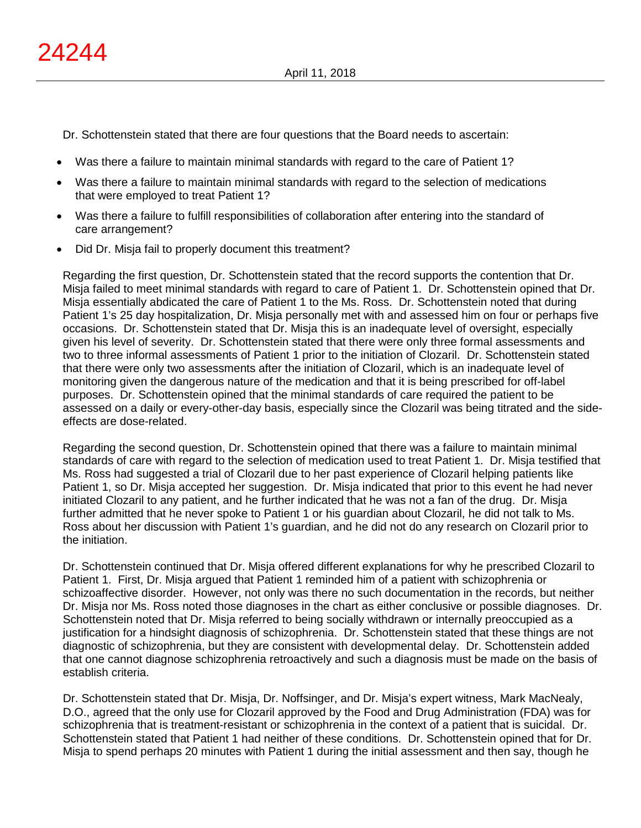Dr. Schottenstein stated that there are four questions that the Board needs to ascertain:

- Was there a failure to maintain minimal standards with regard to the care of Patient 1?
- Was there a failure to maintain minimal standards with regard to the selection of medications that were employed to treat Patient 1?
- Was there a failure to fulfill responsibilities of collaboration after entering into the standard of care arrangement?
- Did Dr. Misja fail to properly document this treatment?

Regarding the first question, Dr. Schottenstein stated that the record supports the contention that Dr. Misja failed to meet minimal standards with regard to care of Patient 1. Dr. Schottenstein opined that Dr. Misja essentially abdicated the care of Patient 1 to the Ms. Ross. Dr. Schottenstein noted that during Patient 1's 25 day hospitalization, Dr. Misja personally met with and assessed him on four or perhaps five occasions. Dr. Schottenstein stated that Dr. Misja this is an inadequate level of oversight, especially given his level of severity. Dr. Schottenstein stated that there were only three formal assessments and two to three informal assessments of Patient 1 prior to the initiation of Clozaril. Dr. Schottenstein stated that there were only two assessments after the initiation of Clozaril, which is an inadequate level of monitoring given the dangerous nature of the medication and that it is being prescribed for off-label purposes. Dr. Schottenstein opined that the minimal standards of care required the patient to be assessed on a daily or every-other-day basis, especially since the Clozaril was being titrated and the sideeffects are dose-related.

Regarding the second question, Dr. Schottenstein opined that there was a failure to maintain minimal standards of care with regard to the selection of medication used to treat Patient 1. Dr. Misja testified that Ms. Ross had suggested a trial of Clozaril due to her past experience of Clozaril helping patients like Patient 1, so Dr. Misja accepted her suggestion. Dr. Misja indicated that prior to this event he had never initiated Clozaril to any patient, and he further indicated that he was not a fan of the drug. Dr. Misja further admitted that he never spoke to Patient 1 or his guardian about Clozaril, he did not talk to Ms. Ross about her discussion with Patient 1's guardian, and he did not do any research on Clozaril prior to the initiation.

Dr. Schottenstein continued that Dr. Misja offered different explanations for why he prescribed Clozaril to Patient 1. First, Dr. Misja argued that Patient 1 reminded him of a patient with schizophrenia or schizoaffective disorder. However, not only was there no such documentation in the records, but neither Dr. Misja nor Ms. Ross noted those diagnoses in the chart as either conclusive or possible diagnoses. Dr. Schottenstein noted that Dr. Misja referred to being socially withdrawn or internally preoccupied as a justification for a hindsight diagnosis of schizophrenia. Dr. Schottenstein stated that these things are not diagnostic of schizophrenia, but they are consistent with developmental delay. Dr. Schottenstein added that one cannot diagnose schizophrenia retroactively and such a diagnosis must be made on the basis of establish criteria.

Dr. Schottenstein stated that Dr. Misja, Dr. Noffsinger, and Dr. Misja's expert witness, Mark MacNealy, D.O., agreed that the only use for Clozaril approved by the Food and Drug Administration (FDA) was for schizophrenia that is treatment-resistant or schizophrenia in the context of a patient that is suicidal. Dr. Schottenstein stated that Patient 1 had neither of these conditions. Dr. Schottenstein opined that for Dr. Misja to spend perhaps 20 minutes with Patient 1 during the initial assessment and then say, though he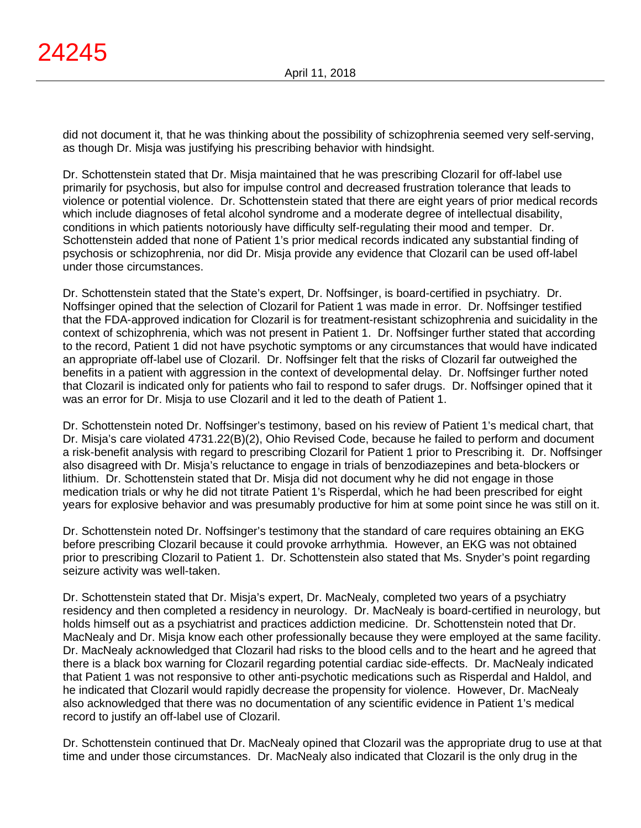did not document it, that he was thinking about the possibility of schizophrenia seemed very self-serving, as though Dr. Misja was justifying his prescribing behavior with hindsight.

Dr. Schottenstein stated that Dr. Misja maintained that he was prescribing Clozaril for off-label use primarily for psychosis, but also for impulse control and decreased frustration tolerance that leads to violence or potential violence. Dr. Schottenstein stated that there are eight years of prior medical records which include diagnoses of fetal alcohol syndrome and a moderate degree of intellectual disability, conditions in which patients notoriously have difficulty self-regulating their mood and temper. Dr. Schottenstein added that none of Patient 1's prior medical records indicated any substantial finding of psychosis or schizophrenia, nor did Dr. Misja provide any evidence that Clozaril can be used off-label under those circumstances.

Dr. Schottenstein stated that the State's expert, Dr. Noffsinger, is board-certified in psychiatry. Dr. Noffsinger opined that the selection of Clozaril for Patient 1 was made in error. Dr. Noffsinger testified that the FDA-approved indication for Clozaril is for treatment-resistant schizophrenia and suicidality in the context of schizophrenia, which was not present in Patient 1. Dr. Noffsinger further stated that according to the record, Patient 1 did not have psychotic symptoms or any circumstances that would have indicated an appropriate off-label use of Clozaril. Dr. Noffsinger felt that the risks of Clozaril far outweighed the benefits in a patient with aggression in the context of developmental delay. Dr. Noffsinger further noted that Clozaril is indicated only for patients who fail to respond to safer drugs. Dr. Noffsinger opined that it was an error for Dr. Misja to use Clozaril and it led to the death of Patient 1.

Dr. Schottenstein noted Dr. Noffsinger's testimony, based on his review of Patient 1's medical chart, that Dr. Misja's care violated 4731.22(B)(2), Ohio Revised Code, because he failed to perform and document a risk-benefit analysis with regard to prescribing Clozaril for Patient 1 prior to Prescribing it. Dr. Noffsinger also disagreed with Dr. Misja's reluctance to engage in trials of benzodiazepines and beta-blockers or lithium. Dr. Schottenstein stated that Dr. Misja did not document why he did not engage in those medication trials or why he did not titrate Patient 1's Risperdal, which he had been prescribed for eight years for explosive behavior and was presumably productive for him at some point since he was still on it.

Dr. Schottenstein noted Dr. Noffsinger's testimony that the standard of care requires obtaining an EKG before prescribing Clozaril because it could provoke arrhythmia. However, an EKG was not obtained prior to prescribing Clozaril to Patient 1. Dr. Schottenstein also stated that Ms. Snyder's point regarding seizure activity was well-taken.

Dr. Schottenstein stated that Dr. Misja's expert, Dr. MacNealy, completed two years of a psychiatry residency and then completed a residency in neurology. Dr. MacNealy is board-certified in neurology, but holds himself out as a psychiatrist and practices addiction medicine. Dr. Schottenstein noted that Dr. MacNealy and Dr. Misja know each other professionally because they were employed at the same facility. Dr. MacNealy acknowledged that Clozaril had risks to the blood cells and to the heart and he agreed that there is a black box warning for Clozaril regarding potential cardiac side-effects. Dr. MacNealy indicated that Patient 1 was not responsive to other anti-psychotic medications such as Risperdal and Haldol, and he indicated that Clozaril would rapidly decrease the propensity for violence. However, Dr. MacNealy also acknowledged that there was no documentation of any scientific evidence in Patient 1's medical record to justify an off-label use of Clozaril.

Dr. Schottenstein continued that Dr. MacNealy opined that Clozaril was the appropriate drug to use at that time and under those circumstances. Dr. MacNealy also indicated that Clozaril is the only drug in the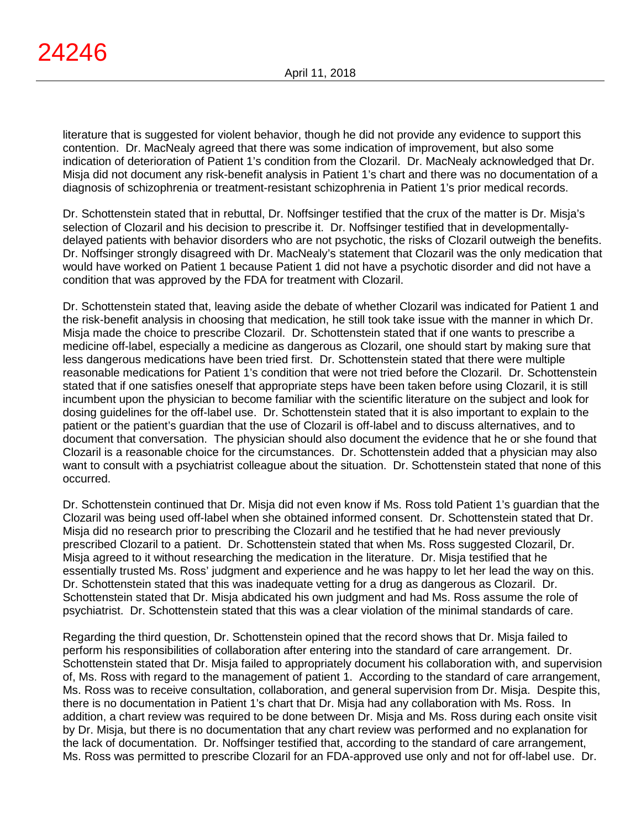literature that is suggested for violent behavior, though he did not provide any evidence to support this contention. Dr. MacNealy agreed that there was some indication of improvement, but also some indication of deterioration of Patient 1's condition from the Clozaril. Dr. MacNealy acknowledged that Dr. Misja did not document any risk-benefit analysis in Patient 1's chart and there was no documentation of a diagnosis of schizophrenia or treatment-resistant schizophrenia in Patient 1's prior medical records.

Dr. Schottenstein stated that in rebuttal, Dr. Noffsinger testified that the crux of the matter is Dr. Misja's selection of Clozaril and his decision to prescribe it. Dr. Noffsinger testified that in developmentallydelayed patients with behavior disorders who are not psychotic, the risks of Clozaril outweigh the benefits. Dr. Noffsinger strongly disagreed with Dr. MacNealy's statement that Clozaril was the only medication that would have worked on Patient 1 because Patient 1 did not have a psychotic disorder and did not have a condition that was approved by the FDA for treatment with Clozaril.

Dr. Schottenstein stated that, leaving aside the debate of whether Clozaril was indicated for Patient 1 and the risk-benefit analysis in choosing that medication, he still took take issue with the manner in which Dr. Misja made the choice to prescribe Clozaril. Dr. Schottenstein stated that if one wants to prescribe a medicine off-label, especially a medicine as dangerous as Clozaril, one should start by making sure that less dangerous medications have been tried first. Dr. Schottenstein stated that there were multiple reasonable medications for Patient 1's condition that were not tried before the Clozaril. Dr. Schottenstein stated that if one satisfies oneself that appropriate steps have been taken before using Clozaril, it is still incumbent upon the physician to become familiar with the scientific literature on the subject and look for dosing guidelines for the off-label use. Dr. Schottenstein stated that it is also important to explain to the patient or the patient's guardian that the use of Clozaril is off-label and to discuss alternatives, and to document that conversation. The physician should also document the evidence that he or she found that Clozaril is a reasonable choice for the circumstances. Dr. Schottenstein added that a physician may also want to consult with a psychiatrist colleague about the situation. Dr. Schottenstein stated that none of this occurred.

Dr. Schottenstein continued that Dr. Misja did not even know if Ms. Ross told Patient 1's guardian that the Clozaril was being used off-label when she obtained informed consent. Dr. Schottenstein stated that Dr. Misja did no research prior to prescribing the Clozaril and he testified that he had never previously prescribed Clozaril to a patient. Dr. Schottenstein stated that when Ms. Ross suggested Clozaril, Dr. Misja agreed to it without researching the medication in the literature. Dr. Misja testified that he essentially trusted Ms. Ross' judgment and experience and he was happy to let her lead the way on this. Dr. Schottenstein stated that this was inadequate vetting for a drug as dangerous as Clozaril. Dr. Schottenstein stated that Dr. Misja abdicated his own judgment and had Ms. Ross assume the role of psychiatrist. Dr. Schottenstein stated that this was a clear violation of the minimal standards of care.

Regarding the third question, Dr. Schottenstein opined that the record shows that Dr. Misja failed to perform his responsibilities of collaboration after entering into the standard of care arrangement. Dr. Schottenstein stated that Dr. Misja failed to appropriately document his collaboration with, and supervision of, Ms. Ross with regard to the management of patient 1. According to the standard of care arrangement, Ms. Ross was to receive consultation, collaboration, and general supervision from Dr. Misja. Despite this, there is no documentation in Patient 1's chart that Dr. Misja had any collaboration with Ms. Ross. In addition, a chart review was required to be done between Dr. Misja and Ms. Ross during each onsite visit by Dr. Misja, but there is no documentation that any chart review was performed and no explanation for the lack of documentation. Dr. Noffsinger testified that, according to the standard of care arrangement, Ms. Ross was permitted to prescribe Clozaril for an FDA-approved use only and not for off-label use. Dr.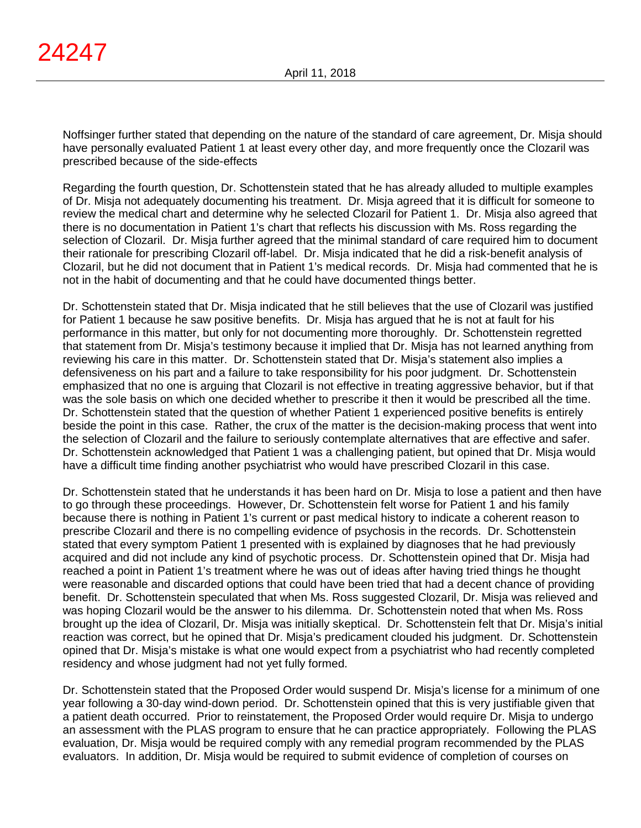Noffsinger further stated that depending on the nature of the standard of care agreement, Dr. Misja should have personally evaluated Patient 1 at least every other day, and more frequently once the Clozaril was prescribed because of the side-effects

Regarding the fourth question, Dr. Schottenstein stated that he has already alluded to multiple examples of Dr. Misja not adequately documenting his treatment. Dr. Misja agreed that it is difficult for someone to review the medical chart and determine why he selected Clozaril for Patient 1. Dr. Misja also agreed that there is no documentation in Patient 1's chart that reflects his discussion with Ms. Ross regarding the selection of Clozaril. Dr. Misja further agreed that the minimal standard of care required him to document their rationale for prescribing Clozaril off-label. Dr. Misja indicated that he did a risk-benefit analysis of Clozaril, but he did not document that in Patient 1's medical records. Dr. Misja had commented that he is not in the habit of documenting and that he could have documented things better.

Dr. Schottenstein stated that Dr. Misja indicated that he still believes that the use of Clozaril was justified for Patient 1 because he saw positive benefits. Dr. Misja has argued that he is not at fault for his performance in this matter, but only for not documenting more thoroughly. Dr. Schottenstein regretted that statement from Dr. Misja's testimony because it implied that Dr. Misja has not learned anything from reviewing his care in this matter. Dr. Schottenstein stated that Dr. Misja's statement also implies a defensiveness on his part and a failure to take responsibility for his poor judgment. Dr. Schottenstein emphasized that no one is arguing that Clozaril is not effective in treating aggressive behavior, but if that was the sole basis on which one decided whether to prescribe it then it would be prescribed all the time. Dr. Schottenstein stated that the question of whether Patient 1 experienced positive benefits is entirely beside the point in this case. Rather, the crux of the matter is the decision-making process that went into the selection of Clozaril and the failure to seriously contemplate alternatives that are effective and safer. Dr. Schottenstein acknowledged that Patient 1 was a challenging patient, but opined that Dr. Misja would have a difficult time finding another psychiatrist who would have prescribed Clozaril in this case.

Dr. Schottenstein stated that he understands it has been hard on Dr. Misja to lose a patient and then have to go through these proceedings. However, Dr. Schottenstein felt worse for Patient 1 and his family because there is nothing in Patient 1's current or past medical history to indicate a coherent reason to prescribe Clozaril and there is no compelling evidence of psychosis in the records. Dr. Schottenstein stated that every symptom Patient 1 presented with is explained by diagnoses that he had previously acquired and did not include any kind of psychotic process. Dr. Schottenstein opined that Dr. Misja had reached a point in Patient 1's treatment where he was out of ideas after having tried things he thought were reasonable and discarded options that could have been tried that had a decent chance of providing benefit. Dr. Schottenstein speculated that when Ms. Ross suggested Clozaril, Dr. Misja was relieved and was hoping Clozaril would be the answer to his dilemma. Dr. Schottenstein noted that when Ms. Ross brought up the idea of Clozaril, Dr. Misja was initially skeptical. Dr. Schottenstein felt that Dr. Misja's initial reaction was correct, but he opined that Dr. Misja's predicament clouded his judgment. Dr. Schottenstein opined that Dr. Misja's mistake is what one would expect from a psychiatrist who had recently completed residency and whose judgment had not yet fully formed.

Dr. Schottenstein stated that the Proposed Order would suspend Dr. Misja's license for a minimum of one year following a 30-day wind-down period. Dr. Schottenstein opined that this is very justifiable given that a patient death occurred. Prior to reinstatement, the Proposed Order would require Dr. Misja to undergo an assessment with the PLAS program to ensure that he can practice appropriately. Following the PLAS evaluation, Dr. Misja would be required comply with any remedial program recommended by the PLAS evaluators. In addition, Dr. Misja would be required to submit evidence of completion of courses on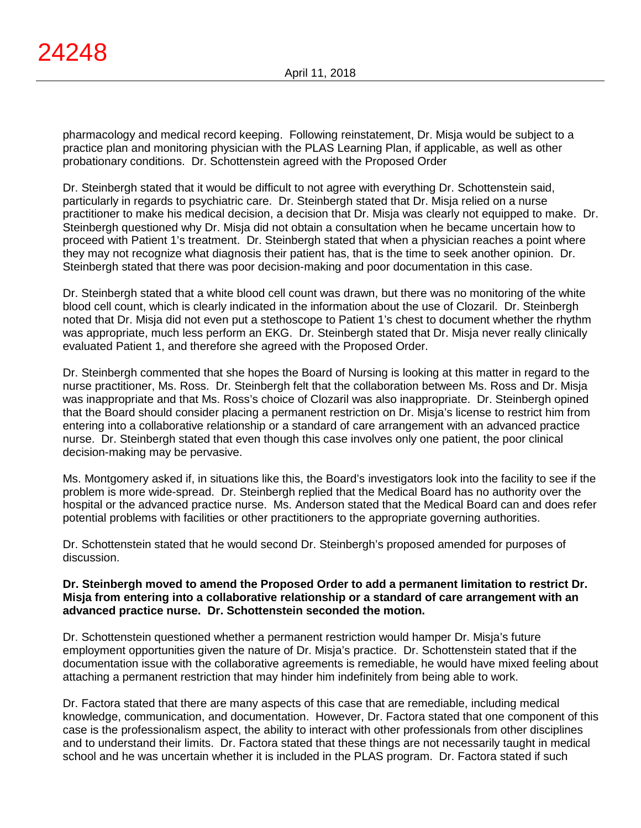pharmacology and medical record keeping. Following reinstatement, Dr. Misja would be subject to a practice plan and monitoring physician with the PLAS Learning Plan, if applicable, as well as other probationary conditions. Dr. Schottenstein agreed with the Proposed Order

Dr. Steinbergh stated that it would be difficult to not agree with everything Dr. Schottenstein said, particularly in regards to psychiatric care. Dr. Steinbergh stated that Dr. Misja relied on a nurse practitioner to make his medical decision, a decision that Dr. Misja was clearly not equipped to make. Dr. Steinbergh questioned why Dr. Misja did not obtain a consultation when he became uncertain how to proceed with Patient 1's treatment. Dr. Steinbergh stated that when a physician reaches a point where they may not recognize what diagnosis their patient has, that is the time to seek another opinion. Dr. Steinbergh stated that there was poor decision-making and poor documentation in this case.

Dr. Steinbergh stated that a white blood cell count was drawn, but there was no monitoring of the white blood cell count, which is clearly indicated in the information about the use of Clozaril. Dr. Steinbergh noted that Dr. Misja did not even put a stethoscope to Patient 1's chest to document whether the rhythm was appropriate, much less perform an EKG. Dr. Steinbergh stated that Dr. Misja never really clinically evaluated Patient 1, and therefore she agreed with the Proposed Order.

Dr. Steinbergh commented that she hopes the Board of Nursing is looking at this matter in regard to the nurse practitioner, Ms. Ross. Dr. Steinbergh felt that the collaboration between Ms. Ross and Dr. Misja was inappropriate and that Ms. Ross's choice of Clozaril was also inappropriate. Dr. Steinbergh opined that the Board should consider placing a permanent restriction on Dr. Misja's license to restrict him from entering into a collaborative relationship or a standard of care arrangement with an advanced practice nurse. Dr. Steinbergh stated that even though this case involves only one patient, the poor clinical decision-making may be pervasive.

Ms. Montgomery asked if, in situations like this, the Board's investigators look into the facility to see if the problem is more wide-spread. Dr. Steinbergh replied that the Medical Board has no authority over the hospital or the advanced practice nurse. Ms. Anderson stated that the Medical Board can and does refer potential problems with facilities or other practitioners to the appropriate governing authorities.

Dr. Schottenstein stated that he would second Dr. Steinbergh's proposed amended for purposes of discussion.

# **Dr. Steinbergh moved to amend the Proposed Order to add a permanent limitation to restrict Dr. Misja from entering into a collaborative relationship or a standard of care arrangement with an advanced practice nurse. Dr. Schottenstein seconded the motion.**

Dr. Schottenstein questioned whether a permanent restriction would hamper Dr. Misja's future employment opportunities given the nature of Dr. Misja's practice. Dr. Schottenstein stated that if the documentation issue with the collaborative agreements is remediable, he would have mixed feeling about attaching a permanent restriction that may hinder him indefinitely from being able to work.

Dr. Factora stated that there are many aspects of this case that are remediable, including medical knowledge, communication, and documentation. However, Dr. Factora stated that one component of this case is the professionalism aspect, the ability to interact with other professionals from other disciplines and to understand their limits. Dr. Factora stated that these things are not necessarily taught in medical school and he was uncertain whether it is included in the PLAS program. Dr. Factora stated if such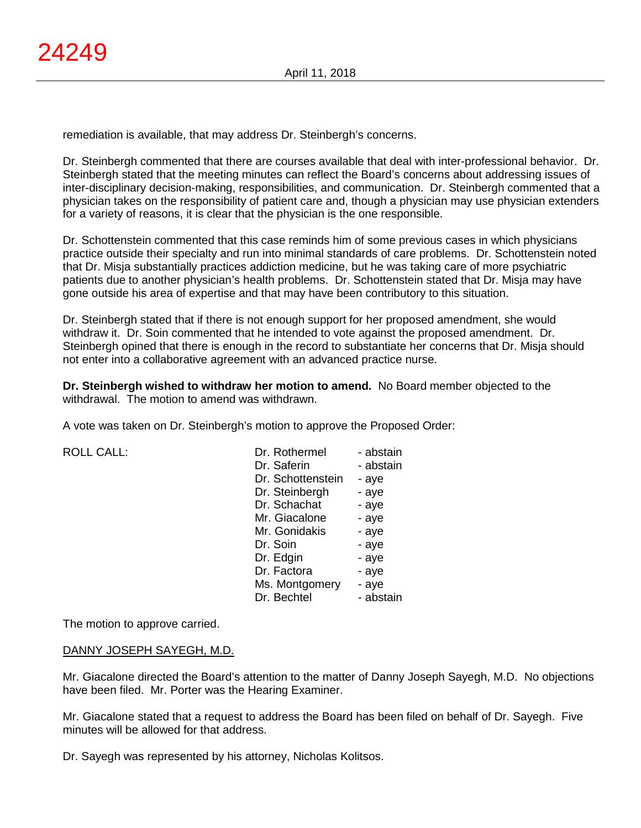remediation is available, that may address Dr. Steinbergh's concerns.

Dr. Steinbergh commented that there are courses available that deal with inter-professional behavior. Dr. Steinbergh stated that the meeting minutes can reflect the Board's concerns about addressing issues of inter-disciplinary decision-making, responsibilities, and communication. Dr. Steinbergh commented that a physician takes on the responsibility of patient care and, though a physician may use physician extenders for a variety of reasons, it is clear that the physician is the one responsible.

Dr. Schottenstein commented that this case reminds him of some previous cases in which physicians practice outside their specialty and run into minimal standards of care problems. Dr. Schottenstein noted that Dr. Misja substantially practices addiction medicine, but he was taking care of more psychiatric patients due to another physician's health problems. Dr. Schottenstein stated that Dr. Misja may have gone outside his area of expertise and that may have been contributory to this situation.

Dr. Steinbergh stated that if there is not enough support for her proposed amendment, she would withdraw it. Dr. Soin commented that he intended to vote against the proposed amendment. Dr. Steinbergh opined that there is enough in the record to substantiate her concerns that Dr. Misja should not enter into a collaborative agreement with an advanced practice nurse.

**Dr. Steinbergh wished to withdraw her motion to amend.** No Board member objected to the withdrawal. The motion to amend was withdrawn.

A vote was taken on Dr. Steinbergh's motion to approve the Proposed Order:

ROLL CALL:

| - abstain |
|-----------|
| - abstain |
| - aye     |
| - aye     |
| - aye     |
| - aye     |
| - aye     |
| - aye     |
| - aye     |
| - aye     |
| - aye     |
| - abstain |
|           |

The motion to approve carried.

### DANNY JOSEPH SAYEGH, M.D.

Mr. Giacalone directed the Board's attention to the matter of Danny Joseph Sayegh, M.D. No objections have been filed. Mr. Porter was the Hearing Examiner.

Mr. Giacalone stated that a request to address the Board has been filed on behalf of Dr. Sayegh. Five minutes will be allowed for that address.

Dr. Sayegh was represented by his attorney, Nicholas Kolitsos.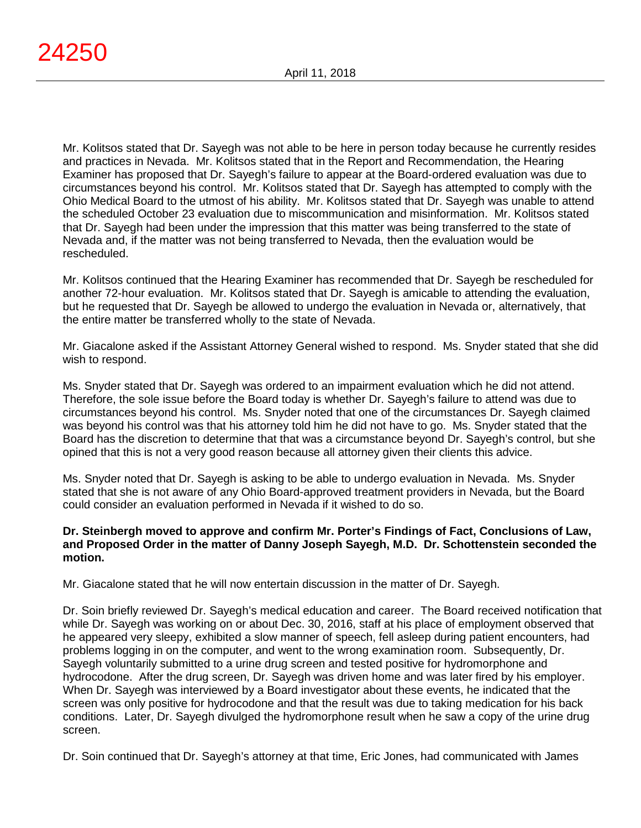Mr. Kolitsos stated that Dr. Sayegh was not able to be here in person today because he currently resides and practices in Nevada. Mr. Kolitsos stated that in the Report and Recommendation, the Hearing Examiner has proposed that Dr. Sayegh's failure to appear at the Board-ordered evaluation was due to circumstances beyond his control. Mr. Kolitsos stated that Dr. Sayegh has attempted to comply with the Ohio Medical Board to the utmost of his ability. Mr. Kolitsos stated that Dr. Sayegh was unable to attend the scheduled October 23 evaluation due to miscommunication and misinformation. Mr. Kolitsos stated that Dr. Sayegh had been under the impression that this matter was being transferred to the state of Nevada and, if the matter was not being transferred to Nevada, then the evaluation would be rescheduled.

Mr. Kolitsos continued that the Hearing Examiner has recommended that Dr. Sayegh be rescheduled for another 72-hour evaluation. Mr. Kolitsos stated that Dr. Sayegh is amicable to attending the evaluation, but he requested that Dr. Sayegh be allowed to undergo the evaluation in Nevada or, alternatively, that the entire matter be transferred wholly to the state of Nevada.

Mr. Giacalone asked if the Assistant Attorney General wished to respond. Ms. Snyder stated that she did wish to respond.

Ms. Snyder stated that Dr. Sayegh was ordered to an impairment evaluation which he did not attend. Therefore, the sole issue before the Board today is whether Dr. Sayegh's failure to attend was due to circumstances beyond his control. Ms. Snyder noted that one of the circumstances Dr. Sayegh claimed was beyond his control was that his attorney told him he did not have to go. Ms. Snyder stated that the Board has the discretion to determine that that was a circumstance beyond Dr. Sayegh's control, but she opined that this is not a very good reason because all attorney given their clients this advice.

Ms. Snyder noted that Dr. Sayegh is asking to be able to undergo evaluation in Nevada. Ms. Snyder stated that she is not aware of any Ohio Board-approved treatment providers in Nevada, but the Board could consider an evaluation performed in Nevada if it wished to do so.

# **Dr. Steinbergh moved to approve and confirm Mr. Porter's Findings of Fact, Conclusions of Law, and Proposed Order in the matter of Danny Joseph Sayegh, M.D. Dr. Schottenstein seconded the motion.**

Mr. Giacalone stated that he will now entertain discussion in the matter of Dr. Sayegh.

Dr. Soin briefly reviewed Dr. Sayegh's medical education and career. The Board received notification that while Dr. Sayegh was working on or about Dec. 30, 2016, staff at his place of employment observed that he appeared very sleepy, exhibited a slow manner of speech, fell asleep during patient encounters, had problems logging in on the computer, and went to the wrong examination room. Subsequently, Dr. Sayegh voluntarily submitted to a urine drug screen and tested positive for hydromorphone and hydrocodone. After the drug screen, Dr. Sayegh was driven home and was later fired by his employer. When Dr. Sayegh was interviewed by a Board investigator about these events, he indicated that the screen was only positive for hydrocodone and that the result was due to taking medication for his back conditions. Later, Dr. Sayegh divulged the hydromorphone result when he saw a copy of the urine drug screen.

Dr. Soin continued that Dr. Sayegh's attorney at that time, Eric Jones, had communicated with James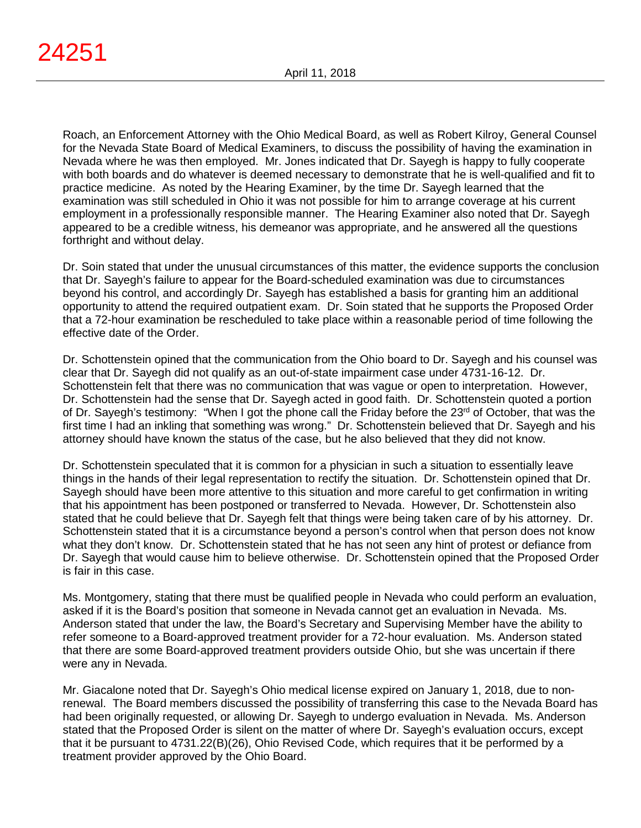Roach, an Enforcement Attorney with the Ohio Medical Board, as well as Robert Kilroy, General Counsel for the Nevada State Board of Medical Examiners, to discuss the possibility of having the examination in Nevada where he was then employed. Mr. Jones indicated that Dr. Sayegh is happy to fully cooperate with both boards and do whatever is deemed necessary to demonstrate that he is well-qualified and fit to practice medicine. As noted by the Hearing Examiner, by the time Dr. Sayegh learned that the examination was still scheduled in Ohio it was not possible for him to arrange coverage at his current employment in a professionally responsible manner. The Hearing Examiner also noted that Dr. Sayegh appeared to be a credible witness, his demeanor was appropriate, and he answered all the questions forthright and without delay.

Dr. Soin stated that under the unusual circumstances of this matter, the evidence supports the conclusion that Dr. Sayegh's failure to appear for the Board-scheduled examination was due to circumstances beyond his control, and accordingly Dr. Sayegh has established a basis for granting him an additional opportunity to attend the required outpatient exam. Dr. Soin stated that he supports the Proposed Order that a 72-hour examination be rescheduled to take place within a reasonable period of time following the effective date of the Order.

Dr. Schottenstein opined that the communication from the Ohio board to Dr. Sayegh and his counsel was clear that Dr. Sayegh did not qualify as an out-of-state impairment case under 4731-16-12. Dr. Schottenstein felt that there was no communication that was vague or open to interpretation. However, Dr. Schottenstein had the sense that Dr. Sayegh acted in good faith. Dr. Schottenstein quoted a portion of Dr. Sayegh's testimony: "When I got the phone call the Friday before the 23<sup>rd</sup> of October, that was the first time I had an inkling that something was wrong." Dr. Schottenstein believed that Dr. Sayegh and his attorney should have known the status of the case, but he also believed that they did not know.

Dr. Schottenstein speculated that it is common for a physician in such a situation to essentially leave things in the hands of their legal representation to rectify the situation. Dr. Schottenstein opined that Dr. Sayegh should have been more attentive to this situation and more careful to get confirmation in writing that his appointment has been postponed or transferred to Nevada. However, Dr. Schottenstein also stated that he could believe that Dr. Sayegh felt that things were being taken care of by his attorney. Dr. Schottenstein stated that it is a circumstance beyond a person's control when that person does not know what they don't know. Dr. Schottenstein stated that he has not seen any hint of protest or defiance from Dr. Sayegh that would cause him to believe otherwise. Dr. Schottenstein opined that the Proposed Order is fair in this case.

Ms. Montgomery, stating that there must be qualified people in Nevada who could perform an evaluation, asked if it is the Board's position that someone in Nevada cannot get an evaluation in Nevada. Ms. Anderson stated that under the law, the Board's Secretary and Supervising Member have the ability to refer someone to a Board-approved treatment provider for a 72-hour evaluation. Ms. Anderson stated that there are some Board-approved treatment providers outside Ohio, but she was uncertain if there were any in Nevada.

Mr. Giacalone noted that Dr. Sayegh's Ohio medical license expired on January 1, 2018, due to nonrenewal. The Board members discussed the possibility of transferring this case to the Nevada Board has had been originally requested, or allowing Dr. Sayegh to undergo evaluation in Nevada. Ms. Anderson stated that the Proposed Order is silent on the matter of where Dr. Sayegh's evaluation occurs, except that it be pursuant to 4731.22(B)(26), Ohio Revised Code, which requires that it be performed by a treatment provider approved by the Ohio Board.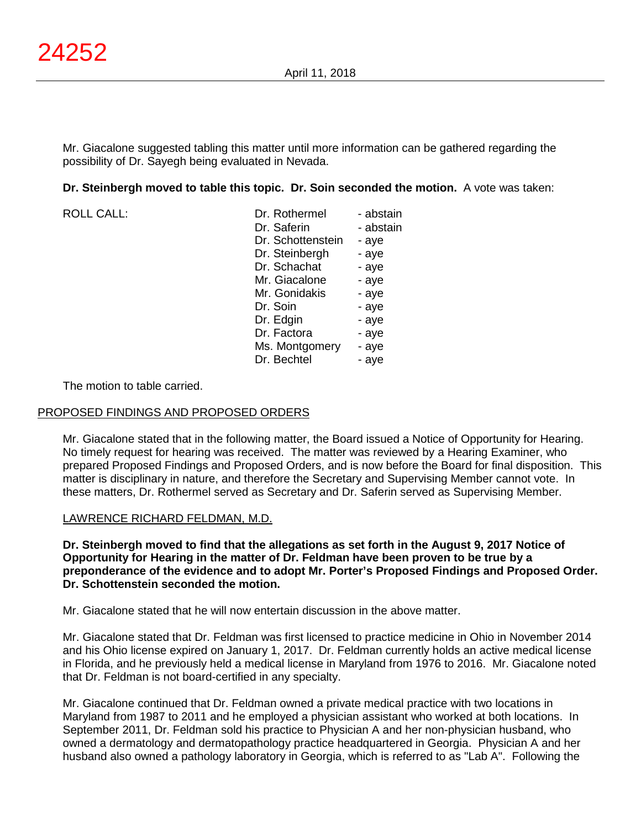Mr. Giacalone suggested tabling this matter until more information can be gathered regarding the possibility of Dr. Sayegh being evaluated in Nevada.

### **Dr. Steinbergh moved to table this topic. Dr. Soin seconded the motion.** A vote was taken:

ROLL CALL:

| Dr. Rothermel     | - abstain |
|-------------------|-----------|
|                   |           |
| Dr. Saferin       | - abstain |
| Dr. Schottenstein | - aye     |
| Dr. Steinbergh    | - aye     |
| Dr. Schachat      | - aye     |
| Mr. Giacalone     | - aye     |
| Mr. Gonidakis     | - aye     |
| Dr. Soin          | - aye     |
| Dr. Edgin         | - aye     |
| Dr. Factora       | - aye     |
| Ms. Montgomery    | - aye     |
| Dr. Bechtel       | - aye     |
|                   |           |

The motion to table carried.

#### PROPOSED FINDINGS AND PROPOSED ORDERS

Mr. Giacalone stated that in the following matter, the Board issued a Notice of Opportunity for Hearing. No timely request for hearing was received. The matter was reviewed by a Hearing Examiner, who prepared Proposed Findings and Proposed Orders, and is now before the Board for final disposition. This matter is disciplinary in nature, and therefore the Secretary and Supervising Member cannot vote. In these matters, Dr. Rothermel served as Secretary and Dr. Saferin served as Supervising Member.

#### LAWRENCE RICHARD FELDMAN, M.D.

**Dr. Steinbergh moved to find that the allegations as set forth in the August 9, 2017 Notice of Opportunity for Hearing in the matter of Dr. Feldman have been proven to be true by a preponderance of the evidence and to adopt Mr. Porter's Proposed Findings and Proposed Order. Dr. Schottenstein seconded the motion.**

Mr. Giacalone stated that he will now entertain discussion in the above matter.

Mr. Giacalone stated that Dr. Feldman was first licensed to practice medicine in Ohio in November 2014 and his Ohio license expired on January 1, 2017. Dr. Feldman currently holds an active medical license in Florida, and he previously held a medical license in Maryland from 1976 to 2016. Mr. Giacalone noted that Dr. Feldman is not board-certified in any specialty.

Mr. Giacalone continued that Dr. Feldman owned a private medical practice with two locations in Maryland from 1987 to 2011 and he employed a physician assistant who worked at both locations. In September 2011, Dr. Feldman sold his practice to Physician A and her non-physician husband, who owned a dermatology and dermatopathology practice headquartered in Georgia. Physician A and her husband also owned a pathology laboratory in Georgia, which is referred to as "Lab A". Following the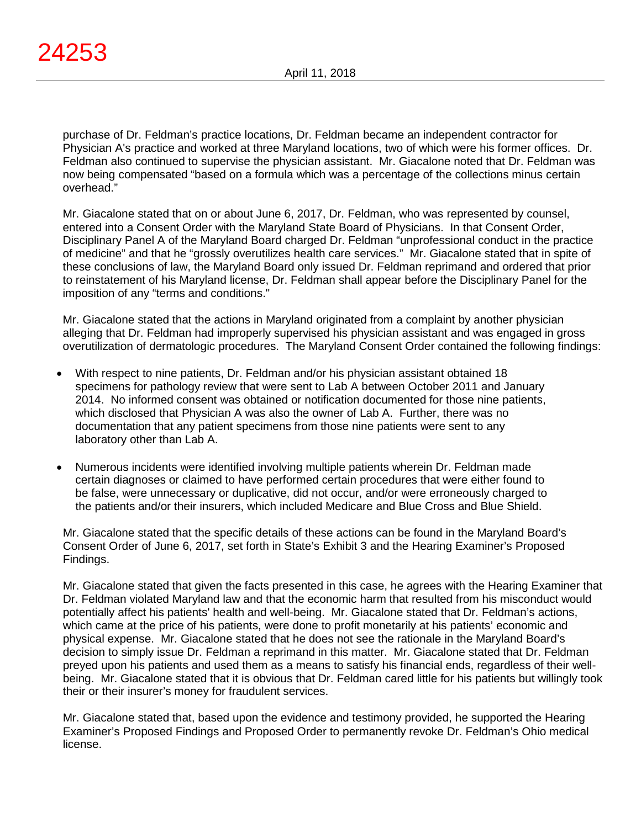purchase of Dr. Feldman's practice locations, Dr. Feldman became an independent contractor for Physician A's practice and worked at three Maryland locations, two of which were his former offices. Dr. Feldman also continued to supervise the physician assistant. Mr. Giacalone noted that Dr. Feldman was now being compensated "based on a formula which was a percentage of the collections minus certain overhead."

Mr. Giacalone stated that on or about June 6, 2017, Dr. Feldman, who was represented by counsel, entered into a Consent Order with the Maryland State Board of Physicians. In that Consent Order, Disciplinary Panel A of the Maryland Board charged Dr. Feldman "unprofessional conduct in the practice of medicine" and that he "grossly overutilizes health care services." Mr. Giacalone stated that in spite of these conclusions of law, the Maryland Board only issued Dr. Feldman reprimand and ordered that prior to reinstatement of his Maryland license, Dr. Feldman shall appear before the Disciplinary Panel for the imposition of any "terms and conditions."

Mr. Giacalone stated that the actions in Maryland originated from a complaint by another physician alleging that Dr. Feldman had improperly supervised his physician assistant and was engaged in gross overutilization of dermatologic procedures. The Maryland Consent Order contained the following findings:

- With respect to nine patients, Dr. Feldman and/or his physician assistant obtained 18 specimens for pathology review that were sent to Lab A between October 2011 and January 2014. No informed consent was obtained or notification documented for those nine patients, which disclosed that Physician A was also the owner of Lab A. Further, there was no documentation that any patient specimens from those nine patients were sent to any laboratory other than Lab A.
- Numerous incidents were identified involving multiple patients wherein Dr. Feldman made certain diagnoses or claimed to have performed certain procedures that were either found to be false, were unnecessary or duplicative, did not occur, and/or were erroneously charged to the patients and/or their insurers, which included Medicare and Blue Cross and Blue Shield.

Mr. Giacalone stated that the specific details of these actions can be found in the Maryland Board's Consent Order of June 6, 2017, set forth in State's Exhibit 3 and the Hearing Examiner's Proposed Findings.

Mr. Giacalone stated that given the facts presented in this case, he agrees with the Hearing Examiner that Dr. Feldman violated Maryland law and that the economic harm that resulted from his misconduct would potentially affect his patients' health and well-being. Mr. Giacalone stated that Dr. Feldman's actions, which came at the price of his patients, were done to profit monetarily at his patients' economic and physical expense. Mr. Giacalone stated that he does not see the rationale in the Maryland Board's decision to simply issue Dr. Feldman a reprimand in this matter. Mr. Giacalone stated that Dr. Feldman preyed upon his patients and used them as a means to satisfy his financial ends, regardless of their wellbeing. Mr. Giacalone stated that it is obvious that Dr. Feldman cared little for his patients but willingly took their or their insurer's money for fraudulent services.

Mr. Giacalone stated that, based upon the evidence and testimony provided, he supported the Hearing Examiner's Proposed Findings and Proposed Order to permanently revoke Dr. Feldman's Ohio medical license.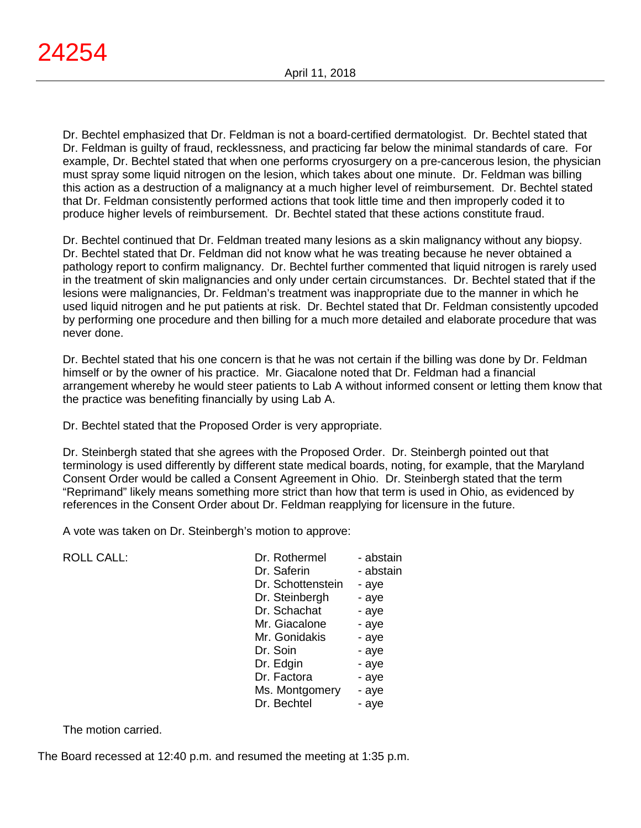Dr. Bechtel emphasized that Dr. Feldman is not a board-certified dermatologist. Dr. Bechtel stated that Dr. Feldman is guilty of fraud, recklessness, and practicing far below the minimal standards of care. For example, Dr. Bechtel stated that when one performs cryosurgery on a pre-cancerous lesion, the physician must spray some liquid nitrogen on the lesion, which takes about one minute. Dr. Feldman was billing this action as a destruction of a malignancy at a much higher level of reimbursement. Dr. Bechtel stated that Dr. Feldman consistently performed actions that took little time and then improperly coded it to produce higher levels of reimbursement. Dr. Bechtel stated that these actions constitute fraud.

Dr. Bechtel continued that Dr. Feldman treated many lesions as a skin malignancy without any biopsy. Dr. Bechtel stated that Dr. Feldman did not know what he was treating because he never obtained a pathology report to confirm malignancy. Dr. Bechtel further commented that liquid nitrogen is rarely used in the treatment of skin malignancies and only under certain circumstances. Dr. Bechtel stated that if the lesions were malignancies, Dr. Feldman's treatment was inappropriate due to the manner in which he used liquid nitrogen and he put patients at risk. Dr. Bechtel stated that Dr. Feldman consistently upcoded by performing one procedure and then billing for a much more detailed and elaborate procedure that was never done.

Dr. Bechtel stated that his one concern is that he was not certain if the billing was done by Dr. Feldman himself or by the owner of his practice. Mr. Giacalone noted that Dr. Feldman had a financial arrangement whereby he would steer patients to Lab A without informed consent or letting them know that the practice was benefiting financially by using Lab A.

Dr. Bechtel stated that the Proposed Order is very appropriate.

Dr. Steinbergh stated that she agrees with the Proposed Order. Dr. Steinbergh pointed out that terminology is used differently by different state medical boards, noting, for example, that the Maryland Consent Order would be called a Consent Agreement in Ohio. Dr. Steinbergh stated that the term "Reprimand" likely means something more strict than how that term is used in Ohio, as evidenced by references in the Consent Order about Dr. Feldman reapplying for licensure in the future.

A vote was taken on Dr. Steinbergh's motion to approve:

ROLL CALL:

| Dr. Rothermel     | - abstain |
|-------------------|-----------|
| Dr. Saferin       | - abstain |
| Dr. Schottenstein | - aye     |
| Dr. Steinbergh    | - aye     |
| Dr. Schachat      | - aye     |
| Mr. Giacalone     | - aye     |
| Mr. Gonidakis     | - aye     |
| Dr. Soin          | - aye     |
| Dr. Edgin         | - aye     |
| Dr. Factora       | - aye     |
| Ms. Montgomery    | - aye     |
| Dr. Bechtel       | - aye     |
|                   |           |

The motion carried.

The Board recessed at 12:40 p.m. and resumed the meeting at 1:35 p.m.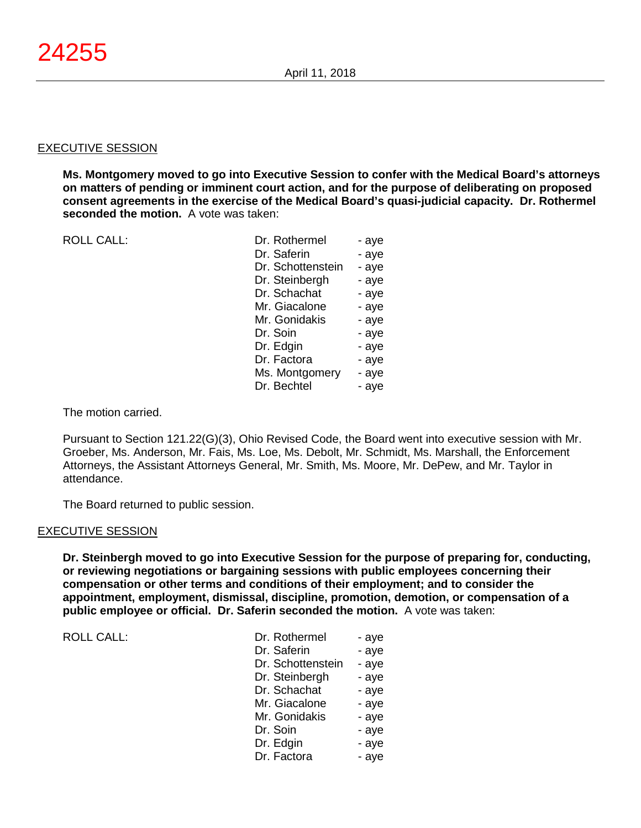#### EXECUTIVE SESSION

**Ms. Montgomery moved to go into Executive Session to confer with the Medical Board's attorneys on matters of pending or imminent court action, and for the purpose of deliberating on proposed consent agreements in the exercise of the Medical Board's quasi-judicial capacity. Dr. Rothermel seconded the motion.** A vote was taken:

ROLL CALL:

| - aye |
|-------|
| - aye |
| - aye |
| - aye |
| - aye |
| - aye |
| - aye |
| - aye |
| - aye |
| - aye |
| - aye |
| - aye |
|       |

The motion carried.

Pursuant to Section 121.22(G)(3), Ohio Revised Code, the Board went into executive session with Mr. Groeber, Ms. Anderson, Mr. Fais, Ms. Loe, Ms. Debolt, Mr. Schmidt, Ms. Marshall, the Enforcement Attorneys, the Assistant Attorneys General, Mr. Smith, Ms. Moore, Mr. DePew, and Mr. Taylor in attendance.

The Board returned to public session.

#### EXECUTIVE SESSION

**Dr. Steinbergh moved to go into Executive Session for the purpose of preparing for, conducting, or reviewing negotiations or bargaining sessions with public employees concerning their compensation or other terms and conditions of their employment; and to consider the appointment, employment, dismissal, discipline, promotion, demotion, or compensation of a public employee or official. Dr. Saferin seconded the motion.** A vote was taken:

ROLL CALL:

| Dr. Rothermel     | - aye |
|-------------------|-------|
| Dr. Saferin       | - aye |
| Dr. Schottenstein | - aye |
| Dr. Steinbergh    | - aye |
| Dr. Schachat      | - aye |
| Mr. Giacalone     | - aye |
| Mr. Gonidakis     | - aye |
| Dr. Soin          | - aye |
| Dr. Edgin         | - aye |
| Dr. Factora       | - aye |
|                   |       |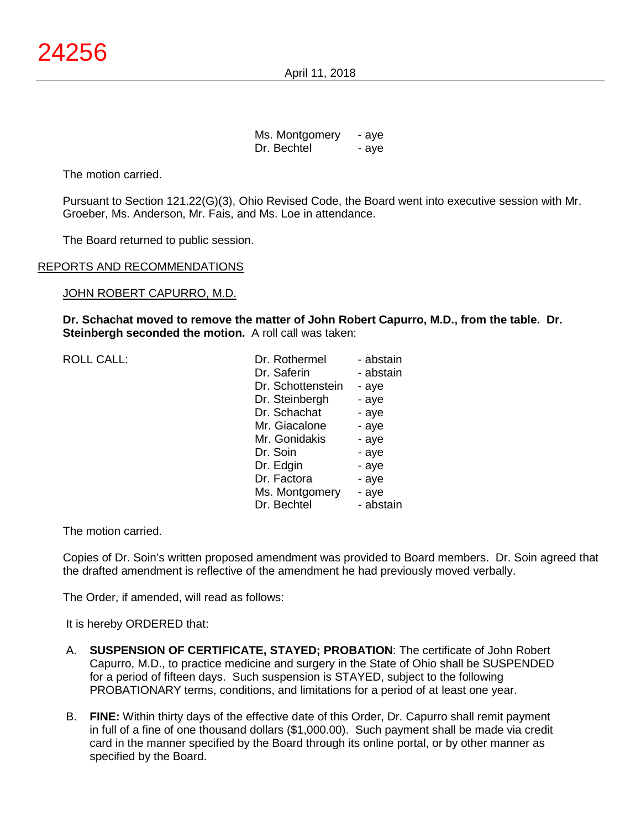Ms. Montgomery - aye Dr. Bechtel - aye

The motion carried.

Pursuant to Section 121.22(G)(3), Ohio Revised Code, the Board went into executive session with Mr. Groeber, Ms. Anderson, Mr. Fais, and Ms. Loe in attendance.

The Board returned to public session.

#### REPORTS AND RECOMMENDATIONS

JOHN ROBERT CAPURRO, M.D.

**Dr. Schachat moved to remove the matter of John Robert Capurro, M.D., from the table. Dr. Steinbergh seconded the motion.** A roll call was taken:

ROLL CALL:

| Dr. Rothermel     | - abstain |
|-------------------|-----------|
| Dr. Saferin       | - abstain |
| Dr. Schottenstein | - aye     |
| Dr. Steinbergh    | - aye     |
| Dr. Schachat      | - aye     |
| Mr. Giacalone     | - aye     |
| Mr. Gonidakis     | - aye     |
| Dr. Soin          | - aye     |
| Dr. Edgin         | - aye     |
| Dr. Factora       | - aye     |
| Ms. Montgomery    | - aye     |
| Dr. Bechtel       | - abstain |

The motion carried.

Copies of Dr. Soin's written proposed amendment was provided to Board members. Dr. Soin agreed that the drafted amendment is reflective of the amendment he had previously moved verbally.

The Order, if amended, will read as follows:

It is hereby ORDERED that:

- A. **SUSPENSION OF CERTIFICATE, STAYED; PROBATION**: The certificate of John Robert Capurro, M.D., to practice medicine and surgery in the State of Ohio shall be SUSPENDED for a period of fifteen days. Such suspension is STAYED, subject to the following PROBATIONARY terms, conditions, and limitations for a period of at least one year.
- B. **FINE:** Within thirty days of the effective date of this Order, Dr. Capurro shall remit payment in full of a fine of one thousand dollars (\$1,000.00). Such payment shall be made via credit card in the manner specified by the Board through its online portal, or by other manner as specified by the Board.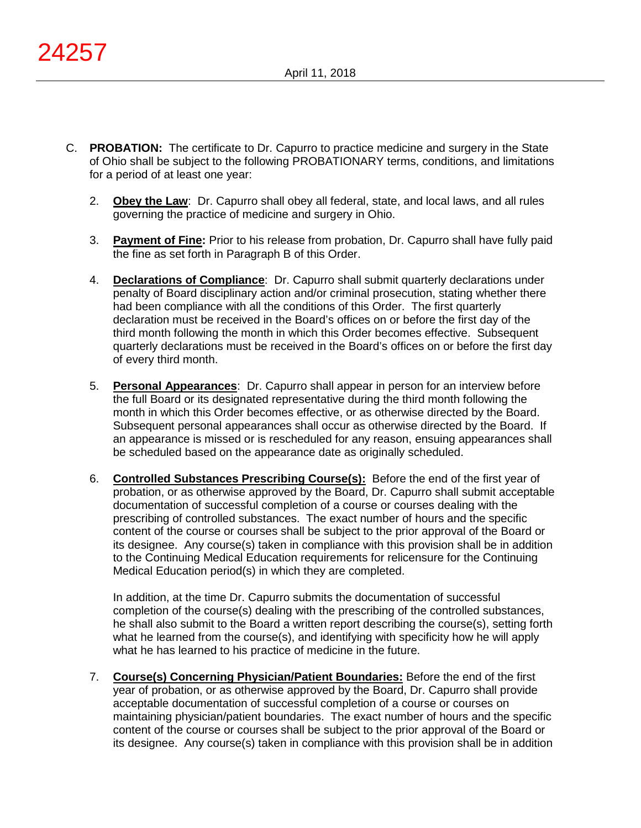- C. **PROBATION:** The certificate to Dr. Capurro to practice medicine and surgery in the State of Ohio shall be subject to the following PROBATIONARY terms, conditions, and limitations for a period of at least one year:
	- 2. **Obey the Law**: Dr. Capurro shall obey all federal, state, and local laws, and all rules governing the practice of medicine and surgery in Ohio.
	- 3. **Payment of Fine:** Prior to his release from probation, Dr. Capurro shall have fully paid the fine as set forth in Paragraph B of this Order.
	- 4. **Declarations of Compliance**: Dr. Capurro shall submit quarterly declarations under penalty of Board disciplinary action and/or criminal prosecution, stating whether there had been compliance with all the conditions of this Order. The first quarterly declaration must be received in the Board's offices on or before the first day of the third month following the month in which this Order becomes effective. Subsequent quarterly declarations must be received in the Board's offices on or before the first day of every third month.
	- 5. **Personal Appearances**: Dr. Capurro shall appear in person for an interview before the full Board or its designated representative during the third month following the month in which this Order becomes effective, or as otherwise directed by the Board. Subsequent personal appearances shall occur as otherwise directed by the Board. If an appearance is missed or is rescheduled for any reason, ensuing appearances shall be scheduled based on the appearance date as originally scheduled.
	- 6. **Controlled Substances Prescribing Course(s):** Before the end of the first year of probation, or as otherwise approved by the Board, Dr. Capurro shall submit acceptable documentation of successful completion of a course or courses dealing with the prescribing of controlled substances. The exact number of hours and the specific content of the course or courses shall be subject to the prior approval of the Board or its designee. Any course(s) taken in compliance with this provision shall be in addition to the Continuing Medical Education requirements for relicensure for the Continuing Medical Education period(s) in which they are completed.

In addition, at the time Dr. Capurro submits the documentation of successful completion of the course(s) dealing with the prescribing of the controlled substances, he shall also submit to the Board a written report describing the course(s), setting forth what he learned from the course(s), and identifying with specificity how he will apply what he has learned to his practice of medicine in the future.

7. **Course(s) Concerning Physician/Patient Boundaries:** Before the end of the first year of probation, or as otherwise approved by the Board, Dr. Capurro shall provide acceptable documentation of successful completion of a course or courses on maintaining physician/patient boundaries. The exact number of hours and the specific content of the course or courses shall be subject to the prior approval of the Board or its designee. Any course(s) taken in compliance with this provision shall be in addition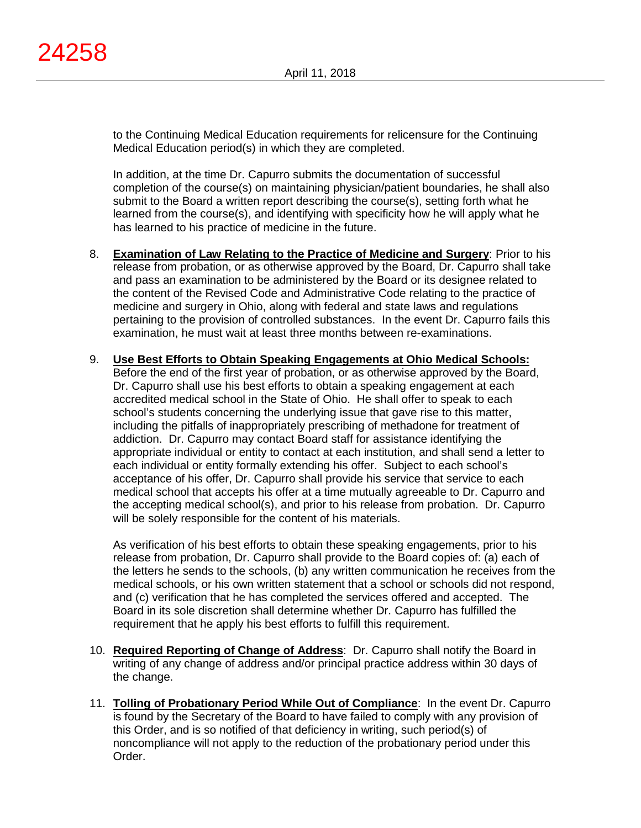to the Continuing Medical Education requirements for relicensure for the Continuing Medical Education period(s) in which they are completed.

In addition, at the time Dr. Capurro submits the documentation of successful completion of the course(s) on maintaining physician/patient boundaries, he shall also submit to the Board a written report describing the course(s), setting forth what he learned from the course(s), and identifying with specificity how he will apply what he has learned to his practice of medicine in the future.

- 8. **Examination of Law Relating to the Practice of Medicine and Surgery**: Prior to his release from probation, or as otherwise approved by the Board, Dr. Capurro shall take and pass an examination to be administered by the Board or its designee related to the content of the Revised Code and Administrative Code relating to the practice of medicine and surgery in Ohio, along with federal and state laws and regulations pertaining to the provision of controlled substances. In the event Dr. Capurro fails this examination, he must wait at least three months between re-examinations.
- 9. **Use Best Efforts to Obtain Speaking Engagements at Ohio Medical Schools:** Before the end of the first year of probation, or as otherwise approved by the Board, Dr. Capurro shall use his best efforts to obtain a speaking engagement at each accredited medical school in the State of Ohio. He shall offer to speak to each school's students concerning the underlying issue that gave rise to this matter, including the pitfalls of inappropriately prescribing of methadone for treatment of addiction. Dr. Capurro may contact Board staff for assistance identifying the appropriate individual or entity to contact at each institution, and shall send a letter to each individual or entity formally extending his offer. Subject to each school's acceptance of his offer, Dr. Capurro shall provide his service that service to each medical school that accepts his offer at a time mutually agreeable to Dr. Capurro and the accepting medical school(s), and prior to his release from probation. Dr. Capurro will be solely responsible for the content of his materials.

As verification of his best efforts to obtain these speaking engagements, prior to his release from probation, Dr. Capurro shall provide to the Board copies of: (a) each of the letters he sends to the schools, (b) any written communication he receives from the medical schools, or his own written statement that a school or schools did not respond, and (c) verification that he has completed the services offered and accepted. The Board in its sole discretion shall determine whether Dr. Capurro has fulfilled the requirement that he apply his best efforts to fulfill this requirement.

- 10. **Required Reporting of Change of Address**: Dr. Capurro shall notify the Board in writing of any change of address and/or principal practice address within 30 days of the change.
- 11. **Tolling of Probationary Period While Out of Compliance**: In the event Dr. Capurro is found by the Secretary of the Board to have failed to comply with any provision of this Order, and is so notified of that deficiency in writing, such period(s) of noncompliance will not apply to the reduction of the probationary period under this Order.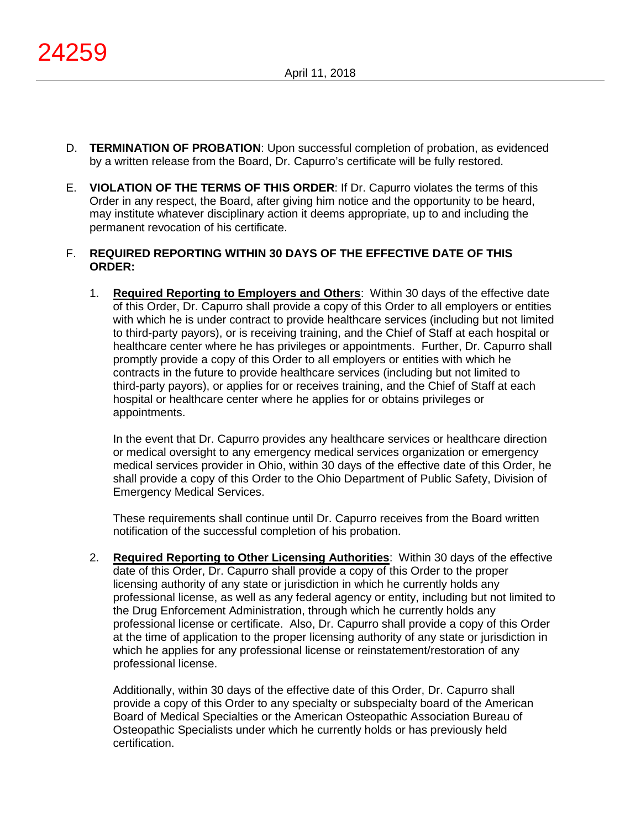- D. **TERMINATION OF PROBATION**: Upon successful completion of probation, as evidenced by a written release from the Board, Dr. Capurro's certificate will be fully restored.
- E. **VIOLATION OF THE TERMS OF THIS ORDER**: If Dr. Capurro violates the terms of this Order in any respect, the Board, after giving him notice and the opportunity to be heard, may institute whatever disciplinary action it deems appropriate, up to and including the permanent revocation of his certificate.

# F. **REQUIRED REPORTING WITHIN 30 DAYS OF THE EFFECTIVE DATE OF THIS ORDER:**

1. **Required Reporting to Employers and Others**: Within 30 days of the effective date of this Order, Dr. Capurro shall provide a copy of this Order to all employers or entities with which he is under contract to provide healthcare services (including but not limited to third-party payors), or is receiving training, and the Chief of Staff at each hospital or healthcare center where he has privileges or appointments. Further, Dr. Capurro shall promptly provide a copy of this Order to all employers or entities with which he contracts in the future to provide healthcare services (including but not limited to third-party payors), or applies for or receives training, and the Chief of Staff at each hospital or healthcare center where he applies for or obtains privileges or appointments.

In the event that Dr. Capurro provides any healthcare services or healthcare direction or medical oversight to any emergency medical services organization or emergency medical services provider in Ohio, within 30 days of the effective date of this Order, he shall provide a copy of this Order to the Ohio Department of Public Safety, Division of Emergency Medical Services.

These requirements shall continue until Dr. Capurro receives from the Board written notification of the successful completion of his probation.

2. **Required Reporting to Other Licensing Authorities**: Within 30 days of the effective date of this Order, Dr. Capurro shall provide a copy of this Order to the proper licensing authority of any state or jurisdiction in which he currently holds any professional license, as well as any federal agency or entity, including but not limited to the Drug Enforcement Administration, through which he currently holds any professional license or certificate. Also, Dr. Capurro shall provide a copy of this Order at the time of application to the proper licensing authority of any state or jurisdiction in which he applies for any professional license or reinstatement/restoration of any professional license.

Additionally, within 30 days of the effective date of this Order, Dr. Capurro shall provide a copy of this Order to any specialty or subspecialty board of the American Board of Medical Specialties or the American Osteopathic Association Bureau of Osteopathic Specialists under which he currently holds or has previously held certification.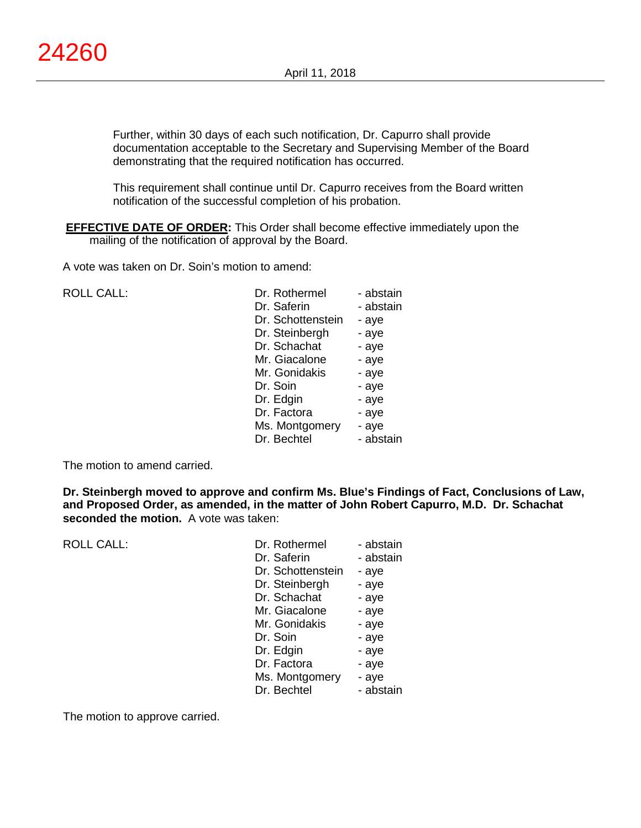Further, within 30 days of each such notification, Dr. Capurro shall provide documentation acceptable to the Secretary and Supervising Member of the Board demonstrating that the required notification has occurred.

This requirement shall continue until Dr. Capurro receives from the Board written notification of the successful completion of his probation.

**EFFECTIVE DATE OF ORDER:** This Order shall become effective immediately upon the mailing of the notification of approval by the Board.

A vote was taken on Dr. Soin's motion to amend:

| <b>ROLL CALL:</b> |  |
|-------------------|--|
|                   |  |

| <b>ROLL CALL:</b> | Dr. Rothermel     | - abstain |
|-------------------|-------------------|-----------|
|                   | Dr. Saferin       | - abstain |
|                   | Dr. Schottenstein | - aye     |
|                   | Dr. Steinbergh    | - aye     |
|                   | Dr. Schachat      | - aye     |
|                   | Mr. Giacalone     | - aye     |
|                   | Mr. Gonidakis     | - aye     |
|                   | Dr. Soin          | - aye     |
|                   | Dr. Edgin         | - aye     |
|                   | Dr. Factora       | - aye     |
|                   | Ms. Montgomery    | - aye     |
|                   | Dr. Bechtel       | - abstain |

The motion to amend carried.

**Dr. Steinbergh moved to approve and confirm Ms. Blue's Findings of Fact, Conclusions of Law, and Proposed Order, as amended, in the matter of John Robert Capurro, M.D. Dr. Schachat seconded the motion.** A vote was taken:

ROLL CALL:

| Dr. Rothermel     | - abstain |
|-------------------|-----------|
| Dr. Saferin       | - abstain |
| Dr. Schottenstein | - aye     |
| Dr. Steinbergh    | - aye     |
| Dr. Schachat      | - aye     |
| Mr. Giacalone     | - aye     |
| Mr. Gonidakis     | - aye     |
| Dr. Soin          | - aye     |
| Dr. Edgin         | - aye     |
| Dr. Factora       | - aye     |
| Ms. Montgomery    | - aye     |
| Dr. Bechtel       | - abstain |

The motion to approve carried.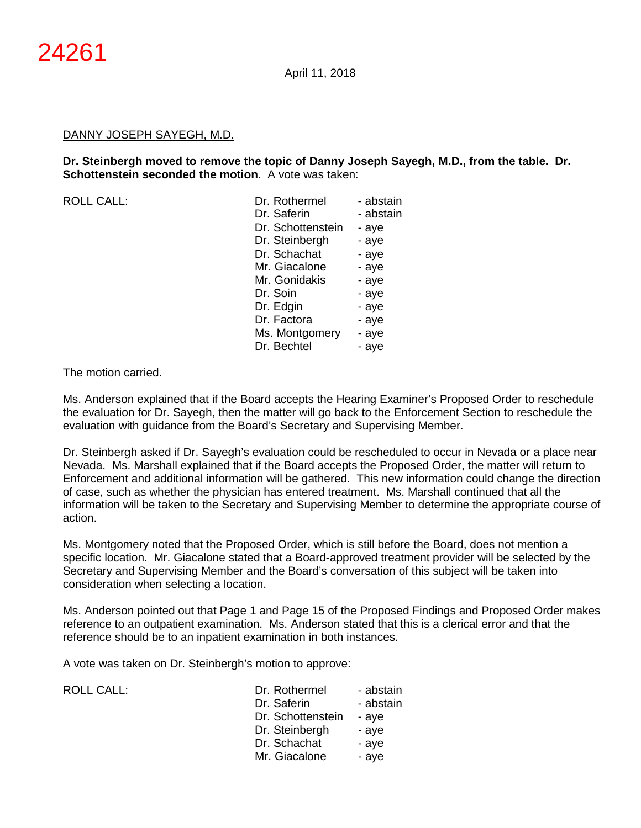#### DANNY JOSEPH SAYEGH, M.D.

**Dr. Steinbergh moved to remove the topic of Danny Joseph Sayegh, M.D., from the table. Dr. Schottenstein seconded the motion**. A vote was taken:

ROLL CALL:

| Dr. Rothermel     | - abstain |
|-------------------|-----------|
| Dr. Saferin       | - abstain |
| Dr. Schottenstein | - aye     |
| Dr. Steinbergh    | - aye     |
| Dr. Schachat      | - aye     |
| Mr. Giacalone     | - aye     |
| Mr. Gonidakis     | - aye     |
| Dr. Soin          | - aye     |
| Dr. Edgin         | - aye     |
| Dr. Factora       | - aye     |
| Ms. Montgomery    | - aye     |
| Dr. Bechtel       | - aye     |
|                   |           |

The motion carried.

Ms. Anderson explained that if the Board accepts the Hearing Examiner's Proposed Order to reschedule the evaluation for Dr. Sayegh, then the matter will go back to the Enforcement Section to reschedule the evaluation with guidance from the Board's Secretary and Supervising Member.

Dr. Steinbergh asked if Dr. Sayegh's evaluation could be rescheduled to occur in Nevada or a place near Nevada. Ms. Marshall explained that if the Board accepts the Proposed Order, the matter will return to Enforcement and additional information will be gathered. This new information could change the direction of case, such as whether the physician has entered treatment. Ms. Marshall continued that all the information will be taken to the Secretary and Supervising Member to determine the appropriate course of action.

Ms. Montgomery noted that the Proposed Order, which is still before the Board, does not mention a specific location. Mr. Giacalone stated that a Board-approved treatment provider will be selected by the Secretary and Supervising Member and the Board's conversation of this subject will be taken into consideration when selecting a location.

Ms. Anderson pointed out that Page 1 and Page 15 of the Proposed Findings and Proposed Order makes reference to an outpatient examination. Ms. Anderson stated that this is a clerical error and that the reference should be to an inpatient examination in both instances.

A vote was taken on Dr. Steinbergh's motion to approve:

ROLL CALL:

| Dr. Rothermel     | - abstain |
|-------------------|-----------|
| Dr. Saferin       | - abstain |
| Dr. Schottenstein | - aye     |
| Dr. Steinbergh    | - aye     |
| Dr. Schachat      | - aye     |
| Mr. Giacalone     | - aye     |
|                   |           |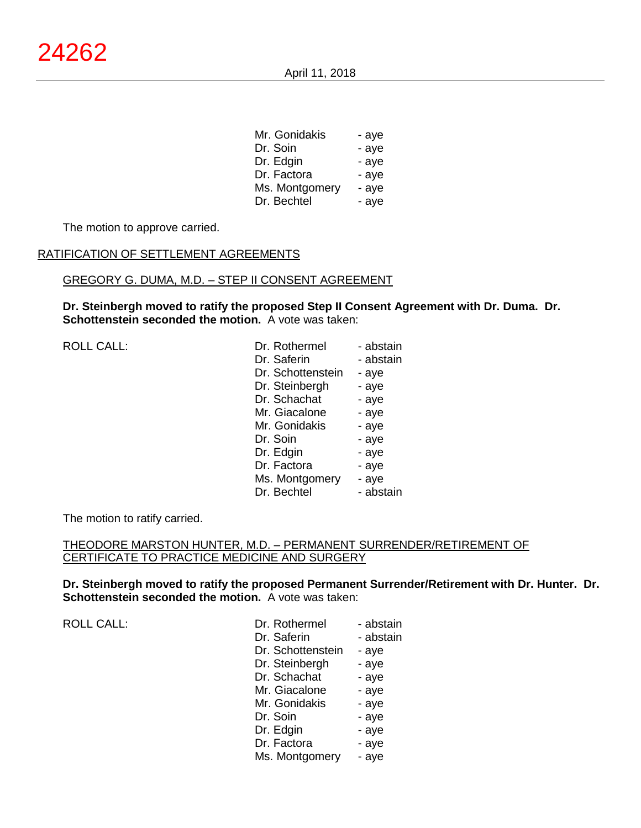| Mr. Gonidakis  | - aye |
|----------------|-------|
| Dr. Soin       | - aye |
| Dr. Edgin      | - aye |
| Dr. Factora    | - aye |
| Ms. Montgomery | - aye |
| Dr. Bechtel    | - aye |

The motion to approve carried.

# RATIFICATION OF SETTLEMENT AGREEMENTS

# GREGORY G. DUMA, M.D. – STEP II CONSENT AGREEMENT

**Dr. Steinbergh moved to ratify the proposed Step II Consent Agreement with Dr. Duma. Dr. Schottenstein seconded the motion.** A vote was taken:

ROLL CALL:

| Dr. Rothermel     | - abstain |
|-------------------|-----------|
| Dr. Saferin       | - abstain |
| Dr. Schottenstein | - aye     |
| Dr. Steinbergh    | - aye     |
| Dr. Schachat      | - aye     |
| Mr. Giacalone     | - aye     |
| Mr. Gonidakis     | - aye     |
| Dr. Soin          | - aye     |
| Dr. Edgin         | - aye     |
| Dr. Factora       | - aye     |
| Ms. Montgomery    | - aye     |
| Dr. Bechtel       | - abstain |

The motion to ratify carried.

#### THEODORE MARSTON HUNTER, M.D. – PERMANENT SURRENDER/RETIREMENT OF CERTIFICATE TO PRACTICE MEDICINE AND SURGERY

**Dr. Steinbergh moved to ratify the proposed Permanent Surrender/Retirement with Dr. Hunter. Dr. Schottenstein seconded the motion.** A vote was taken:

ROLL CALL:

| Dr. Rothermel     | - abstain |
|-------------------|-----------|
| Dr. Saferin       | - abstain |
| Dr. Schottenstein | - aye     |
| Dr. Steinbergh    | - aye     |
| Dr. Schachat      | - aye     |
| Mr. Giacalone     | - aye     |
| Mr. Gonidakis     | - aye     |
| Dr. Soin          | - aye     |
| Dr. Edgin         | - aye     |
| Dr. Factora       | - aye     |
| Ms. Montgomery    | - aye     |
|                   |           |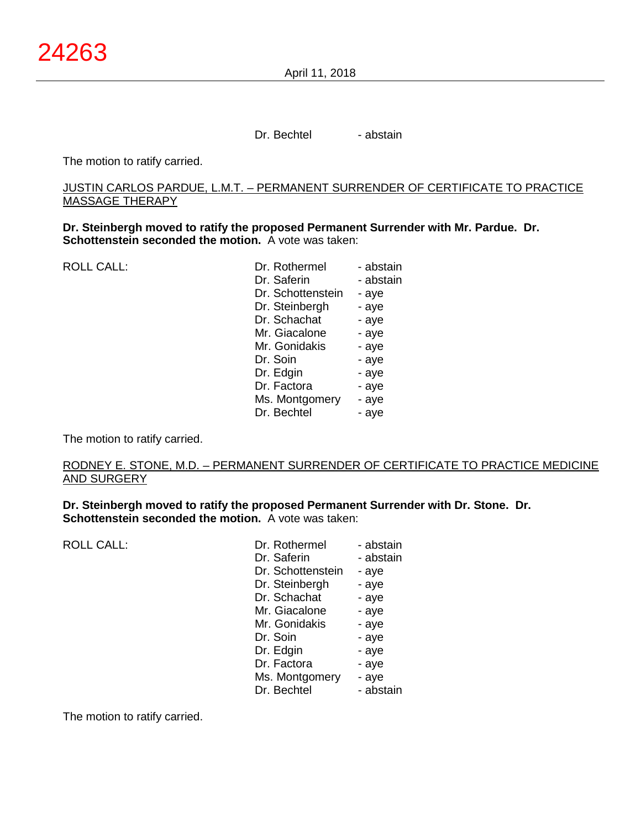April 11, 2018

Dr. Bechtel - abstain

The motion to ratify carried.

### JUSTIN CARLOS PARDUE, L.M.T. – PERMANENT SURRENDER OF CERTIFICATE TO PRACTICE MASSAGE THERAPY

**Dr. Steinbergh moved to ratify the proposed Permanent Surrender with Mr. Pardue. Dr. Schottenstein seconded the motion.** A vote was taken:

| <b>ROLL CALL:</b> | Dr. Rothermel     | - abstain |
|-------------------|-------------------|-----------|
|                   | Dr. Saferin       | - abstain |
|                   | Dr. Schottenstein | - aye     |
|                   | Dr. Steinbergh    | - aye     |
|                   | Dr. Schachat      | - aye     |
|                   | Mr. Giacalone     | - aye     |
|                   | Mr. Gonidakis     | - aye     |
|                   | Dr. Soin          | - aye     |
|                   | Dr. Edgin         | - aye     |
|                   | Dr. Factora       | - aye     |
|                   | Ms. Montgomery    | - aye     |
|                   | Dr. Bechtel       | - aye     |
|                   |                   |           |

The motion to ratify carried.

### RODNEY E. STONE, M.D. – PERMANENT SURRENDER OF CERTIFICATE TO PRACTICE MEDICINE AND SURGERY

**Dr. Steinbergh moved to ratify the proposed Permanent Surrender with Dr. Stone. Dr. Schottenstein seconded the motion.** A vote was taken:

| <b>ROLL CALL:</b> | Dr. Rothermel     | - abstain |
|-------------------|-------------------|-----------|
|                   | Dr. Saferin       | - abstain |
|                   | Dr. Schottenstein | - aye     |
|                   | Dr. Steinbergh    | - aye     |
|                   | Dr. Schachat      | - aye     |
|                   | Mr. Giacalone     | - aye     |
|                   | Mr. Gonidakis     | - aye     |
|                   | Dr. Soin          | - aye     |
|                   | Dr. Edgin         | - aye     |
|                   | Dr. Factora       | - aye     |
|                   | Ms. Montgomery    | - aye     |
|                   | Dr. Bechtel       | - abstain |

The motion to ratify carried.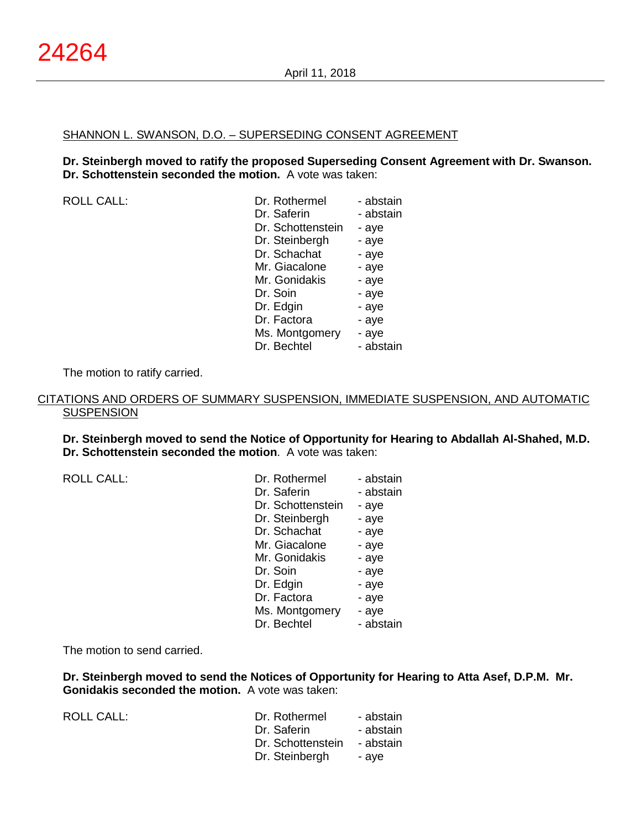### SHANNON L. SWANSON, D.O. – SUPERSEDING CONSENT AGREEMENT

### **Dr. Steinbergh moved to ratify the proposed Superseding Consent Agreement with Dr. Swanson. Dr. Schottenstein seconded the motion.** A vote was taken:

ROLL CALL:

| Dr. Rothermel     | - abstain |
|-------------------|-----------|
| Dr. Saferin       | - abstain |
| Dr. Schottenstein | - aye     |
| Dr. Steinbergh    | - aye     |
| Dr. Schachat      | - aye     |
| Mr. Giacalone     | - aye     |
| Mr. Gonidakis     | - aye     |
| Dr. Soin          | - aye     |
| Dr. Edgin         | - aye     |
| Dr. Factora       | - aye     |
| Ms. Montgomery    | - aye     |
| Dr. Bechtel       | - abstain |

The motion to ratify carried.

### CITATIONS AND ORDERS OF SUMMARY SUSPENSION, IMMEDIATE SUSPENSION, AND AUTOMATIC **SUSPENSION**

**Dr. Steinbergh moved to send the Notice of Opportunity for Hearing to Abdallah Al-Shahed, M.D. Dr. Schottenstein seconded the motion**. A vote was taken:

ROLL CALL:

| Dr. Rothermel     | - abstain |
|-------------------|-----------|
| Dr. Saferin       | - abstain |
| Dr. Schottenstein | - aye     |
| Dr. Steinbergh    | - aye     |
| Dr. Schachat      | - aye     |
| Mr. Giacalone     | - aye     |
| Mr. Gonidakis     | - aye     |
| Dr. Soin          | - aye     |
| Dr. Edgin         | - aye     |
| Dr. Factora       | - aye     |
| Ms. Montgomery    | - aye     |
| Dr. Bechtel       | - abstain |

The motion to send carried.

**Dr. Steinbergh moved to send the Notices of Opportunity for Hearing to Atta Asef, D.P.M. Mr. Gonidakis seconded the motion.** A vote was taken:

ROLL CALL:

| Dr. Rothermel     | - abstain |
|-------------------|-----------|
| Dr. Saferin       | - abstain |
| Dr. Schottenstein | - abstain |
| Dr. Steinbergh    | - aye     |
|                   |           |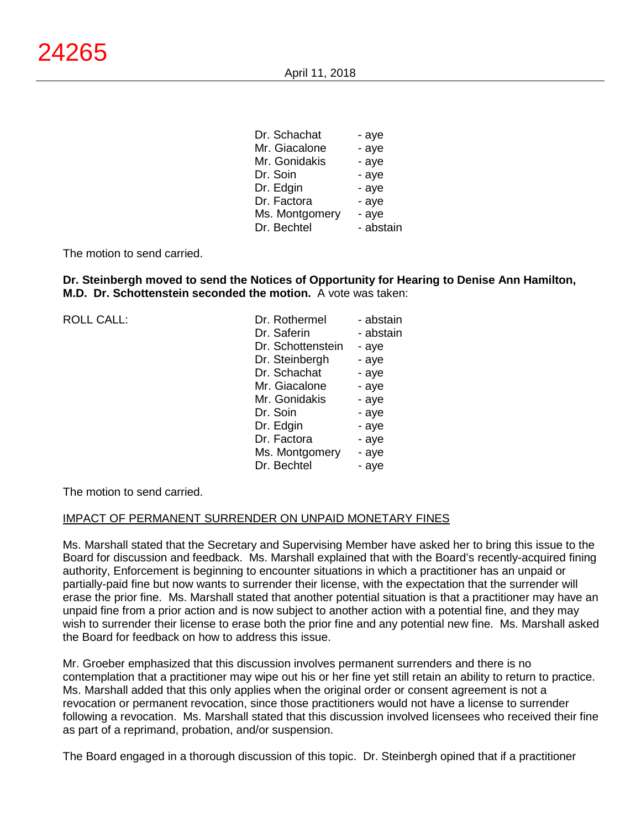| - aye     |
|-----------|
| - aye     |
| - aye     |
| - aye     |
| - aye     |
| - aye     |
| - aye     |
| - abstain |
|           |

The motion to send carried.

### **Dr. Steinbergh moved to send the Notices of Opportunity for Hearing to Denise Ann Hamilton, M.D. Dr. Schottenstein seconded the motion.** A vote was taken:

| Dr. Rothermel     | - abstain |
|-------------------|-----------|
| Dr. Saferin       | - abstain |
| Dr. Schottenstein | - aye     |
| Dr. Steinbergh    | - aye     |
| Dr. Schachat      | - aye     |
| Mr. Giacalone     | - aye     |
| Mr. Gonidakis     | - aye     |
| Dr. Soin          | - aye     |
| Dr. Edgin         | - aye     |
| Dr. Factora       | - aye     |
| Ms. Montgomery    | - aye     |
| Dr. Bechtel       | - aye     |
|                   |           |

The motion to send carried.

#### IMPACT OF PERMANENT SURRENDER ON UNPAID MONETARY FINES

Ms. Marshall stated that the Secretary and Supervising Member have asked her to bring this issue to the Board for discussion and feedback. Ms. Marshall explained that with the Board's recently-acquired fining authority, Enforcement is beginning to encounter situations in which a practitioner has an unpaid or partially-paid fine but now wants to surrender their license, with the expectation that the surrender will erase the prior fine. Ms. Marshall stated that another potential situation is that a practitioner may have an unpaid fine from a prior action and is now subject to another action with a potential fine, and they may wish to surrender their license to erase both the prior fine and any potential new fine. Ms. Marshall asked the Board for feedback on how to address this issue.

Mr. Groeber emphasized that this discussion involves permanent surrenders and there is no contemplation that a practitioner may wipe out his or her fine yet still retain an ability to return to practice. Ms. Marshall added that this only applies when the original order or consent agreement is not a revocation or permanent revocation, since those practitioners would not have a license to surrender following a revocation. Ms. Marshall stated that this discussion involved licensees who received their fine as part of a reprimand, probation, and/or suspension.

The Board engaged in a thorough discussion of this topic. Dr. Steinbergh opined that if a practitioner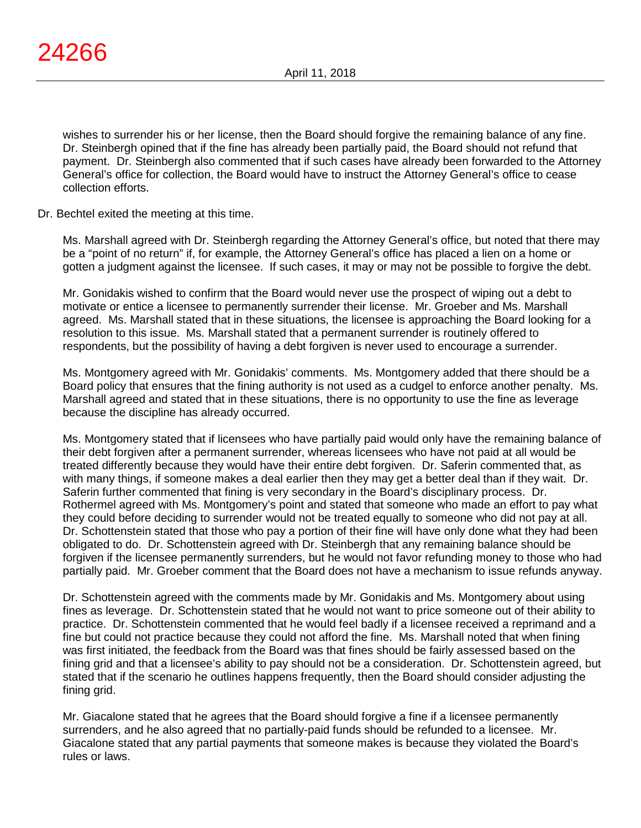wishes to surrender his or her license, then the Board should forgive the remaining balance of any fine. Dr. Steinbergh opined that if the fine has already been partially paid, the Board should not refund that payment. Dr. Steinbergh also commented that if such cases have already been forwarded to the Attorney General's office for collection, the Board would have to instruct the Attorney General's office to cease collection efforts.

Dr. Bechtel exited the meeting at this time.

Ms. Marshall agreed with Dr. Steinbergh regarding the Attorney General's office, but noted that there may be a "point of no return" if, for example, the Attorney General's office has placed a lien on a home or gotten a judgment against the licensee. If such cases, it may or may not be possible to forgive the debt.

Mr. Gonidakis wished to confirm that the Board would never use the prospect of wiping out a debt to motivate or entice a licensee to permanently surrender their license. Mr. Groeber and Ms. Marshall agreed. Ms. Marshall stated that in these situations, the licensee is approaching the Board looking for a resolution to this issue. Ms. Marshall stated that a permanent surrender is routinely offered to respondents, but the possibility of having a debt forgiven is never used to encourage a surrender.

Ms. Montgomery agreed with Mr. Gonidakis' comments. Ms. Montgomery added that there should be a Board policy that ensures that the fining authority is not used as a cudgel to enforce another penalty. Ms. Marshall agreed and stated that in these situations, there is no opportunity to use the fine as leverage because the discipline has already occurred.

Ms. Montgomery stated that if licensees who have partially paid would only have the remaining balance of their debt forgiven after a permanent surrender, whereas licensees who have not paid at all would be treated differently because they would have their entire debt forgiven. Dr. Saferin commented that, as with many things, if someone makes a deal earlier then they may get a better deal than if they wait. Dr. Saferin further commented that fining is very secondary in the Board's disciplinary process. Dr. Rothermel agreed with Ms. Montgomery's point and stated that someone who made an effort to pay what they could before deciding to surrender would not be treated equally to someone who did not pay at all. Dr. Schottenstein stated that those who pay a portion of their fine will have only done what they had been obligated to do. Dr. Schottenstein agreed with Dr. Steinbergh that any remaining balance should be forgiven if the licensee permanently surrenders, but he would not favor refunding money to those who had partially paid. Mr. Groeber comment that the Board does not have a mechanism to issue refunds anyway.

Dr. Schottenstein agreed with the comments made by Mr. Gonidakis and Ms. Montgomery about using fines as leverage. Dr. Schottenstein stated that he would not want to price someone out of their ability to practice. Dr. Schottenstein commented that he would feel badly if a licensee received a reprimand and a fine but could not practice because they could not afford the fine. Ms. Marshall noted that when fining was first initiated, the feedback from the Board was that fines should be fairly assessed based on the fining grid and that a licensee's ability to pay should not be a consideration. Dr. Schottenstein agreed, but stated that if the scenario he outlines happens frequently, then the Board should consider adjusting the fining grid.

Mr. Giacalone stated that he agrees that the Board should forgive a fine if a licensee permanently surrenders, and he also agreed that no partially-paid funds should be refunded to a licensee. Mr. Giacalone stated that any partial payments that someone makes is because they violated the Board's rules or laws.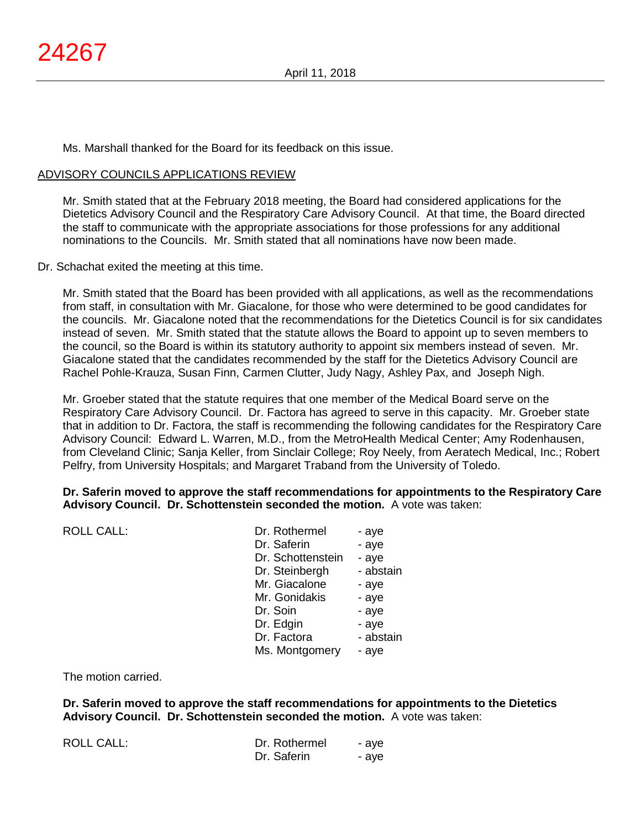Ms. Marshall thanked for the Board for its feedback on this issue.

### ADVISORY COUNCILS APPLICATIONS REVIEW

Mr. Smith stated that at the February 2018 meeting, the Board had considered applications for the Dietetics Advisory Council and the Respiratory Care Advisory Council. At that time, the Board directed the staff to communicate with the appropriate associations for those professions for any additional nominations to the Councils. Mr. Smith stated that all nominations have now been made.

Dr. Schachat exited the meeting at this time.

Mr. Smith stated that the Board has been provided with all applications, as well as the recommendations from staff, in consultation with Mr. Giacalone, for those who were determined to be good candidates for the councils. Mr. Giacalone noted that the recommendations for the Dietetics Council is for six candidates instead of seven. Mr. Smith stated that the statute allows the Board to appoint up to seven members to the council, so the Board is within its statutory authority to appoint six members instead of seven. Mr. Giacalone stated that the candidates recommended by the staff for the Dietetics Advisory Council are Rachel Pohle-Krauza, Susan Finn, Carmen Clutter, Judy Nagy, Ashley Pax, and Joseph Nigh.

Mr. Groeber stated that the statute requires that one member of the Medical Board serve on the Respiratory Care Advisory Council. Dr. Factora has agreed to serve in this capacity. Mr. Groeber state that in addition to Dr. Factora, the staff is recommending the following candidates for the Respiratory Care Advisory Council: Edward L. Warren, M.D., from the MetroHealth Medical Center; Amy Rodenhausen, from Cleveland Clinic; Sanja Keller, from Sinclair College; Roy Neely, from Aeratech Medical, Inc.; Robert Pelfry, from University Hospitals; and Margaret Traband from the University of Toledo.

**Dr. Saferin moved to approve the staff recommendations for appointments to the Respiratory Care Advisory Council. Dr. Schottenstein seconded the motion.** A vote was taken:

| <b>ROLL CALL:</b> | Dr. Rothermel     | - aye     |
|-------------------|-------------------|-----------|
|                   | Dr. Saferin       | - aye     |
|                   | Dr. Schottenstein | - aye     |
|                   | Dr. Steinbergh    | - abstain |
|                   | Mr. Giacalone     | - aye     |
|                   | Mr. Gonidakis     | - aye     |
|                   | Dr. Soin          | - aye     |
|                   | Dr. Edgin         | - aye     |
|                   | Dr. Factora       | - abstain |
|                   | Ms. Montgomery    | - aye     |
|                   |                   |           |

### The motion carried.

ROLL CALL:

**Dr. Saferin moved to approve the staff recommendations for appointments to the Dietetics Advisory Council. Dr. Schottenstein seconded the motion.** A vote was taken:

| Dr. Rothermel | - aye |
|---------------|-------|
| Dr. Saferin   | - aye |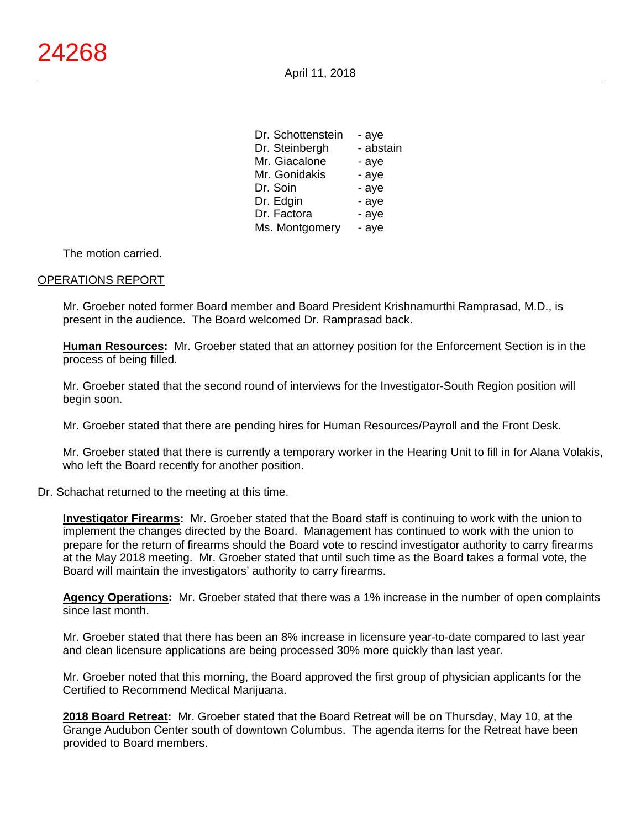| Dr. Schottenstein | - aye     |
|-------------------|-----------|
| Dr. Steinbergh    | - abstain |
| Mr. Giacalone     | - aye     |
| Mr. Gonidakis     | - aye     |
| Dr. Soin          | - aye     |
| Dr. Edgin         | - aye     |
| Dr. Factora       | - aye     |
| Ms. Montgomery    | - aye     |

The motion carried.

### OPERATIONS REPORT

Mr. Groeber noted former Board member and Board President Krishnamurthi Ramprasad, M.D., is present in the audience. The Board welcomed Dr. Ramprasad back.

**Human Resources:** Mr. Groeber stated that an attorney position for the Enforcement Section is in the process of being filled.

Mr. Groeber stated that the second round of interviews for the Investigator-South Region position will begin soon.

Mr. Groeber stated that there are pending hires for Human Resources/Payroll and the Front Desk.

Mr. Groeber stated that there is currently a temporary worker in the Hearing Unit to fill in for Alana Volakis, who left the Board recently for another position.

Dr. Schachat returned to the meeting at this time.

**Investigator Firearms:** Mr. Groeber stated that the Board staff is continuing to work with the union to implement the changes directed by the Board. Management has continued to work with the union to prepare for the return of firearms should the Board vote to rescind investigator authority to carry firearms at the May 2018 meeting. Mr. Groeber stated that until such time as the Board takes a formal vote, the Board will maintain the investigators' authority to carry firearms.

**Agency Operations:** Mr. Groeber stated that there was a 1% increase in the number of open complaints since last month.

Mr. Groeber stated that there has been an 8% increase in licensure year-to-date compared to last year and clean licensure applications are being processed 30% more quickly than last year.

Mr. Groeber noted that this morning, the Board approved the first group of physician applicants for the Certified to Recommend Medical Marijuana.

**2018 Board Retreat:** Mr. Groeber stated that the Board Retreat will be on Thursday, May 10, at the Grange Audubon Center south of downtown Columbus. The agenda items for the Retreat have been provided to Board members.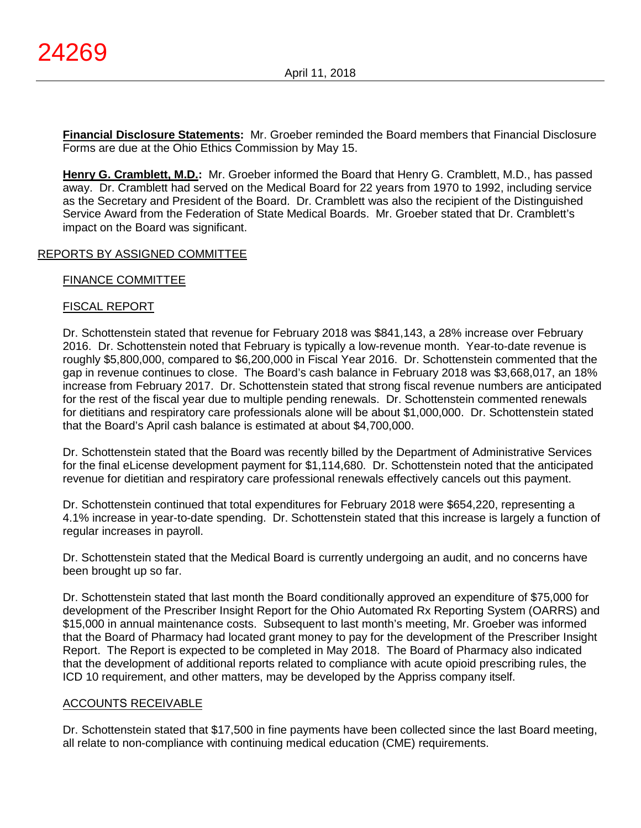**Financial Disclosure Statements:** Mr. Groeber reminded the Board members that Financial Disclosure Forms are due at the Ohio Ethics Commission by May 15.

**Henry G. Cramblett, M.D.:** Mr. Groeber informed the Board that Henry G. Cramblett, M.D., has passed away. Dr. Cramblett had served on the Medical Board for 22 years from 1970 to 1992, including service as the Secretary and President of the Board. Dr. Cramblett was also the recipient of the Distinguished Service Award from the Federation of State Medical Boards. Mr. Groeber stated that Dr. Cramblett's impact on the Board was significant.

### REPORTS BY ASSIGNED COMMITTEE

### FINANCE COMMITTEE

### FISCAL REPORT

Dr. Schottenstein stated that revenue for February 2018 was \$841,143, a 28% increase over February 2016. Dr. Schottenstein noted that February is typically a low-revenue month. Year-to-date revenue is roughly \$5,800,000, compared to \$6,200,000 in Fiscal Year 2016. Dr. Schottenstein commented that the gap in revenue continues to close. The Board's cash balance in February 2018 was \$3,668,017, an 18% increase from February 2017. Dr. Schottenstein stated that strong fiscal revenue numbers are anticipated for the rest of the fiscal year due to multiple pending renewals. Dr. Schottenstein commented renewals for dietitians and respiratory care professionals alone will be about \$1,000,000. Dr. Schottenstein stated that the Board's April cash balance is estimated at about \$4,700,000.

Dr. Schottenstein stated that the Board was recently billed by the Department of Administrative Services for the final eLicense development payment for \$1,114,680. Dr. Schottenstein noted that the anticipated revenue for dietitian and respiratory care professional renewals effectively cancels out this payment.

Dr. Schottenstein continued that total expenditures for February 2018 were \$654,220, representing a 4.1% increase in year-to-date spending. Dr. Schottenstein stated that this increase is largely a function of regular increases in payroll.

Dr. Schottenstein stated that the Medical Board is currently undergoing an audit, and no concerns have been brought up so far.

Dr. Schottenstein stated that last month the Board conditionally approved an expenditure of \$75,000 for development of the Prescriber Insight Report for the Ohio Automated Rx Reporting System (OARRS) and \$15,000 in annual maintenance costs. Subsequent to last month's meeting, Mr. Groeber was informed that the Board of Pharmacy had located grant money to pay for the development of the Prescriber Insight Report. The Report is expected to be completed in May 2018. The Board of Pharmacy also indicated that the development of additional reports related to compliance with acute opioid prescribing rules, the ICD 10 requirement, and other matters, may be developed by the Appriss company itself.

### ACCOUNTS RECEIVABLE

Dr. Schottenstein stated that \$17,500 in fine payments have been collected since the last Board meeting, all relate to non-compliance with continuing medical education (CME) requirements.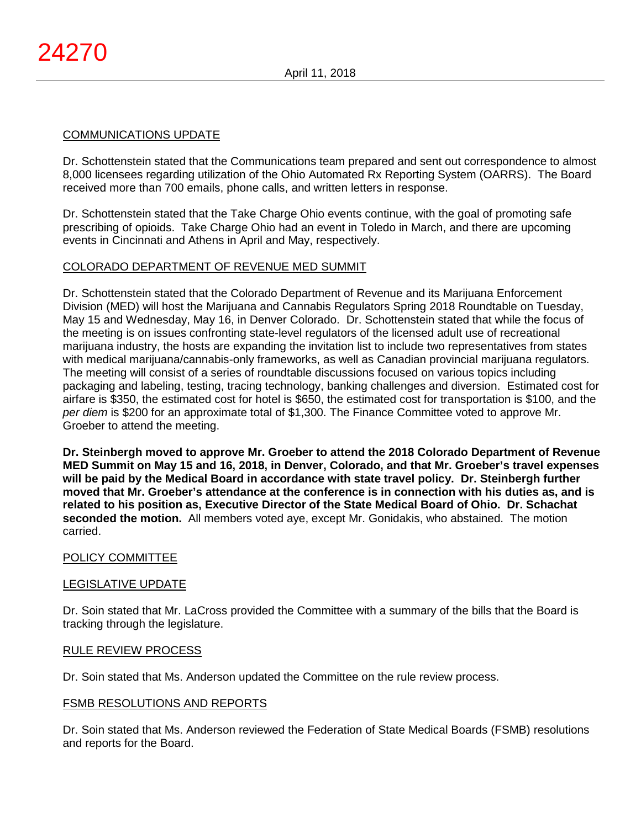### COMMUNICATIONS UPDATE

Dr. Schottenstein stated that the Communications team prepared and sent out correspondence to almost 8,000 licensees regarding utilization of the Ohio Automated Rx Reporting System (OARRS). The Board received more than 700 emails, phone calls, and written letters in response.

Dr. Schottenstein stated that the Take Charge Ohio events continue, with the goal of promoting safe prescribing of opioids. Take Charge Ohio had an event in Toledo in March, and there are upcoming events in Cincinnati and Athens in April and May, respectively.

### COLORADO DEPARTMENT OF REVENUE MED SUMMIT

Dr. Schottenstein stated that the Colorado Department of Revenue and its Marijuana Enforcement Division (MED) will host the Marijuana and Cannabis Regulators Spring 2018 Roundtable on Tuesday, May 15 and Wednesday, May 16, in Denver Colorado. Dr. Schottenstein stated that while the focus of the meeting is on issues confronting state-level regulators of the licensed adult use of recreational marijuana industry, the hosts are expanding the invitation list to include two representatives from states with medical marijuana/cannabis-only frameworks, as well as Canadian provincial marijuana regulators. The meeting will consist of a series of roundtable discussions focused on various topics including packaging and labeling, testing, tracing technology, banking challenges and diversion. Estimated cost for airfare is \$350, the estimated cost for hotel is \$650, the estimated cost for transportation is \$100, and the *per diem* is \$200 for an approximate total of \$1,300. The Finance Committee voted to approve Mr. Groeber to attend the meeting.

**Dr. Steinbergh moved to approve Mr. Groeber to attend the 2018 Colorado Department of Revenue MED Summit on May 15 and 16, 2018, in Denver, Colorado, and that Mr. Groeber's travel expenses will be paid by the Medical Board in accordance with state travel policy. Dr. Steinbergh further moved that Mr. Groeber's attendance at the conference is in connection with his duties as, and is related to his position as, Executive Director of the State Medical Board of Ohio. Dr. Schachat seconded the motion.** All members voted aye, except Mr. Gonidakis, who abstained. The motion carried.

### POLICY COMMITTEE

### LEGISLATIVE UPDATE

Dr. Soin stated that Mr. LaCross provided the Committee with a summary of the bills that the Board is tracking through the legislature.

### RULE REVIEW PROCESS

Dr. Soin stated that Ms. Anderson updated the Committee on the rule review process.

### FSMB RESOLUTIONS AND REPORTS

Dr. Soin stated that Ms. Anderson reviewed the Federation of State Medical Boards (FSMB) resolutions and reports for the Board.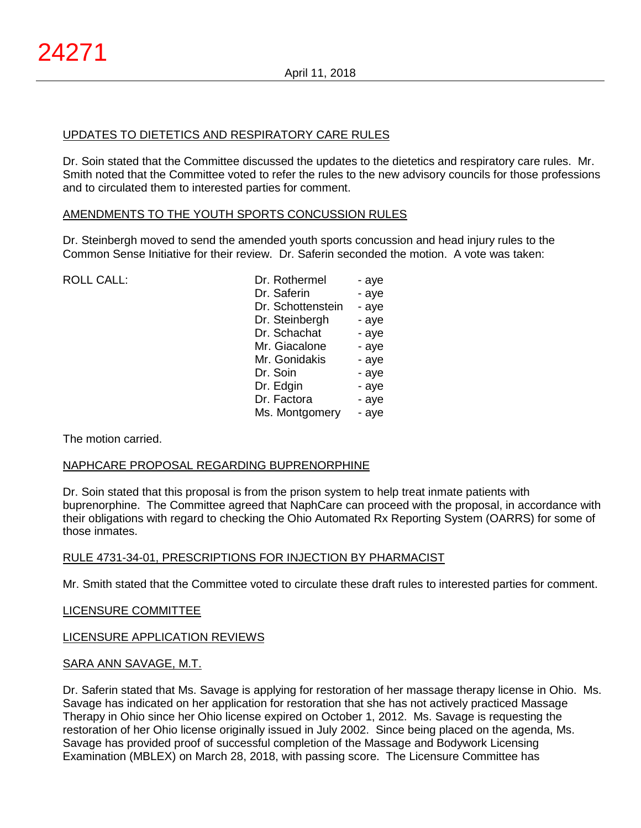## UPDATES TO DIETETICS AND RESPIRATORY CARE RULES

Dr. Soin stated that the Committee discussed the updates to the dietetics and respiratory care rules. Mr. Smith noted that the Committee voted to refer the rules to the new advisory councils for those professions and to circulated them to interested parties for comment.

### AMENDMENTS TO THE YOUTH SPORTS CONCUSSION RULES

Dr. Steinbergh moved to send the amended youth sports concussion and head injury rules to the Common Sense Initiative for their review. Dr. Saferin seconded the motion. A vote was taken:

 $ROILCAIL$ :

| - aye |
|-------|
| - aye |
| - aye |
| - aye |
| - aye |
| - aye |
| - aye |
| - aye |
| - aye |
| - aye |
| - aye |
|       |

The motion carried.

## NAPHCARE PROPOSAL REGARDING BUPRENORPHINE

Dr. Soin stated that this proposal is from the prison system to help treat inmate patients with buprenorphine. The Committee agreed that NaphCare can proceed with the proposal, in accordance with their obligations with regard to checking the Ohio Automated Rx Reporting System (OARRS) for some of those inmates.

## RULE 4731-34-01, PRESCRIPTIONS FOR INJECTION BY PHARMACIST

Mr. Smith stated that the Committee voted to circulate these draft rules to interested parties for comment.

## LICENSURE COMMITTEE

## LICENSURE APPLICATION REVIEWS

## SARA ANN SAVAGE, M.T.

Dr. Saferin stated that Ms. Savage is applying for restoration of her massage therapy license in Ohio. Ms. Savage has indicated on her application for restoration that she has not actively practiced Massage Therapy in Ohio since her Ohio license expired on October 1, 2012. Ms. Savage is requesting the restoration of her Ohio license originally issued in July 2002. Since being placed on the agenda, Ms. Savage has provided proof of successful completion of the Massage and Bodywork Licensing Examination (MBLEX) on March 28, 2018, with passing score. The Licensure Committee has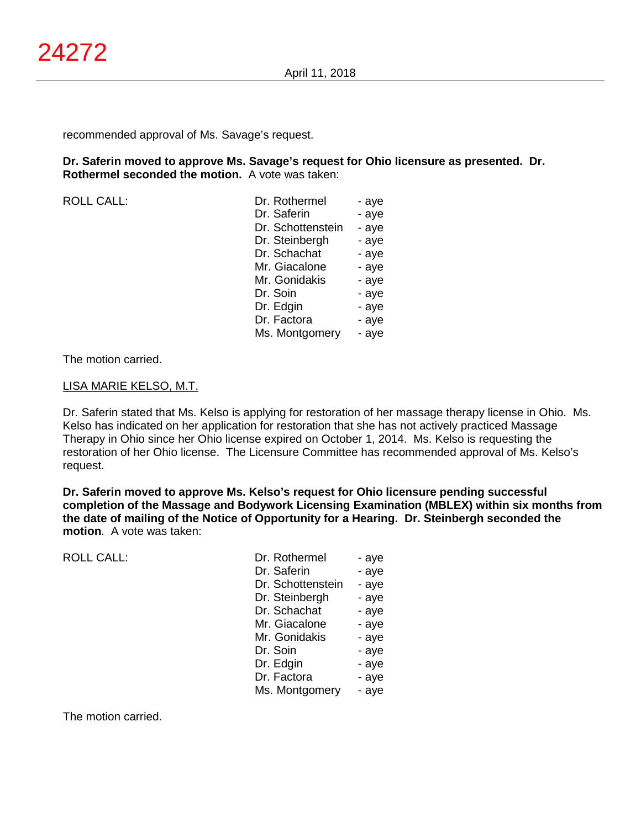recommended approval of Ms. Savage's request.

**Dr. Saferin moved to approve Ms. Savage's request for Ohio licensure as presented. Dr. Rothermel seconded the motion.** A vote was taken:

ROLL CALL:

| Dr. Rothermel     | - aye |
|-------------------|-------|
| Dr. Saferin       | - aye |
| Dr. Schottenstein | - aye |
| Dr. Steinbergh    | - aye |
| Dr. Schachat      | - aye |
| Mr. Giacalone     | - aye |
| Mr. Gonidakis     | - aye |
| Dr. Soin          | - aye |
| Dr. Edgin         | - aye |
| Dr. Factora       | - aye |
| Ms. Montgomery    | - aye |

The motion carried.

#### LISA MARIE KELSO, M.T.

Dr. Saferin stated that Ms. Kelso is applying for restoration of her massage therapy license in Ohio. Ms. Kelso has indicated on her application for restoration that she has not actively practiced Massage Therapy in Ohio since her Ohio license expired on October 1, 2014. Ms. Kelso is requesting the restoration of her Ohio license. The Licensure Committee has recommended approval of Ms. Kelso's request.

**Dr. Saferin moved to approve Ms. Kelso's request for Ohio licensure pending successful completion of the Massage and Bodywork Licensing Examination (MBLEX) within six months from the date of mailing of the Notice of Opportunity for a Hearing. Dr. Steinbergh seconded the motion**. A vote was taken:

| <b>ROLL CALL:</b> | Dr. Rothermel     | - aye |
|-------------------|-------------------|-------|
|                   | Dr. Saferin       | - aye |
|                   | Dr. Schottenstein | - aye |
|                   | Dr. Steinbergh    | - aye |
|                   | Dr. Schachat      | - aye |
|                   | Mr. Giacalone     | - aye |
|                   | Mr. Gonidakis     | - aye |
|                   | Dr. Soin          | - aye |
|                   | Dr. Edgin         | - aye |
|                   | Dr. Factora       | - aye |
|                   | Ms. Montgomery    | - aye |
|                   |                   |       |

The motion carried.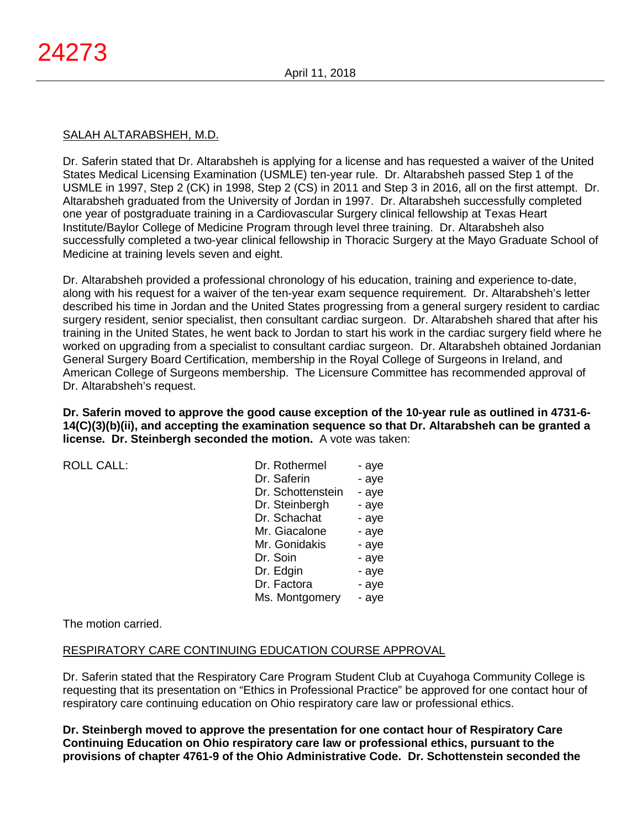### SALAH ALTARABSHEH, M.D.

Dr. Saferin stated that Dr. Altarabsheh is applying for a license and has requested a waiver of the United States Medical Licensing Examination (USMLE) ten-year rule. Dr. Altarabsheh passed Step 1 of the USMLE in 1997, Step 2 (CK) in 1998, Step 2 (CS) in 2011 and Step 3 in 2016, all on the first attempt. Dr. Altarabsheh graduated from the University of Jordan in 1997. Dr. Altarabsheh successfully completed one year of postgraduate training in a Cardiovascular Surgery clinical fellowship at Texas Heart Institute/Baylor College of Medicine Program through level three training. Dr. Altarabsheh also successfully completed a two-year clinical fellowship in Thoracic Surgery at the Mayo Graduate School of Medicine at training levels seven and eight.

Dr. Altarabsheh provided a professional chronology of his education, training and experience to-date, along with his request for a waiver of the ten-year exam sequence requirement. Dr. Altarabsheh's letter described his time in Jordan and the United States progressing from a general surgery resident to cardiac surgery resident, senior specialist, then consultant cardiac surgeon. Dr. Altarabsheh shared that after his training in the United States, he went back to Jordan to start his work in the cardiac surgery field where he worked on upgrading from a specialist to consultant cardiac surgeon. Dr. Altarabsheh obtained Jordanian General Surgery Board Certification, membership in the Royal College of Surgeons in Ireland, and American College of Surgeons membership. The Licensure Committee has recommended approval of Dr. Altarabsheh's request.

**Dr. Saferin moved to approve the good cause exception of the 10-year rule as outlined in 4731-6- 14(C)(3)(b)(ii), and accepting the examination sequence so that Dr. Altarabsheh can be granted a license. Dr. Steinbergh seconded the motion.** A vote was taken:

ROLL CALL:

| Dr. Rothermel     | - aye |
|-------------------|-------|
| Dr. Saferin       | - aye |
| Dr. Schottenstein | - aye |
| Dr. Steinbergh    | - aye |
| Dr. Schachat      | - aye |
| Mr. Giacalone     | - aye |
| Mr. Gonidakis     | - aye |
| Dr. Soin          | - aye |
| Dr. Edgin         | - aye |
| Dr. Factora       | - aye |
| Ms. Montgomery    | - aye |

The motion carried.

### RESPIRATORY CARE CONTINUING EDUCATION COURSE APPROVAL

Dr. Saferin stated that the Respiratory Care Program Student Club at Cuyahoga Community College is requesting that its presentation on "Ethics in Professional Practice" be approved for one contact hour of respiratory care continuing education on Ohio respiratory care law or professional ethics.

**Dr. Steinbergh moved to approve the presentation for one contact hour of Respiratory Care Continuing Education on Ohio respiratory care law or professional ethics, pursuant to the provisions of chapter 4761-9 of the Ohio Administrative Code. Dr. Schottenstein seconded the**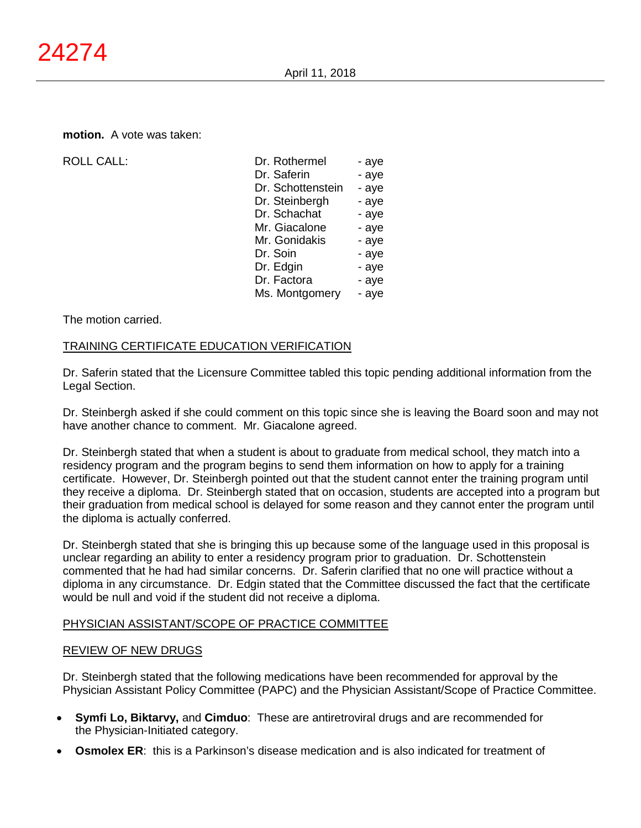#### **motion.** A vote was taken:

ROLL CALL:

| Dr. Rothermel     | - aye |
|-------------------|-------|
| Dr. Saferin       | - aye |
| Dr. Schottenstein | - aye |
| Dr. Steinbergh    | - aye |
| Dr. Schachat      | - aye |
| Mr. Giacalone     | - aye |
| Mr. Gonidakis     | - aye |
| Dr. Soin          | - aye |
| Dr. Edgin         | - aye |
| Dr. Factora       | - aye |
| Ms. Montgomery    | - aye |

#### The motion carried.

### TRAINING CERTIFICATE EDUCATION VERIFICATION

Dr. Saferin stated that the Licensure Committee tabled this topic pending additional information from the Legal Section.

Dr. Steinbergh asked if she could comment on this topic since she is leaving the Board soon and may not have another chance to comment. Mr. Giacalone agreed.

Dr. Steinbergh stated that when a student is about to graduate from medical school, they match into a residency program and the program begins to send them information on how to apply for a training certificate. However, Dr. Steinbergh pointed out that the student cannot enter the training program until they receive a diploma. Dr. Steinbergh stated that on occasion, students are accepted into a program but their graduation from medical school is delayed for some reason and they cannot enter the program until the diploma is actually conferred.

Dr. Steinbergh stated that she is bringing this up because some of the language used in this proposal is unclear regarding an ability to enter a residency program prior to graduation. Dr. Schottenstein commented that he had had similar concerns. Dr. Saferin clarified that no one will practice without a diploma in any circumstance. Dr. Edgin stated that the Committee discussed the fact that the certificate would be null and void if the student did not receive a diploma.

### PHYSICIAN ASSISTANT/SCOPE OF PRACTICE COMMITTEE

### REVIEW OF NEW DRUGS

Dr. Steinbergh stated that the following medications have been recommended for approval by the Physician Assistant Policy Committee (PAPC) and the Physician Assistant/Scope of Practice Committee.

- **Symfi Lo, Biktarvy,** and **Cimduo**: These are antiretroviral drugs and are recommended for the Physician-Initiated category.
- **Osmolex ER**: this is a Parkinson's disease medication and is also indicated for treatment of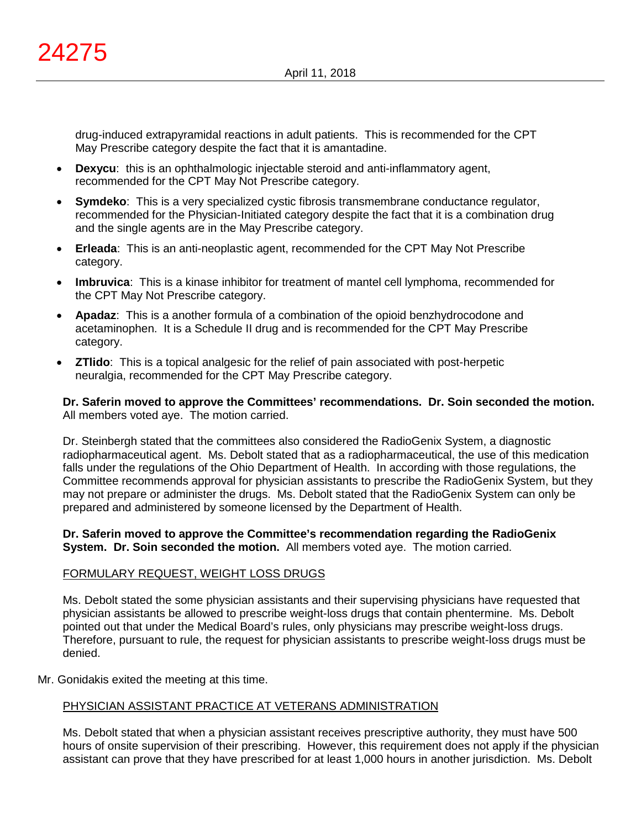drug-induced extrapyramidal reactions in adult patients. This is recommended for the CPT May Prescribe category despite the fact that it is amantadine.

- **Dexycu**: this is an ophthalmologic injectable steroid and anti-inflammatory agent, recommended for the CPT May Not Prescribe category.
- **Symdeko:** This is a very specialized cystic fibrosis transmembrane conductance regulator, recommended for the Physician-Initiated category despite the fact that it is a combination drug and the single agents are in the May Prescribe category.
- **Erleada**: This is an anti-neoplastic agent, recommended for the CPT May Not Prescribe category.
- **Imbruvica**: This is a kinase inhibitor for treatment of mantel cell lymphoma, recommended for the CPT May Not Prescribe category.
- **Apadaz**: This is a another formula of a combination of the opioid benzhydrocodone and acetaminophen. It is a Schedule II drug and is recommended for the CPT May Prescribe category.
- **ZTlido**: This is a topical analgesic for the relief of pain associated with post-herpetic neuralgia, recommended for the CPT May Prescribe category.

**Dr. Saferin moved to approve the Committees' recommendations. Dr. Soin seconded the motion.** All members voted aye. The motion carried.

Dr. Steinbergh stated that the committees also considered the RadioGenix System, a diagnostic radiopharmaceutical agent. Ms. Debolt stated that as a radiopharmaceutical, the use of this medication falls under the regulations of the Ohio Department of Health. In according with those regulations, the Committee recommends approval for physician assistants to prescribe the RadioGenix System, but they may not prepare or administer the drugs. Ms. Debolt stated that the RadioGenix System can only be prepared and administered by someone licensed by the Department of Health.

### **Dr. Saferin moved to approve the Committee's recommendation regarding the RadioGenix System. Dr. Soin seconded the motion.** All members voted aye. The motion carried.

### FORMULARY REQUEST, WEIGHT LOSS DRUGS

Ms. Debolt stated the some physician assistants and their supervising physicians have requested that physician assistants be allowed to prescribe weight-loss drugs that contain phentermine. Ms. Debolt pointed out that under the Medical Board's rules, only physicians may prescribe weight-loss drugs. Therefore, pursuant to rule, the request for physician assistants to prescribe weight-loss drugs must be denied.

Mr. Gonidakis exited the meeting at this time.

## PHYSICIAN ASSISTANT PRACTICE AT VETERANS ADMINISTRATION

Ms. Debolt stated that when a physician assistant receives prescriptive authority, they must have 500 hours of onsite supervision of their prescribing. However, this requirement does not apply if the physician assistant can prove that they have prescribed for at least 1,000 hours in another jurisdiction. Ms. Debolt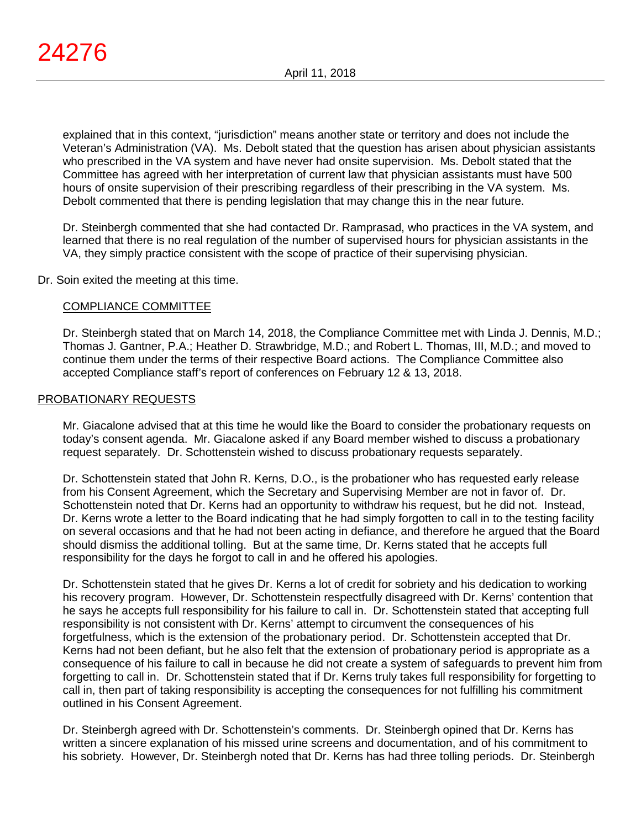explained that in this context, "jurisdiction" means another state or territory and does not include the Veteran's Administration (VA). Ms. Debolt stated that the question has arisen about physician assistants who prescribed in the VA system and have never had onsite supervision. Ms. Debolt stated that the Committee has agreed with her interpretation of current law that physician assistants must have 500 hours of onsite supervision of their prescribing regardless of their prescribing in the VA system. Ms. Debolt commented that there is pending legislation that may change this in the near future.

Dr. Steinbergh commented that she had contacted Dr. Ramprasad, who practices in the VA system, and learned that there is no real regulation of the number of supervised hours for physician assistants in the VA, they simply practice consistent with the scope of practice of their supervising physician.

Dr. Soin exited the meeting at this time.

### COMPLIANCE COMMITTEE

Dr. Steinbergh stated that on March 14, 2018, the Compliance Committee met with Linda J. Dennis, M.D.; Thomas J. Gantner, P.A.; Heather D. Strawbridge, M.D.; and Robert L. Thomas, III, M.D.; and moved to continue them under the terms of their respective Board actions. The Compliance Committee also accepted Compliance staff's report of conferences on February 12 & 13, 2018.

### PROBATIONARY REQUESTS

Mr. Giacalone advised that at this time he would like the Board to consider the probationary requests on today's consent agenda. Mr. Giacalone asked if any Board member wished to discuss a probationary request separately. Dr. Schottenstein wished to discuss probationary requests separately.

Dr. Schottenstein stated that John R. Kerns, D.O., is the probationer who has requested early release from his Consent Agreement, which the Secretary and Supervising Member are not in favor of. Dr. Schottenstein noted that Dr. Kerns had an opportunity to withdraw his request, but he did not. Instead, Dr. Kerns wrote a letter to the Board indicating that he had simply forgotten to call in to the testing facility on several occasions and that he had not been acting in defiance, and therefore he argued that the Board should dismiss the additional tolling. But at the same time, Dr. Kerns stated that he accepts full responsibility for the days he forgot to call in and he offered his apologies.

Dr. Schottenstein stated that he gives Dr. Kerns a lot of credit for sobriety and his dedication to working his recovery program. However, Dr. Schottenstein respectfully disagreed with Dr. Kerns' contention that he says he accepts full responsibility for his failure to call in. Dr. Schottenstein stated that accepting full responsibility is not consistent with Dr. Kerns' attempt to circumvent the consequences of his forgetfulness, which is the extension of the probationary period. Dr. Schottenstein accepted that Dr. Kerns had not been defiant, but he also felt that the extension of probationary period is appropriate as a consequence of his failure to call in because he did not create a system of safeguards to prevent him from forgetting to call in. Dr. Schottenstein stated that if Dr. Kerns truly takes full responsibility for forgetting to call in, then part of taking responsibility is accepting the consequences for not fulfilling his commitment outlined in his Consent Agreement.

Dr. Steinbergh agreed with Dr. Schottenstein's comments. Dr. Steinbergh opined that Dr. Kerns has written a sincere explanation of his missed urine screens and documentation, and of his commitment to his sobriety. However, Dr. Steinbergh noted that Dr. Kerns has had three tolling periods. Dr. Steinbergh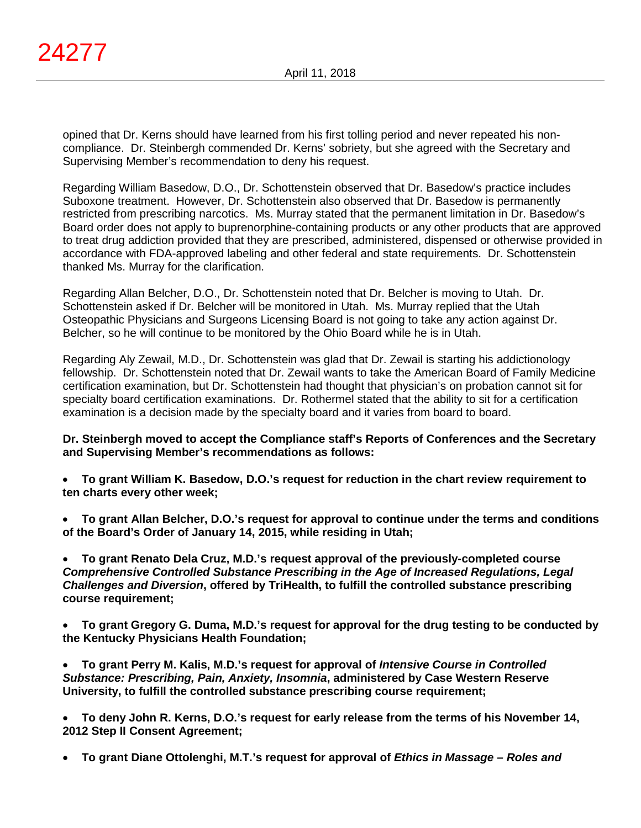opined that Dr. Kerns should have learned from his first tolling period and never repeated his noncompliance. Dr. Steinbergh commended Dr. Kerns' sobriety, but she agreed with the Secretary and Supervising Member's recommendation to deny his request.

Regarding William Basedow, D.O., Dr. Schottenstein observed that Dr. Basedow's practice includes Suboxone treatment. However, Dr. Schottenstein also observed that Dr. Basedow is permanently restricted from prescribing narcotics. Ms. Murray stated that the permanent limitation in Dr. Basedow's Board order does not apply to buprenorphine-containing products or any other products that are approved to treat drug addiction provided that they are prescribed, administered, dispensed or otherwise provided in accordance with FDA-approved labeling and other federal and state requirements. Dr. Schottenstein thanked Ms. Murray for the clarification.

Regarding Allan Belcher, D.O., Dr. Schottenstein noted that Dr. Belcher is moving to Utah. Dr. Schottenstein asked if Dr. Belcher will be monitored in Utah. Ms. Murray replied that the Utah Osteopathic Physicians and Surgeons Licensing Board is not going to take any action against Dr. Belcher, so he will continue to be monitored by the Ohio Board while he is in Utah.

Regarding Aly Zewail, M.D., Dr. Schottenstein was glad that Dr. Zewail is starting his addictionology fellowship. Dr. Schottenstein noted that Dr. Zewail wants to take the American Board of Family Medicine certification examination, but Dr. Schottenstein had thought that physician's on probation cannot sit for specialty board certification examinations. Dr. Rothermel stated that the ability to sit for a certification examination is a decision made by the specialty board and it varies from board to board.

**Dr. Steinbergh moved to accept the Compliance staff's Reports of Conferences and the Secretary and Supervising Member's recommendations as follows:**

• **To grant William K. Basedow, D.O.'s request for reduction in the chart review requirement to ten charts every other week;**

• **To grant Allan Belcher, D.O.'s request for approval to continue under the terms and conditions of the Board's Order of January 14, 2015, while residing in Utah;**

• **To grant Renato Dela Cruz, M.D.'s request approval of the previously-completed course**  *Comprehensive Controlled Substance Prescribing in the Age of Increased Regulations, Legal Challenges and Diversion***, offered by TriHealth, to fulfill the controlled substance prescribing course requirement;**

• **To grant Gregory G. Duma, M.D.'s request for approval for the drug testing to be conducted by the Kentucky Physicians Health Foundation;**

• **To grant Perry M. Kalis, M.D.'s request for approval of** *Intensive Course in Controlled Substance: Prescribing, Pain, Anxiety, Insomnia***, administered by Case Western Reserve University, to fulfill the controlled substance prescribing course requirement;**

• **To deny John R. Kerns, D.O.'s request for early release from the terms of his November 14, 2012 Step II Consent Agreement;**

• **To grant Diane Ottolenghi, M.T.'s request for approval of** *Ethics in Massage – Roles and*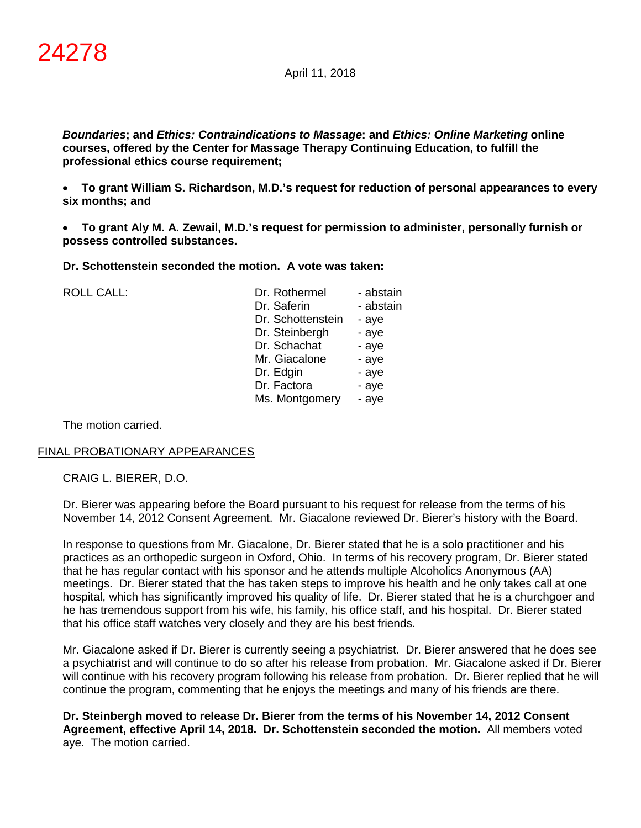*Boundaries***; and** *Ethics: Contraindications to Massage***: and** *Ethics: Online Marketing* **online courses, offered by the Center for Massage Therapy Continuing Education, to fulfill the professional ethics course requirement;**

• **To grant William S. Richardson, M.D.'s request for reduction of personal appearances to every six months; and**

• **To grant Aly M. A. Zewail, M.D.'s request for permission to administer, personally furnish or possess controlled substances.**

**Dr. Schottenstein seconded the motion. A vote was taken:**

ROLL CALL:

| Dr. Rothermel     | - abstain |
|-------------------|-----------|
| Dr. Saferin       | - abstain |
| Dr. Schottenstein | - aye     |
| Dr. Steinbergh    | - aye     |
| Dr. Schachat      | - aye     |
| Mr. Giacalone     | - aye     |
| Dr. Edgin         | - aye     |
| Dr. Factora       | - aye     |
| Ms. Montgomery    | - aye     |
|                   |           |

The motion carried.

#### FINAL PROBATIONARY APPEARANCES

#### CRAIG L. BIERER, D.O.

Dr. Bierer was appearing before the Board pursuant to his request for release from the terms of his November 14, 2012 Consent Agreement. Mr. Giacalone reviewed Dr. Bierer's history with the Board.

In response to questions from Mr. Giacalone, Dr. Bierer stated that he is a solo practitioner and his practices as an orthopedic surgeon in Oxford, Ohio. In terms of his recovery program, Dr. Bierer stated that he has regular contact with his sponsor and he attends multiple Alcoholics Anonymous (AA) meetings. Dr. Bierer stated that the has taken steps to improve his health and he only takes call at one hospital, which has significantly improved his quality of life. Dr. Bierer stated that he is a churchgoer and he has tremendous support from his wife, his family, his office staff, and his hospital. Dr. Bierer stated that his office staff watches very closely and they are his best friends.

Mr. Giacalone asked if Dr. Bierer is currently seeing a psychiatrist. Dr. Bierer answered that he does see a psychiatrist and will continue to do so after his release from probation. Mr. Giacalone asked if Dr. Bierer will continue with his recovery program following his release from probation. Dr. Bierer replied that he will continue the program, commenting that he enjoys the meetings and many of his friends are there.

**Dr. Steinbergh moved to release Dr. Bierer from the terms of his November 14, 2012 Consent Agreement, effective April 14, 2018. Dr. Schottenstein seconded the motion.** All members voted aye. The motion carried.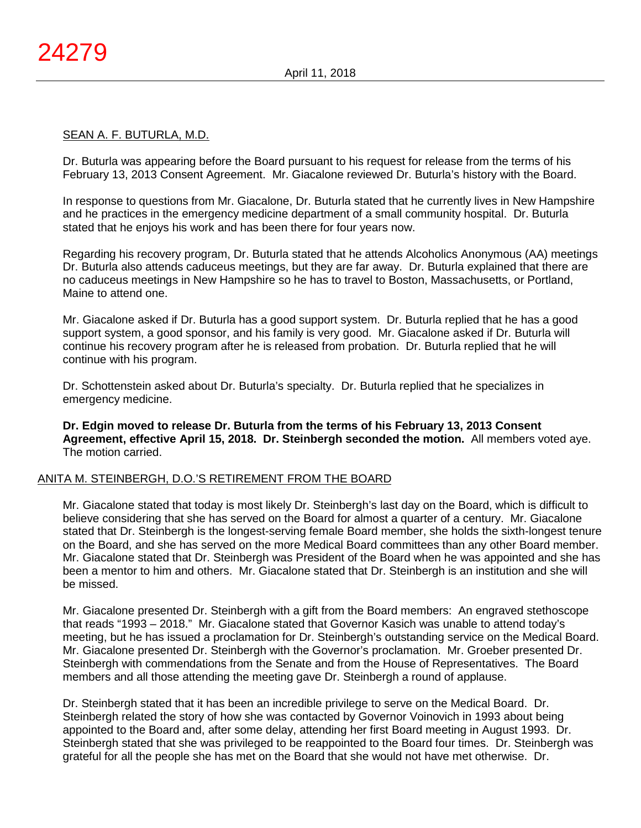### SEAN A. F. BUTURLA, M.D.

Dr. Buturla was appearing before the Board pursuant to his request for release from the terms of his February 13, 2013 Consent Agreement. Mr. Giacalone reviewed Dr. Buturla's history with the Board.

In response to questions from Mr. Giacalone, Dr. Buturla stated that he currently lives in New Hampshire and he practices in the emergency medicine department of a small community hospital. Dr. Buturla stated that he enjoys his work and has been there for four years now.

Regarding his recovery program, Dr. Buturla stated that he attends Alcoholics Anonymous (AA) meetings Dr. Buturla also attends caduceus meetings, but they are far away. Dr. Buturla explained that there are no caduceus meetings in New Hampshire so he has to travel to Boston, Massachusetts, or Portland, Maine to attend one.

Mr. Giacalone asked if Dr. Buturla has a good support system. Dr. Buturla replied that he has a good support system, a good sponsor, and his family is very good. Mr. Giacalone asked if Dr. Buturla will continue his recovery program after he is released from probation. Dr. Buturla replied that he will continue with his program.

Dr. Schottenstein asked about Dr. Buturla's specialty. Dr. Buturla replied that he specializes in emergency medicine.

**Dr. Edgin moved to release Dr. Buturla from the terms of his February 13, 2013 Consent Agreement, effective April 15, 2018. Dr. Steinbergh seconded the motion.** All members voted aye. The motion carried.

### ANITA M. STEINBERGH, D.O.'S RETIREMENT FROM THE BOARD

Mr. Giacalone stated that today is most likely Dr. Steinbergh's last day on the Board, which is difficult to believe considering that she has served on the Board for almost a quarter of a century. Mr. Giacalone stated that Dr. Steinbergh is the longest-serving female Board member, she holds the sixth-longest tenure on the Board, and she has served on the more Medical Board committees than any other Board member. Mr. Giacalone stated that Dr. Steinbergh was President of the Board when he was appointed and she has been a mentor to him and others. Mr. Giacalone stated that Dr. Steinbergh is an institution and she will be missed.

Mr. Giacalone presented Dr. Steinbergh with a gift from the Board members: An engraved stethoscope that reads "1993 – 2018." Mr. Giacalone stated that Governor Kasich was unable to attend today's meeting, but he has issued a proclamation for Dr. Steinbergh's outstanding service on the Medical Board. Mr. Giacalone presented Dr. Steinbergh with the Governor's proclamation. Mr. Groeber presented Dr. Steinbergh with commendations from the Senate and from the House of Representatives. The Board members and all those attending the meeting gave Dr. Steinbergh a round of applause.

Dr. Steinbergh stated that it has been an incredible privilege to serve on the Medical Board. Dr. Steinbergh related the story of how she was contacted by Governor Voinovich in 1993 about being appointed to the Board and, after some delay, attending her first Board meeting in August 1993. Dr. Steinbergh stated that she was privileged to be reappointed to the Board four times. Dr. Steinbergh was grateful for all the people she has met on the Board that she would not have met otherwise. Dr.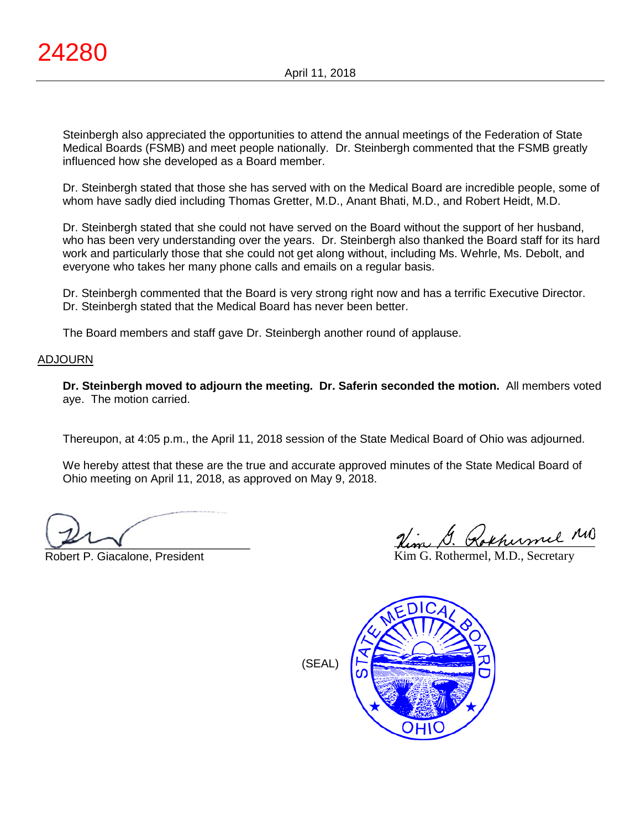Steinbergh also appreciated the opportunities to attend the annual meetings of the Federation of State Medical Boards (FSMB) and meet people nationally. Dr. Steinbergh commented that the FSMB greatly influenced how she developed as a Board member.

Dr. Steinbergh stated that those she has served with on the Medical Board are incredible people, some of whom have sadly died including Thomas Gretter, M.D., Anant Bhati, M.D., and Robert Heidt, M.D.

Dr. Steinbergh stated that she could not have served on the Board without the support of her husband, who has been very understanding over the years. Dr. Steinbergh also thanked the Board staff for its hard work and particularly those that she could not get along without, including Ms. Wehrle, Ms. Debolt, and everyone who takes her many phone calls and emails on a regular basis.

Dr. Steinbergh commented that the Board is very strong right now and has a terrific Executive Director. Dr. Steinbergh stated that the Medical Board has never been better.

The Board members and staff gave Dr. Steinbergh another round of applause.

#### ADJOURN

**Dr. Steinbergh moved to adjourn the meeting. Dr. Saferin seconded the motion.** All members voted aye. The motion carried.

Thereupon, at 4:05 p.m., the April 11, 2018 session of the State Medical Board of Ohio was adjourned.

We hereby attest that these are the true and accurate approved minutes of the State Medical Board of Ohio meeting on April 11, 2018, as approved on May 9, 2018.

 $\sim$ 

Robert P. Giacalone, President

Him G. Gokhermel MD

Kim G. Rothermel, M.D., Secretary



(SEAL)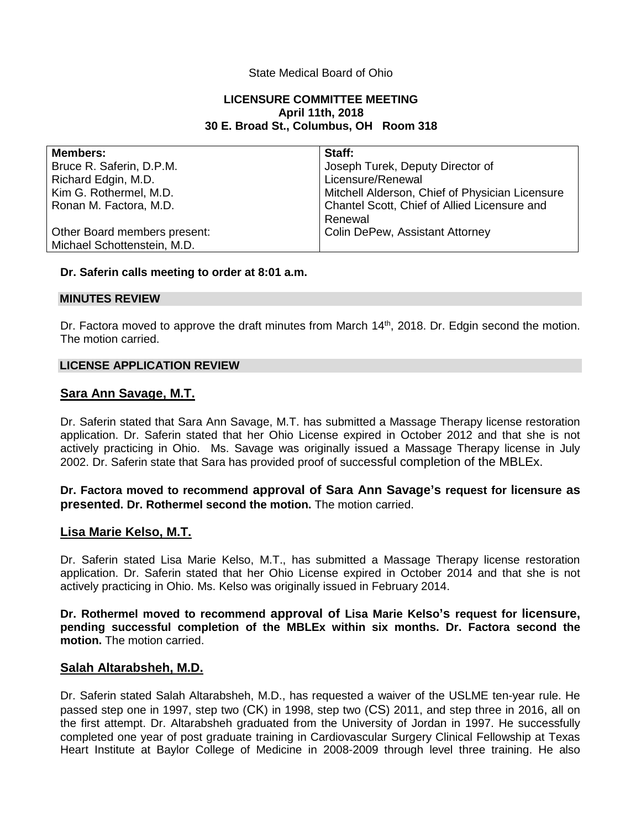### State Medical Board of Ohio

### **LICENSURE COMMITTEE MEETING April 11th, 2018 30 E. Broad St., Columbus, OH Room 318**

| Members:                     | Staff:                                          |
|------------------------------|-------------------------------------------------|
| Bruce R. Saferin, D.P.M.     | Joseph Turek, Deputy Director of                |
| Richard Edgin, M.D.          | Licensure/Renewal                               |
| Kim G. Rothermel, M.D.       | Mitchell Alderson, Chief of Physician Licensure |
| Ronan M. Factora, M.D.       | Chantel Scott, Chief of Allied Licensure and    |
|                              | Renewal                                         |
| Other Board members present: | <b>Colin DePew, Assistant Attorney</b>          |
| Michael Schottenstein, M.D.  |                                                 |

### **Dr. Saferin calls meeting to order at 8:01 a.m.**

### **MINUTES REVIEW**

Dr. Factora moved to approve the draft minutes from March 14<sup>th</sup>, 2018. Dr. Edgin second the motion. The motion carried.

## **LICENSE APPLICATION REVIEW**

## **Sara Ann Savage, M.T.**

Dr. Saferin stated that Sara Ann Savage, M.T. has submitted a Massage Therapy license restoration application. Dr. Saferin stated that her Ohio License expired in October 2012 and that she is not actively practicing in Ohio. Ms. Savage was originally issued a Massage Therapy license in July 2002. Dr. Saferin state that Sara has provided proof of successful completion of the MBLEx.

## **Dr. Factora moved to recommend approval of Sara Ann Savage's request for licensure as presented. Dr. Rothermel second the motion.** The motion carried.

## **Lisa Marie Kelso, M.T.**

Dr. Saferin stated Lisa Marie Kelso, M.T., has submitted a Massage Therapy license restoration application. Dr. Saferin stated that her Ohio License expired in October 2014 and that she is not actively practicing in Ohio. Ms. Kelso was originally issued in February 2014.

**Dr. Rothermel moved to recommend approval of Lisa Marie Kelso's request for licensure, pending successful completion of the MBLEx within six months. Dr. Factora second the motion.** The motion carried.

## **Salah Altarabsheh, M.D.**

Dr. Saferin stated Salah Altarabsheh, M.D., has requested a waiver of the USLME ten-year rule. He passed step one in 1997, step two (CK) in 1998, step two (CS) 2011, and step three in 2016, all on the first attempt. Dr. Altarabsheh graduated from the University of Jordan in 1997. He successfully completed one year of post graduate training in Cardiovascular Surgery Clinical Fellowship at Texas Heart Institute at Baylor College of Medicine in 2008-2009 through level three training. He also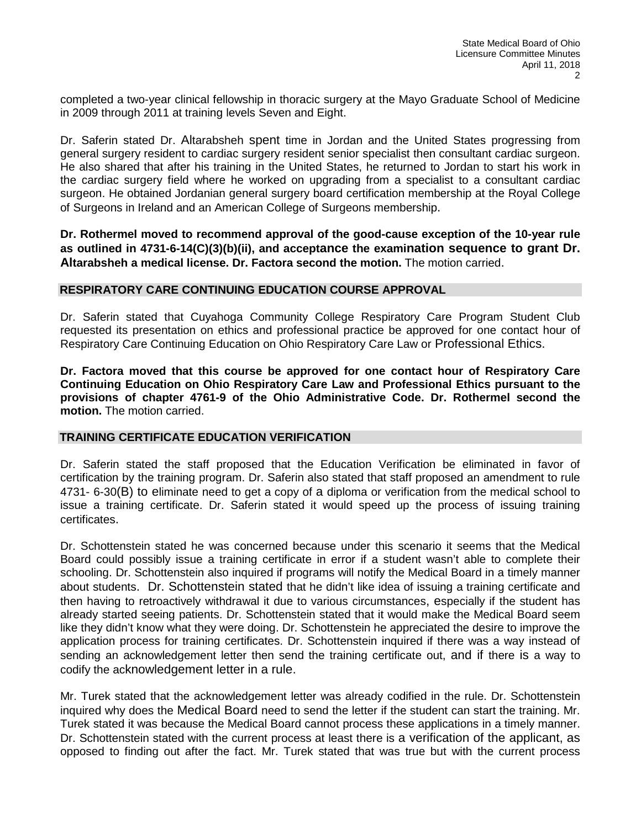completed a two-year clinical fellowship in thoracic surgery at the Mayo Graduate School of Medicine in 2009 through 2011 at training levels Seven and Eight.

Dr. Saferin stated Dr. Altarabsheh spent time in Jordan and the United States progressing from general surgery resident to cardiac surgery resident senior specialist then consultant cardiac surgeon. He also shared that after his training in the United States, he returned to Jordan to start his work in the cardiac surgery field where he worked on upgrading from a specialist to a consultant cardiac surgeon. He obtained Jordanian general surgery board certification membership at the Royal College of Surgeons in Ireland and an American College of Surgeons membership.

**Dr. Rothermel moved to recommend approval of the good-cause exception of the 10-year rule as outlined in 4731-6-14(C)(3)(b)(ii), and acceptance the examination sequence to grant Dr. Altarabsheh a medical license. Dr. Factora second the motion.** The motion carried.

### **RESPIRATORY CARE CONTINUING EDUCATION COURSE APPROVAL**

Dr. Saferin stated that Cuyahoga Community College Respiratory Care Program Student Club requested its presentation on ethics and professional practice be approved for one contact hour of Respiratory Care Continuing Education on Ohio Respiratory Care Law or Professional Ethics.

**Dr. Factora moved that this course be approved for one contact hour of Respiratory Care Continuing Education on Ohio Respiratory Care Law and Professional Ethics pursuant to the provisions of chapter 4761-9 of the Ohio Administrative Code. Dr. Rothermel second the motion.** The motion carried.

### **TRAINING CERTIFICATE EDUCATION VERIFICATION**

Dr. Saferin stated the staff proposed that the Education Verification be eliminated in favor of certification by the training program. Dr. Saferin also stated that staff proposed an amendment to rule 4731- 6-30(B) to eliminate need to get a copy of a diploma or verification from the medical school to issue a training certificate. Dr. Saferin stated it would speed up the process of issuing training certificates.

Dr. Schottenstein stated he was concerned because under this scenario it seems that the Medical Board could possibly issue a training certificate in error if a student wasn't able to complete their schooling. Dr. Schottenstein also inquired if programs will notify the Medical Board in a timely manner about students. Dr. Schottenstein stated that he didn't like idea of issuing a training certificate and then having to retroactively withdrawal it due to various circumstances, especially if the student has already started seeing patients. Dr. Schottenstein stated that it would make the Medical Board seem like they didn't know what they were doing. Dr. Schottenstein he appreciated the desire to improve the application process for training certificates. Dr. Schottenstein inquired if there was a way instead of sending an acknowledgement letter then send the training certificate out, and if there is a way to codify the acknowledgement letter in a rule.

Mr. Turek stated that the acknowledgement letter was already codified in the rule. Dr. Schottenstein inquired why does the Medical Board need to send the letter if the student can start the training. Mr. Turek stated it was because the Medical Board cannot process these applications in a timely manner. Dr. Schottenstein stated with the current process at least there is a verification of the applicant, as opposed to finding out after the fact. Mr. Turek stated that was true but with the current process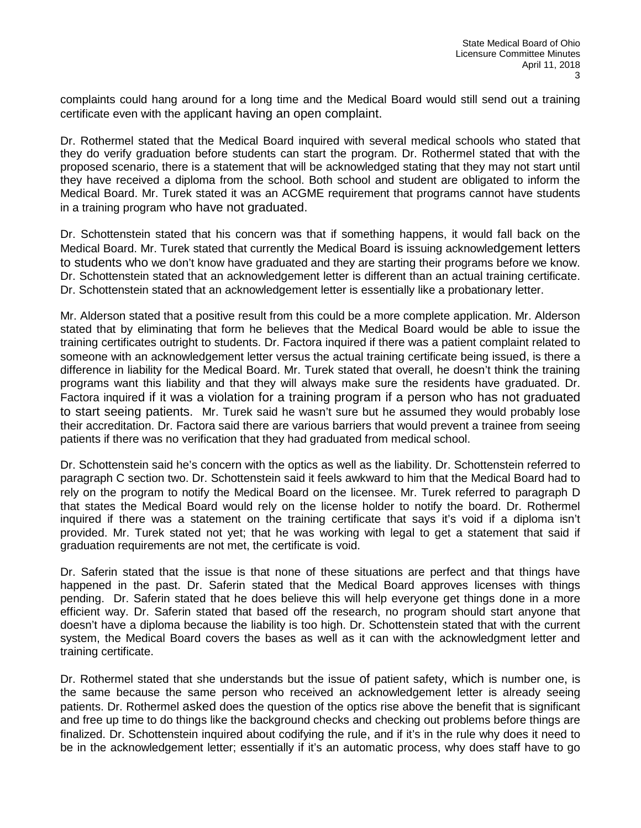complaints could hang around for a long time and the Medical Board would still send out a training certificate even with the applicant having an open complaint.

Dr. Rothermel stated that the Medical Board inquired with several medical schools who stated that they do verify graduation before students can start the program. Dr. Rothermel stated that with the proposed scenario, there is a statement that will be acknowledged stating that they may not start until they have received a diploma from the school. Both school and student are obligated to inform the Medical Board. Mr. Turek stated it was an ACGME requirement that programs cannot have students in a training program who have not graduated.

Dr. Schottenstein stated that his concern was that if something happens, it would fall back on the Medical Board. Mr. Turek stated that currently the Medical Board is issuing acknowledgement letters to students who we don't know have graduated and they are starting their programs before we know. Dr. Schottenstein stated that an acknowledgement letter is different than an actual training certificate. Dr. Schottenstein stated that an acknowledgement letter is essentially like a probationary letter.

Mr. Alderson stated that a positive result from this could be a more complete application. Mr. Alderson stated that by eliminating that form he believes that the Medical Board would be able to issue the training certificates outright to students. Dr. Factora inquired if there was a patient complaint related to someone with an acknowledgement letter versus the actual training certificate being issued, is there a difference in liability for the Medical Board. Mr. Turek stated that overall, he doesn't think the training programs want this liability and that they will always make sure the residents have graduated. Dr. Factora inquired if it was a violation for a training program if a person who has not graduated to start seeing patients. Mr. Turek said he wasn't sure but he assumed they would probably lose their accreditation. Dr. Factora said there are various barriers that would prevent a trainee from seeing patients if there was no verification that they had graduated from medical school.

Dr. Schottenstein said he's concern with the optics as well as the liability. Dr. Schottenstein referred to paragraph C section two. Dr. Schottenstein said it feels awkward to him that the Medical Board had to rely on the program to notify the Medical Board on the licensee. Mr. Turek referred to paragraph D that states the Medical Board would rely on the license holder to notify the board. Dr. Rothermel inquired if there was a statement on the training certificate that says it's void if a diploma isn't provided. Mr. Turek stated not yet; that he was working with legal to get a statement that said if graduation requirements are not met, the certificate is void.

Dr. Saferin stated that the issue is that none of these situations are perfect and that things have happened in the past. Dr. Saferin stated that the Medical Board approves licenses with things pending. Dr. Saferin stated that he does believe this will help everyone get things done in a more efficient way. Dr. Saferin stated that based off the research, no program should start anyone that doesn't have a diploma because the liability is too high. Dr. Schottenstein stated that with the current system, the Medical Board covers the bases as well as it can with the acknowledgment letter and training certificate.

Dr. Rothermel stated that she understands but the issue of patient safety, which is number one, is the same because the same person who received an acknowledgement letter is already seeing patients. Dr. Rothermel asked does the question of the optics rise above the benefit that is significant and free up time to do things like the background checks and checking out problems before things are finalized. Dr. Schottenstein inquired about codifying the rule, and if it's in the rule why does it need to be in the acknowledgement letter; essentially if it's an automatic process, why does staff have to go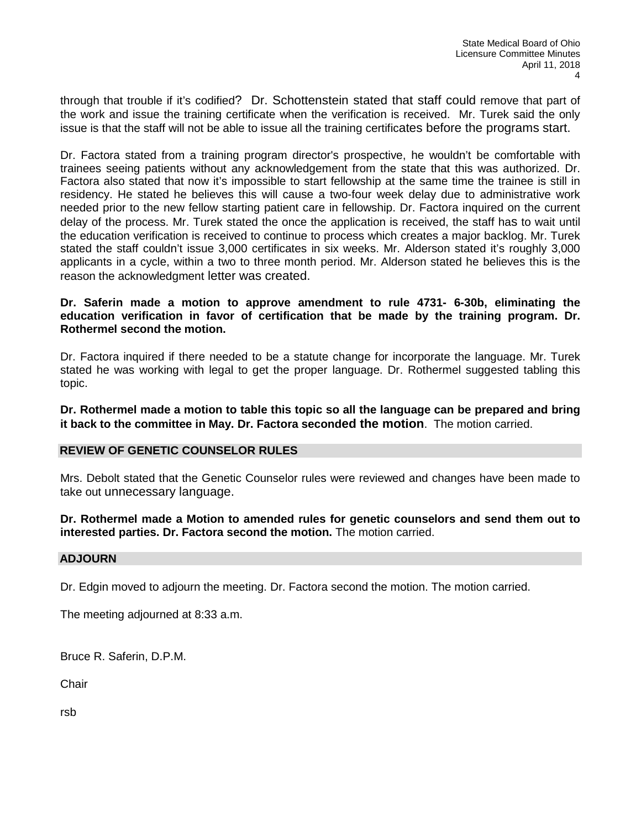through that trouble if it's codified? Dr. Schottenstein stated that staff could remove that part of the work and issue the training certificate when the verification is received. Mr. Turek said the only issue is that the staff will not be able to issue all the training certificates before the programs start.

Dr. Factora stated from a training program director's prospective, he wouldn't be comfortable with trainees seeing patients without any acknowledgement from the state that this was authorized. Dr. Factora also stated that now it's impossible to start fellowship at the same time the trainee is still in residency. He stated he believes this will cause a two-four week delay due to administrative work needed prior to the new fellow starting patient care in fellowship. Dr. Factora inquired on the current delay of the process. Mr. Turek stated the once the application is received, the staff has to wait until the education verification is received to continue to process which creates a major backlog. Mr. Turek stated the staff couldn't issue 3,000 certificates in six weeks. Mr. Alderson stated it's roughly 3,000 applicants in a cycle, within a two to three month period. Mr. Alderson stated he believes this is the reason the acknowledgment letter was created.

### **Dr. Saferin made a motion to approve amendment to rule 4731- 6-30b, eliminating the education verification in favor of certification that be made by the training program. Dr. Rothermel second the motion.**

Dr. Factora inquired if there needed to be a statute change for incorporate the language. Mr. Turek stated he was working with legal to get the proper language. Dr. Rothermel suggested tabling this topic.

**Dr. Rothermel made a motion to table this topic so all the language can be prepared and bring it back to the committee in May. Dr. Factora seconded the motion**. The motion carried.

## **REVIEW OF GENETIC COUNSELOR RULES**

Mrs. Debolt stated that the Genetic Counselor rules were reviewed and changes have been made to take out unnecessary language.

**Dr. Rothermel made a Motion to amended rules for genetic counselors and send them out to interested parties. Dr. Factora second the motion.** The motion carried.

### **ADJOURN**

Dr. Edgin moved to adjourn the meeting. Dr. Factora second the motion. The motion carried.

The meeting adjourned at 8:33 a.m.

Bruce R. Saferin, D.P.M.

**Chair** 

rsb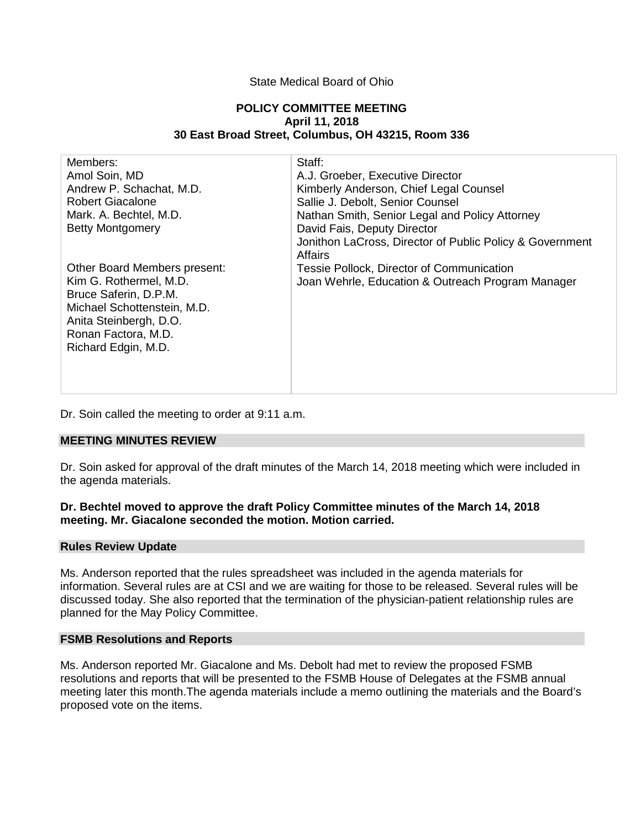### State Medical Board of Ohio

#### **POLICY COMMITTEE MEETING April 11, 2018 30 East Broad Street, Columbus, OH 43215, Room 336**

| Members:                     | Staff:                                                   |
|------------------------------|----------------------------------------------------------|
| Amol Soin, MD                | A.J. Groeber, Executive Director                         |
| Andrew P. Schachat, M.D.     | Kimberly Anderson, Chief Legal Counsel                   |
| <b>Robert Giacalone</b>      | Sallie J. Debolt, Senior Counsel                         |
| Mark. A. Bechtel, M.D.       | Nathan Smith, Senior Legal and Policy Attorney           |
| <b>Betty Montgomery</b>      | David Fais, Deputy Director                              |
|                              | Jonithon LaCross, Director of Public Policy & Government |
|                              | Affairs                                                  |
| Other Board Members present: | Tessie Pollock, Director of Communication                |
| Kim G. Rothermel, M.D.       | Joan Wehrle, Education & Outreach Program Manager        |
| Bruce Saferin, D.P.M.        |                                                          |
| Michael Schottenstein, M.D.  |                                                          |
| Anita Steinbergh, D.O.       |                                                          |
| Ronan Factora, M.D.          |                                                          |
| Richard Edgin, M.D.          |                                                          |
|                              |                                                          |
|                              |                                                          |
|                              |                                                          |

Dr. Soin called the meeting to order at 9:11 a.m.

### **MEETING MINUTES REVIEW**

Dr. Soin asked for approval of the draft minutes of the March 14, 2018 meeting which were included in the agenda materials.

### **Dr. Bechtel moved to approve the draft Policy Committee minutes of the March 14, 2018 meeting. Mr. Giacalone seconded the motion. Motion carried.**

#### **Rules Review Update**

Ms. Anderson reported that the rules spreadsheet was included in the agenda materials for information. Several rules are at CSI and we are waiting for those to be released. Several rules will be discussed today. She also reported that the termination of the physician-patient relationship rules are planned for the May Policy Committee.

### **FSMB Resolutions and Reports**

Ms. Anderson reported Mr. Giacalone and Ms. Debolt had met to review the proposed FSMB resolutions and reports that will be presented to the FSMB House of Delegates at the FSMB annual meeting later this month.The agenda materials include a memo outlining the materials and the Board's proposed vote on the items.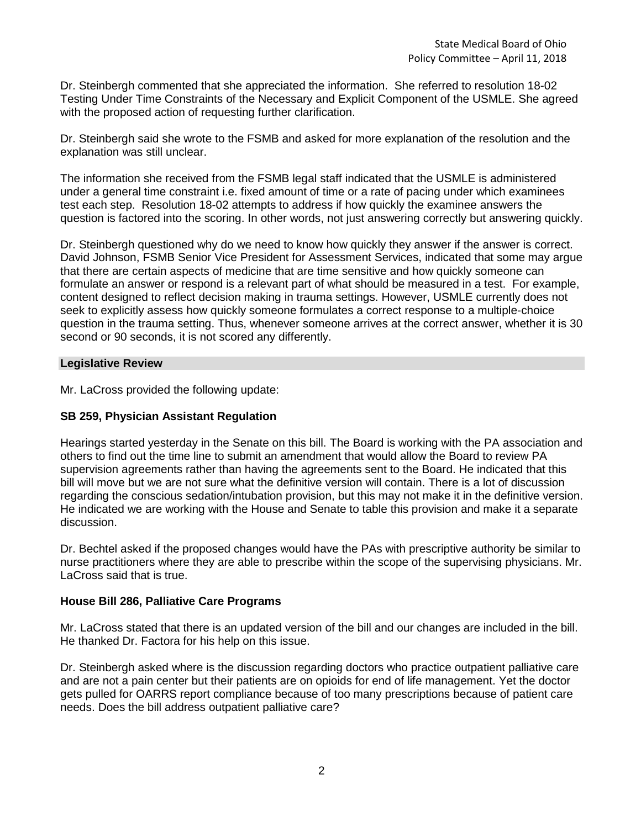Dr. Steinbergh commented that she appreciated the information. She referred to resolution 18-02 Testing Under Time Constraints of the Necessary and Explicit Component of the USMLE. She agreed with the proposed action of requesting further clarification.

Dr. Steinbergh said she wrote to the FSMB and asked for more explanation of the resolution and the explanation was still unclear.

The information she received from the FSMB legal staff indicated that the USMLE is administered under a general time constraint i.e. fixed amount of time or a rate of pacing under which examinees test each step. Resolution 18-02 attempts to address if how quickly the examinee answers the question is factored into the scoring. In other words, not just answering correctly but answering quickly.

Dr. Steinbergh questioned why do we need to know how quickly they answer if the answer is correct. David Johnson, FSMB Senior Vice President for Assessment Services, indicated that some may argue that there are certain aspects of medicine that are time sensitive and how quickly someone can formulate an answer or respond is a relevant part of what should be measured in a test. For example, content designed to reflect decision making in trauma settings. However, USMLE currently does not seek to explicitly assess how quickly someone formulates a correct response to a multiple-choice question in the trauma setting. Thus, whenever someone arrives at the correct answer, whether it is 30 second or 90 seconds, it is not scored any differently.

### **Legislative Review**

Mr. LaCross provided the following update:

## **SB 259, Physician Assistant Regulation**

Hearings started yesterday in the Senate on this bill. The Board is working with the PA association and others to find out the time line to submit an amendment that would allow the Board to review PA supervision agreements rather than having the agreements sent to the Board. He indicated that this bill will move but we are not sure what the definitive version will contain. There is a lot of discussion regarding the conscious sedation/intubation provision, but this may not make it in the definitive version. He indicated we are working with the House and Senate to table this provision and make it a separate discussion.

Dr. Bechtel asked if the proposed changes would have the PAs with prescriptive authority be similar to nurse practitioners where they are able to prescribe within the scope of the supervising physicians. Mr. LaCross said that is true.

## **House Bill 286, Palliative Care Programs**

Mr. LaCross stated that there is an updated version of the bill and our changes are included in the bill. He thanked Dr. Factora for his help on this issue.

Dr. Steinbergh asked where is the discussion regarding doctors who practice outpatient palliative care and are not a pain center but their patients are on opioids for end of life management. Yet the doctor gets pulled for OARRS report compliance because of too many prescriptions because of patient care needs. Does the bill address outpatient palliative care?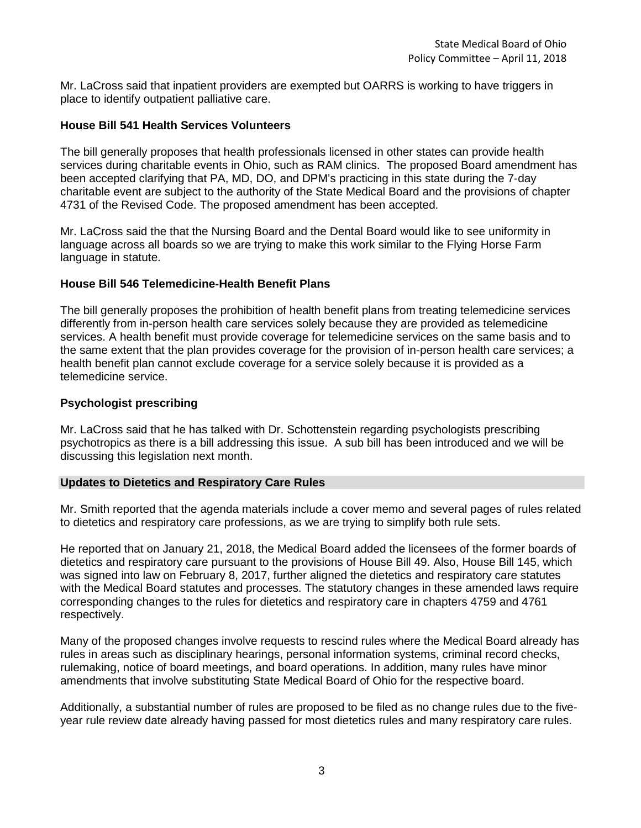Mr. LaCross said that inpatient providers are exempted but OARRS is working to have triggers in place to identify outpatient palliative care.

### **House Bill 541 Health Services Volunteers**

The bill generally proposes that health professionals licensed in other states can provide health services during charitable events in Ohio, such as RAM clinics. The proposed Board amendment has been accepted clarifying that PA, MD, DO, and DPM's practicing in this state during the 7-day charitable event are subject to the authority of the State Medical Board and the provisions of chapter 4731 of the Revised Code. The proposed amendment has been accepted.

Mr. LaCross said the that the Nursing Board and the Dental Board would like to see uniformity in language across all boards so we are trying to make this work similar to the Flying Horse Farm language in statute.

### **House Bill 546 Telemedicine-Health Benefit Plans**

The bill generally proposes the prohibition of health benefit plans from treating telemedicine services differently from in-person health care services solely because they are provided as telemedicine services. A health benefit must provide coverage for telemedicine services on the same basis and to the same extent that the plan provides coverage for the provision of in-person health care services; a health benefit plan cannot exclude coverage for a service solely because it is provided as a telemedicine service.

### **Psychologist prescribing**

Mr. LaCross said that he has talked with Dr. Schottenstein regarding psychologists prescribing psychotropics as there is a bill addressing this issue. A sub bill has been introduced and we will be discussing this legislation next month.

### **Updates to Dietetics and Respiratory Care Rules**

Mr. Smith reported that the agenda materials include a cover memo and several pages of rules related to dietetics and respiratory care professions, as we are trying to simplify both rule sets.

He reported that on January 21, 2018, the Medical Board added the licensees of the former boards of dietetics and respiratory care pursuant to the provisions of House Bill 49. Also, House Bill 145, which was signed into law on February 8, 2017, further aligned the dietetics and respiratory care statutes with the Medical Board statutes and processes. The statutory changes in these amended laws require corresponding changes to the rules for dietetics and respiratory care in chapters 4759 and 4761 respectively.

Many of the proposed changes involve requests to rescind rules where the Medical Board already has rules in areas such as disciplinary hearings, personal information systems, criminal record checks, rulemaking, notice of board meetings, and board operations. In addition, many rules have minor amendments that involve substituting State Medical Board of Ohio for the respective board.

Additionally, a substantial number of rules are proposed to be filed as no change rules due to the fiveyear rule review date already having passed for most dietetics rules and many respiratory care rules.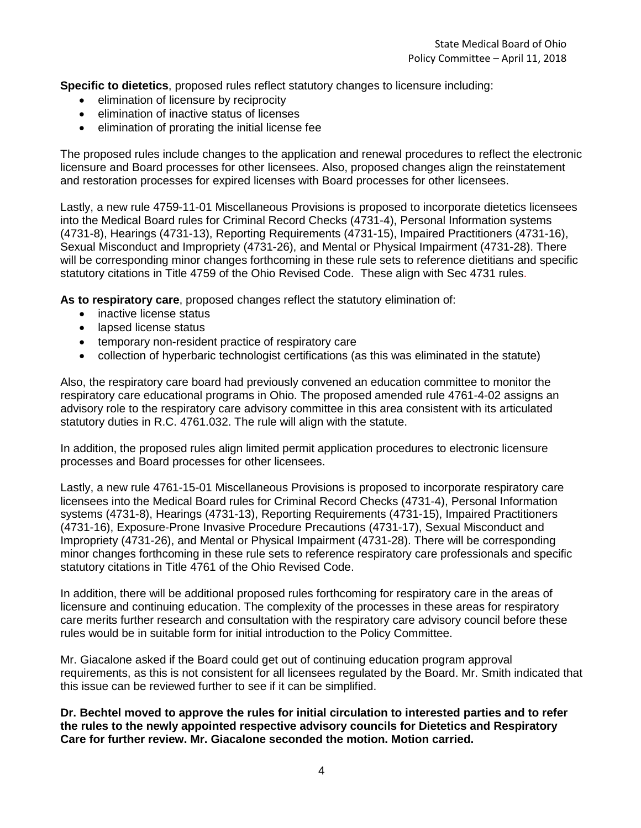**Specific to dietetics**, proposed rules reflect statutory changes to licensure including:

- elimination of licensure by reciprocity
- elimination of inactive status of licenses
- elimination of prorating the initial license fee

The proposed rules include changes to the application and renewal procedures to reflect the electronic licensure and Board processes for other licensees. Also, proposed changes align the reinstatement and restoration processes for expired licenses with Board processes for other licensees.

Lastly, a new rule 4759-11-01 Miscellaneous Provisions is proposed to incorporate dietetics licensees into the Medical Board rules for Criminal Record Checks (4731-4), Personal Information systems (4731-8), Hearings (4731-13), Reporting Requirements (4731-15), Impaired Practitioners (4731-16), Sexual Misconduct and Impropriety (4731-26), and Mental or Physical Impairment (4731-28). There will be corresponding minor changes forthcoming in these rule sets to reference dietitians and specific statutory citations in Title 4759 of the Ohio Revised Code. These align with Sec 4731 rules.

**As to respiratory care**, proposed changes reflect the statutory elimination of:

- inactive license status
- lapsed license status
- temporary non-resident practice of respiratory care
- collection of hyperbaric technologist certifications (as this was eliminated in the statute)

Also, the respiratory care board had previously convened an education committee to monitor the respiratory care educational programs in Ohio. The proposed amended rule 4761-4-02 assigns an advisory role to the respiratory care advisory committee in this area consistent with its articulated statutory duties in R.C. 4761.032. The rule will align with the statute.

In addition, the proposed rules align limited permit application procedures to electronic licensure processes and Board processes for other licensees.

Lastly, a new rule 4761-15-01 Miscellaneous Provisions is proposed to incorporate respiratory care licensees into the Medical Board rules for Criminal Record Checks (4731-4), Personal Information systems (4731-8), Hearings (4731-13), Reporting Requirements (4731-15), Impaired Practitioners (4731-16), Exposure-Prone Invasive Procedure Precautions (4731-17), Sexual Misconduct and Impropriety (4731-26), and Mental or Physical Impairment (4731-28). There will be corresponding minor changes forthcoming in these rule sets to reference respiratory care professionals and specific statutory citations in Title 4761 of the Ohio Revised Code.

In addition, there will be additional proposed rules forthcoming for respiratory care in the areas of licensure and continuing education. The complexity of the processes in these areas for respiratory care merits further research and consultation with the respiratory care advisory council before these rules would be in suitable form for initial introduction to the Policy Committee.

Mr. Giacalone asked if the Board could get out of continuing education program approval requirements, as this is not consistent for all licensees regulated by the Board. Mr. Smith indicated that this issue can be reviewed further to see if it can be simplified.

**Dr. Bechtel moved to approve the rules for initial circulation to interested parties and to refer the rules to the newly appointed respective advisory councils for Dietetics and Respiratory Care for further review. Mr. Giacalone seconded the motion. Motion carried.**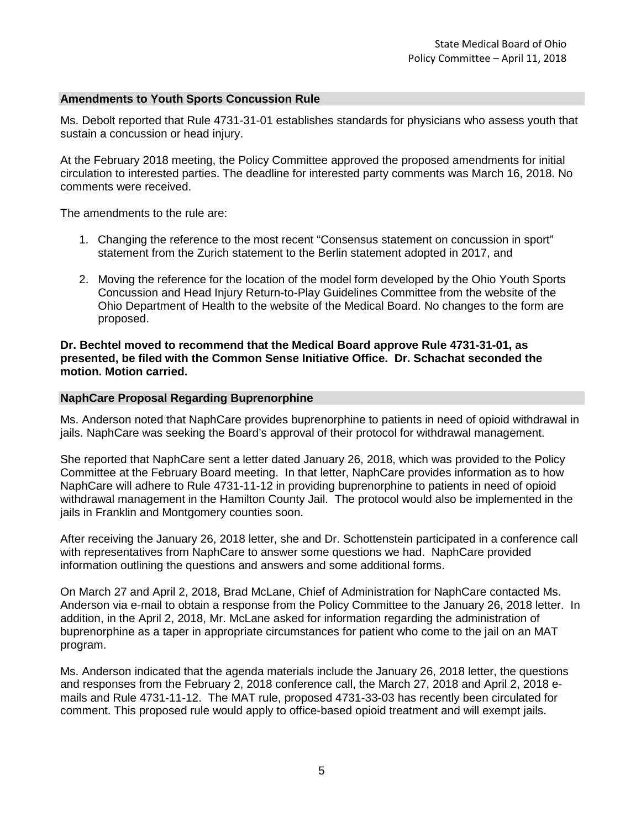### **Amendments to Youth Sports Concussion Rule**

Ms. Debolt reported that Rule 4731-31-01 establishes standards for physicians who assess youth that sustain a concussion or head injury.

At the February 2018 meeting, the Policy Committee approved the proposed amendments for initial circulation to interested parties. The deadline for interested party comments was March 16, 2018. No comments were received.

The amendments to the rule are:

- 1. Changing the reference to the most recent "Consensus statement on concussion in sport" statement from the Zurich statement to the Berlin statement adopted in 2017, and
- 2. Moving the reference for the location of the model form developed by the Ohio Youth Sports Concussion and Head Injury Return-to-Play Guidelines Committee from the website of the Ohio Department of Health to the website of the Medical Board. No changes to the form are proposed.

#### **Dr. Bechtel moved to recommend that the Medical Board approve Rule 4731-31-01, as presented, be filed with the Common Sense Initiative Office. Dr. Schachat seconded the motion. Motion carried.**

#### **NaphCare Proposal Regarding Buprenorphine**

Ms. Anderson noted that NaphCare provides buprenorphine to patients in need of opioid withdrawal in jails. NaphCare was seeking the Board's approval of their protocol for withdrawal management.

She reported that NaphCare sent a letter dated January 26, 2018, which was provided to the Policy Committee at the February Board meeting. In that letter, NaphCare provides information as to how NaphCare will adhere to Rule 4731-11-12 in providing buprenorphine to patients in need of opioid withdrawal management in the Hamilton County Jail. The protocol would also be implemented in the jails in Franklin and Montgomery counties soon.

After receiving the January 26, 2018 letter, she and Dr. Schottenstein participated in a conference call with representatives from NaphCare to answer some questions we had. NaphCare provided information outlining the questions and answers and some additional forms.

On March 27 and April 2, 2018, Brad McLane, Chief of Administration for NaphCare contacted Ms. Anderson via e-mail to obtain a response from the Policy Committee to the January 26, 2018 letter. In addition, in the April 2, 2018, Mr. McLane asked for information regarding the administration of buprenorphine as a taper in appropriate circumstances for patient who come to the jail on an MAT program.

Ms. Anderson indicated that the agenda materials include the January 26, 2018 letter, the questions and responses from the February 2, 2018 conference call, the March 27, 2018 and April 2, 2018 emails and Rule 4731-11-12. The MAT rule, proposed 4731-33-03 has recently been circulated for comment. This proposed rule would apply to office-based opioid treatment and will exempt jails.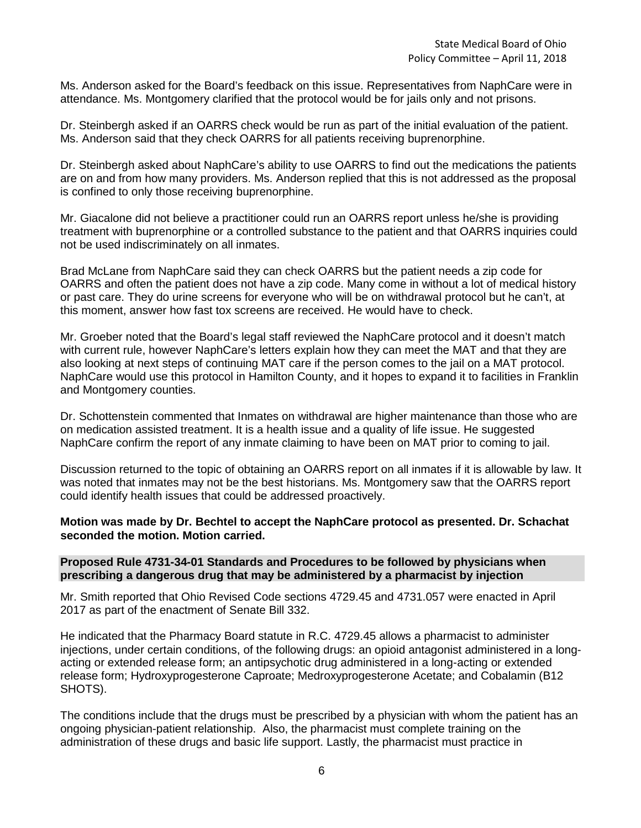Ms. Anderson asked for the Board's feedback on this issue. Representatives from NaphCare were in attendance. Ms. Montgomery clarified that the protocol would be for jails only and not prisons.

Dr. Steinbergh asked if an OARRS check would be run as part of the initial evaluation of the patient. Ms. Anderson said that they check OARRS for all patients receiving buprenorphine.

Dr. Steinbergh asked about NaphCare's ability to use OARRS to find out the medications the patients are on and from how many providers. Ms. Anderson replied that this is not addressed as the proposal is confined to only those receiving buprenorphine.

Mr. Giacalone did not believe a practitioner could run an OARRS report unless he/she is providing treatment with buprenorphine or a controlled substance to the patient and that OARRS inquiries could not be used indiscriminately on all inmates.

Brad McLane from NaphCare said they can check OARRS but the patient needs a zip code for OARRS and often the patient does not have a zip code. Many come in without a lot of medical history or past care. They do urine screens for everyone who will be on withdrawal protocol but he can't, at this moment, answer how fast tox screens are received. He would have to check.

Mr. Groeber noted that the Board's legal staff reviewed the NaphCare protocol and it doesn't match with current rule, however NaphCare's letters explain how they can meet the MAT and that they are also looking at next steps of continuing MAT care if the person comes to the jail on a MAT protocol. NaphCare would use this protocol in Hamilton County, and it hopes to expand it to facilities in Franklin and Montgomery counties.

Dr. Schottenstein commented that Inmates on withdrawal are higher maintenance than those who are on medication assisted treatment. It is a health issue and a quality of life issue. He suggested NaphCare confirm the report of any inmate claiming to have been on MAT prior to coming to jail.

Discussion returned to the topic of obtaining an OARRS report on all inmates if it is allowable by law. It was noted that inmates may not be the best historians. Ms. Montgomery saw that the OARRS report could identify health issues that could be addressed proactively.

### **Motion was made by Dr. Bechtel to accept the NaphCare protocol as presented. Dr. Schachat seconded the motion. Motion carried.**

### **Proposed Rule 4731-34-01 Standards and Procedures to be followed by physicians when prescribing a dangerous drug that may be administered by a pharmacist by injection**

Mr. Smith reported that Ohio Revised Code sections 4729.45 and 4731.057 were enacted in April 2017 as part of the enactment of Senate Bill 332.

He indicated that the Pharmacy Board statute in R.C. 4729.45 allows a pharmacist to administer injections, under certain conditions, of the following drugs: an opioid antagonist administered in a longacting or extended release form; an antipsychotic drug administered in a long-acting or extended release form; Hydroxyprogesterone Caproate; Medroxyprogesterone Acetate; and Cobalamin (B12 SHOTS).

The conditions include that the drugs must be prescribed by a physician with whom the patient has an ongoing physician-patient relationship. Also, the pharmacist must complete training on the administration of these drugs and basic life support. Lastly, the pharmacist must practice in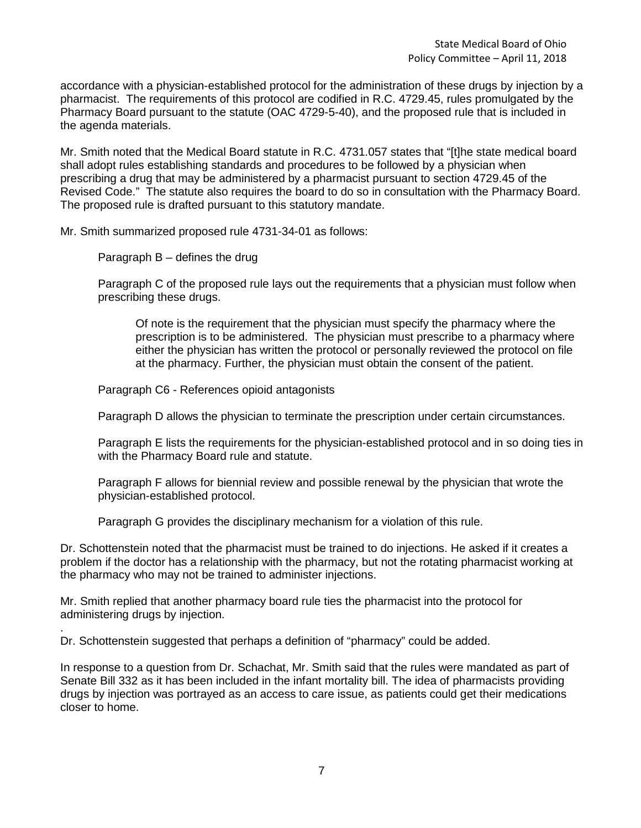accordance with a physician-established protocol for the administration of these drugs by injection by a pharmacist. The requirements of this protocol are codified in R.C. 4729.45, rules promulgated by the Pharmacy Board pursuant to the statute (OAC 4729-5-40), and the proposed rule that is included in the agenda materials.

Mr. Smith noted that the Medical Board statute in R.C. 4731.057 states that "[t]he state medical board shall adopt rules establishing standards and procedures to be followed by a physician when prescribing a drug that may be administered by a pharmacist pursuant to section 4729.45 of the Revised Code." The statute also requires the board to do so in consultation with the Pharmacy Board. The proposed rule is drafted pursuant to this statutory mandate.

Mr. Smith summarized proposed rule 4731-34-01 as follows:

Paragraph B – defines the drug

Paragraph C of the proposed rule lays out the requirements that a physician must follow when prescribing these drugs.

Of note is the requirement that the physician must specify the pharmacy where the prescription is to be administered. The physician must prescribe to a pharmacy where either the physician has written the protocol or personally reviewed the protocol on file at the pharmacy. Further, the physician must obtain the consent of the patient.

Paragraph C6 - References opioid antagonists

Paragraph D allows the physician to terminate the prescription under certain circumstances.

Paragraph E lists the requirements for the physician-established protocol and in so doing ties in with the Pharmacy Board rule and statute.

Paragraph F allows for biennial review and possible renewal by the physician that wrote the physician-established protocol.

Paragraph G provides the disciplinary mechanism for a violation of this rule.

Dr. Schottenstein noted that the pharmacist must be trained to do injections. He asked if it creates a problem if the doctor has a relationship with the pharmacy, but not the rotating pharmacist working at the pharmacy who may not be trained to administer injections.

Mr. Smith replied that another pharmacy board rule ties the pharmacist into the protocol for administering drugs by injection.

. Dr. Schottenstein suggested that perhaps a definition of "pharmacy" could be added.

In response to a question from Dr. Schachat, Mr. Smith said that the rules were mandated as part of Senate Bill 332 as it has been included in the infant mortality bill. The idea of pharmacists providing drugs by injection was portrayed as an access to care issue, as patients could get their medications closer to home.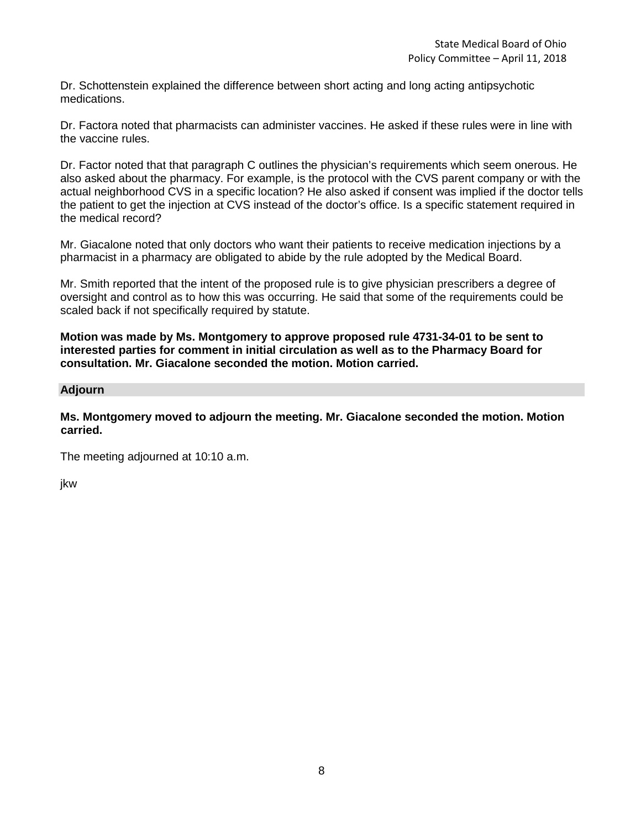Dr. Schottenstein explained the difference between short acting and long acting antipsychotic medications.

Dr. Factora noted that pharmacists can administer vaccines. He asked if these rules were in line with the vaccine rules.

Dr. Factor noted that that paragraph C outlines the physician's requirements which seem onerous. He also asked about the pharmacy. For example, is the protocol with the CVS parent company or with the actual neighborhood CVS in a specific location? He also asked if consent was implied if the doctor tells the patient to get the injection at CVS instead of the doctor's office. Is a specific statement required in the medical record?

Mr. Giacalone noted that only doctors who want their patients to receive medication injections by a pharmacist in a pharmacy are obligated to abide by the rule adopted by the Medical Board.

Mr. Smith reported that the intent of the proposed rule is to give physician prescribers a degree of oversight and control as to how this was occurring. He said that some of the requirements could be scaled back if not specifically required by statute.

**Motion was made by Ms. Montgomery to approve proposed rule 4731-34-01 to be sent to interested parties for comment in initial circulation as well as to the Pharmacy Board for consultation. Mr. Giacalone seconded the motion. Motion carried.** 

### **Adjourn**

**Ms. Montgomery moved to adjourn the meeting. Mr. Giacalone seconded the motion. Motion carried.**

The meeting adjourned at 10:10 a.m.

jkw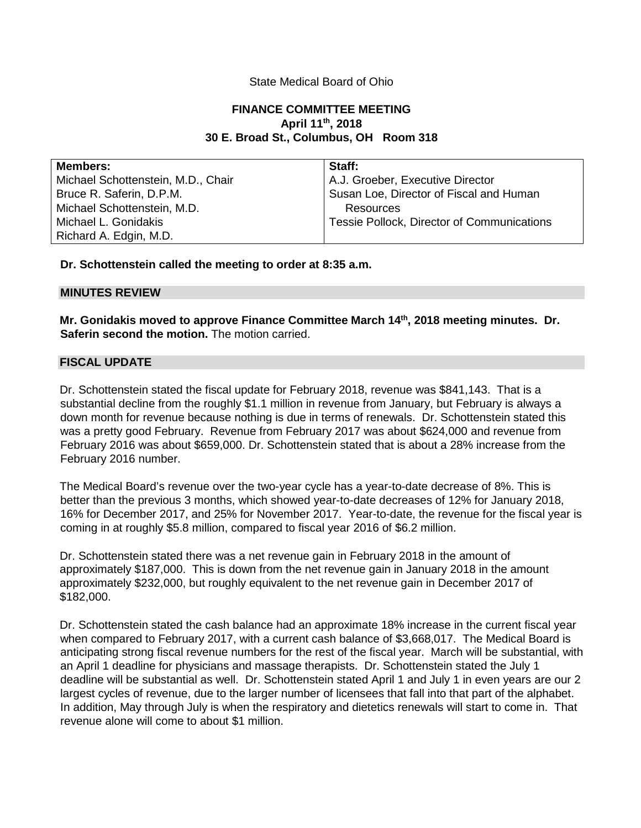### State Medical Board of Ohio

## **FINANCE COMMITTEE MEETING April 11th, 2018 30 E. Broad St., Columbus, OH Room 318**

| <b>Members:</b>                    | Staff:                                     |
|------------------------------------|--------------------------------------------|
| Michael Schottenstein, M.D., Chair | A.J. Groeber, Executive Director           |
| Bruce R. Saferin, D.P.M.           | Susan Loe, Director of Fiscal and Human    |
| Michael Schottenstein, M.D.        | Resources                                  |
| Michael L. Gonidakis               | Tessie Pollock, Director of Communications |
| Richard A. Edgin, M.D.             |                                            |

**Dr. Schottenstein called the meeting to order at 8:35 a.m.** 

### **MINUTES REVIEW**

Mr. Gonidakis moved to approve Finance Committee March 14<sup>th</sup>, 2018 meeting minutes. Dr. **Saferin second the motion.** The motion carried.

### **FISCAL UPDATE**

Dr. Schottenstein stated the fiscal update for February 2018, revenue was \$841,143. That is a substantial decline from the roughly \$1.1 million in revenue from January, but February is always a down month for revenue because nothing is due in terms of renewals. Dr. Schottenstein stated this was a pretty good February. Revenue from February 2017 was about \$624,000 and revenue from February 2016 was about \$659,000. Dr. Schottenstein stated that is about a 28% increase from the February 2016 number.

The Medical Board's revenue over the two-year cycle has a year-to-date decrease of 8%. This is better than the previous 3 months, which showed year-to-date decreases of 12% for January 2018, 16% for December 2017, and 25% for November 2017. Year-to-date, the revenue for the fiscal year is coming in at roughly \$5.8 million, compared to fiscal year 2016 of \$6.2 million.

Dr. Schottenstein stated there was a net revenue gain in February 2018 in the amount of approximately \$187,000. This is down from the net revenue gain in January 2018 in the amount approximately \$232,000, but roughly equivalent to the net revenue gain in December 2017 of \$182,000.

Dr. Schottenstein stated the cash balance had an approximate 18% increase in the current fiscal year when compared to February 2017, with a current cash balance of \$3,668,017. The Medical Board is anticipating strong fiscal revenue numbers for the rest of the fiscal year. March will be substantial, with an April 1 deadline for physicians and massage therapists. Dr. Schottenstein stated the July 1 deadline will be substantial as well. Dr. Schottenstein stated April 1 and July 1 in even years are our 2 largest cycles of revenue, due to the larger number of licensees that fall into that part of the alphabet. In addition, May through July is when the respiratory and dietetics renewals will start to come in. That revenue alone will come to about \$1 million.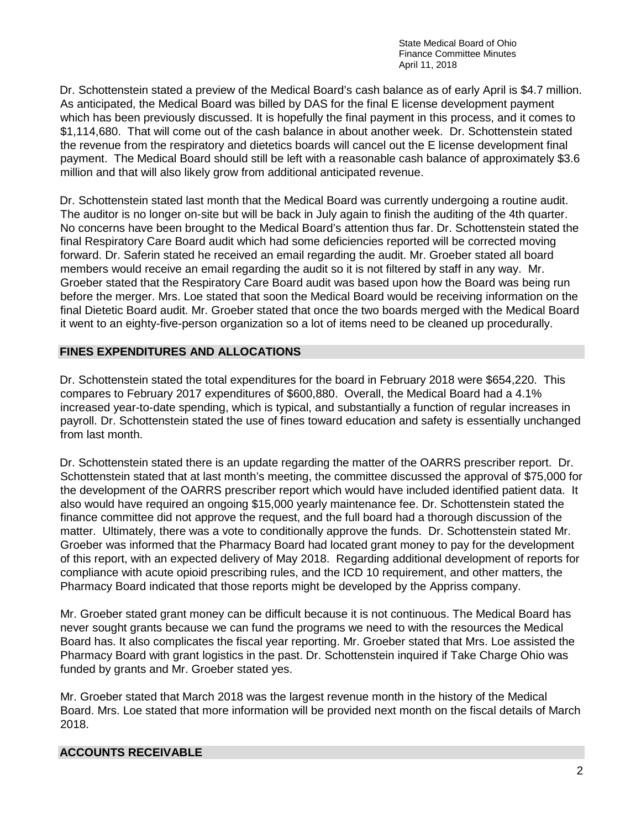State Medical Board of Ohio Finance Committee Minutes April 11, 2018

Dr. Schottenstein stated a preview of the Medical Board's cash balance as of early April is \$4.7 million. As anticipated, the Medical Board was billed by DAS for the final E license development payment which has been previously discussed. It is hopefully the final payment in this process, and it comes to \$1,114,680. That will come out of the cash balance in about another week. Dr. Schottenstein stated the revenue from the respiratory and dietetics boards will cancel out the E license development final payment. The Medical Board should still be left with a reasonable cash balance of approximately \$3.6 million and that will also likely grow from additional anticipated revenue.

Dr. Schottenstein stated last month that the Medical Board was currently undergoing a routine audit. The auditor is no longer on-site but will be back in July again to finish the auditing of the 4th quarter. No concerns have been brought to the Medical Board's attention thus far. Dr. Schottenstein stated the final Respiratory Care Board audit which had some deficiencies reported will be corrected moving forward. Dr. Saferin stated he received an email regarding the audit. Mr. Groeber stated all board members would receive an email regarding the audit so it is not filtered by staff in any way. Mr. Groeber stated that the Respiratory Care Board audit was based upon how the Board was being run before the merger. Mrs. Loe stated that soon the Medical Board would be receiving information on the final Dietetic Board audit. Mr. Groeber stated that once the two boards merged with the Medical Board it went to an eighty-five-person organization so a lot of items need to be cleaned up procedurally.

## **FINES EXPENDITURES AND ALLOCATIONS**

Dr. Schottenstein stated the total expenditures for the board in February 2018 were \$654,220. This compares to February 2017 expenditures of \$600,880. Overall, the Medical Board had a 4.1% increased year-to-date spending, which is typical, and substantially a function of regular increases in payroll. Dr. Schottenstein stated the use of fines toward education and safety is essentially unchanged from last month.

Dr. Schottenstein stated there is an update regarding the matter of the OARRS prescriber report. Dr. Schottenstein stated that at last month's meeting, the committee discussed the approval of \$75,000 for the development of the OARRS prescriber report which would have included identified patient data. It also would have required an ongoing \$15,000 yearly maintenance fee. Dr. Schottenstein stated the finance committee did not approve the request, and the full board had a thorough discussion of the matter. Ultimately, there was a vote to conditionally approve the funds. Dr. Schottenstein stated Mr. Groeber was informed that the Pharmacy Board had located grant money to pay for the development of this report, with an expected delivery of May 2018. Regarding additional development of reports for compliance with acute opioid prescribing rules, and the ICD 10 requirement, and other matters, the Pharmacy Board indicated that those reports might be developed by the Appriss company.

Mr. Groeber stated grant money can be difficult because it is not continuous. The Medical Board has never sought grants because we can fund the programs we need to with the resources the Medical Board has. It also complicates the fiscal year reporting. Mr. Groeber stated that Mrs. Loe assisted the Pharmacy Board with grant logistics in the past. Dr. Schottenstein inquired if Take Charge Ohio was funded by grants and Mr. Groeber stated yes.

Mr. Groeber stated that March 2018 was the largest revenue month in the history of the Medical Board. Mrs. Loe stated that more information will be provided next month on the fiscal details of March 2018.

## **ACCOUNTS RECEIVABLE**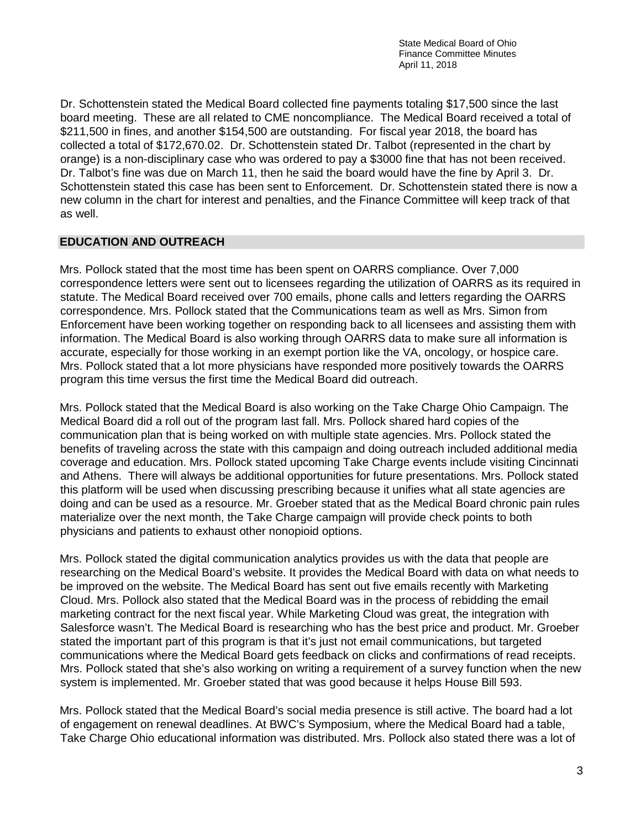State Medical Board of Ohio Finance Committee Minutes April 11, 2018

Dr. Schottenstein stated the Medical Board collected fine payments totaling \$17,500 since the last board meeting. These are all related to CME noncompliance. The Medical Board received a total of \$211,500 in fines, and another \$154,500 are outstanding. For fiscal year 2018, the board has collected a total of \$172,670.02. Dr. Schottenstein stated Dr. Talbot (represented in the chart by orange) is a non-disciplinary case who was ordered to pay a \$3000 fine that has not been received. Dr. Talbot's fine was due on March 11, then he said the board would have the fine by April 3. Dr. Schottenstein stated this case has been sent to Enforcement. Dr. Schottenstein stated there is now a new column in the chart for interest and penalties, and the Finance Committee will keep track of that as well.

# **EDUCATION AND OUTREACH**

Mrs. Pollock stated that the most time has been spent on OARRS compliance. Over 7,000 correspondence letters were sent out to licensees regarding the utilization of OARRS as its required in statute. The Medical Board received over 700 emails, phone calls and letters regarding the OARRS correspondence. Mrs. Pollock stated that the Communications team as well as Mrs. Simon from Enforcement have been working together on responding back to all licensees and assisting them with information. The Medical Board is also working through OARRS data to make sure all information is accurate, especially for those working in an exempt portion like the VA, oncology, or hospice care. Mrs. Pollock stated that a lot more physicians have responded more positively towards the OARRS program this time versus the first time the Medical Board did outreach.

Mrs. Pollock stated that the Medical Board is also working on the Take Charge Ohio Campaign. The Medical Board did a roll out of the program last fall. Mrs. Pollock shared hard copies of the communication plan that is being worked on with multiple state agencies. Mrs. Pollock stated the benefits of traveling across the state with this campaign and doing outreach included additional media coverage and education. Mrs. Pollock stated upcoming Take Charge events include visiting Cincinnati and Athens. There will always be additional opportunities for future presentations. Mrs. Pollock stated this platform will be used when discussing prescribing because it unifies what all state agencies are doing and can be used as a resource. Mr. Groeber stated that as the Medical Board chronic pain rules materialize over the next month, the Take Charge campaign will provide check points to both physicians and patients to exhaust other nonopioid options.

Mrs. Pollock stated the digital communication analytics provides us with the data that people are researching on the Medical Board's website. It provides the Medical Board with data on what needs to be improved on the website. The Medical Board has sent out five emails recently with Marketing Cloud. Mrs. Pollock also stated that the Medical Board was in the process of rebidding the email marketing contract for the next fiscal year. While Marketing Cloud was great, the integration with Salesforce wasn't. The Medical Board is researching who has the best price and product. Mr. Groeber stated the important part of this program is that it's just not email communications, but targeted communications where the Medical Board gets feedback on clicks and confirmations of read receipts. Mrs. Pollock stated that she's also working on writing a requirement of a survey function when the new system is implemented. Mr. Groeber stated that was good because it helps House Bill 593.

Mrs. Pollock stated that the Medical Board's social media presence is still active. The board had a lot of engagement on renewal deadlines. At BWC's Symposium, where the Medical Board had a table, Take Charge Ohio educational information was distributed. Mrs. Pollock also stated there was a lot of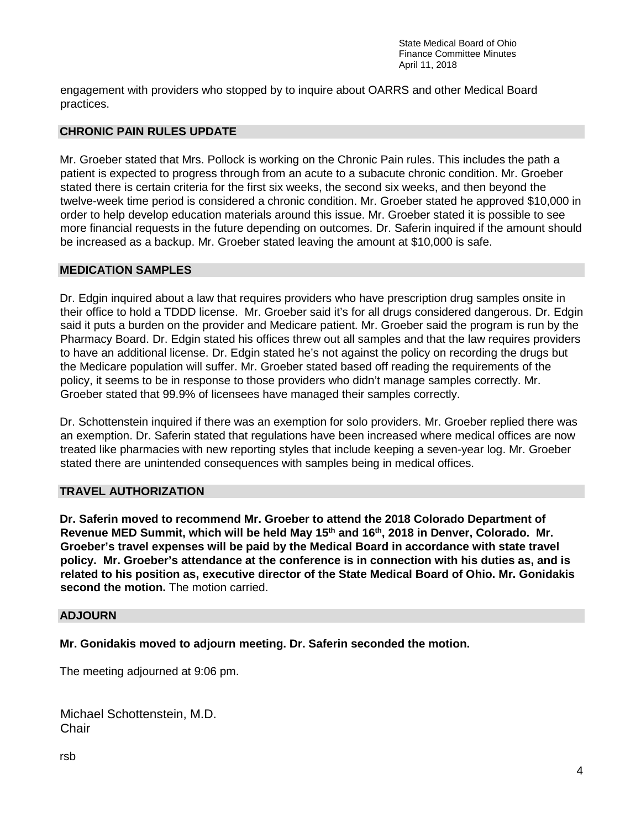engagement with providers who stopped by to inquire about OARRS and other Medical Board practices.

## **CHRONIC PAIN RULES UPDATE**

Mr. Groeber stated that Mrs. Pollock is working on the Chronic Pain rules. This includes the path a patient is expected to progress through from an acute to a subacute chronic condition. Mr. Groeber stated there is certain criteria for the first six weeks, the second six weeks, and then beyond the twelve-week time period is considered a chronic condition. Mr. Groeber stated he approved \$10,000 in order to help develop education materials around this issue. Mr. Groeber stated it is possible to see more financial requests in the future depending on outcomes. Dr. Saferin inquired if the amount should be increased as a backup. Mr. Groeber stated leaving the amount at \$10,000 is safe.

### **MEDICATION SAMPLES**

Dr. Edgin inquired about a law that requires providers who have prescription drug samples onsite in their office to hold a TDDD license. Mr. Groeber said it's for all drugs considered dangerous. Dr. Edgin said it puts a burden on the provider and Medicare patient. Mr. Groeber said the program is run by the Pharmacy Board. Dr. Edgin stated his offices threw out all samples and that the law requires providers to have an additional license. Dr. Edgin stated he's not against the policy on recording the drugs but the Medicare population will suffer. Mr. Groeber stated based off reading the requirements of the policy, it seems to be in response to those providers who didn't manage samples correctly. Mr. Groeber stated that 99.9% of licensees have managed their samples correctly.

Dr. Schottenstein inquired if there was an exemption for solo providers. Mr. Groeber replied there was an exemption. Dr. Saferin stated that regulations have been increased where medical offices are now treated like pharmacies with new reporting styles that include keeping a seven-year log. Mr. Groeber stated there are unintended consequences with samples being in medical offices.

## **TRAVEL AUTHORIZATION**

**Dr. Saferin moved to recommend Mr. Groeber to attend the 2018 Colorado Department of Revenue MED Summit, which will be held May 15th and 16th, 2018 in Denver, Colorado. Mr. Groeber's travel expenses will be paid by the Medical Board in accordance with state travel policy. Mr. Groeber's attendance at the conference is in connection with his duties as, and is related to his position as, executive director of the State Medical Board of Ohio. Mr. Gonidakis second the motion.** The motion carried.

### **ADJOURN**

**Mr. Gonidakis moved to adjourn meeting. Dr. Saferin seconded the motion.** 

The meeting adjourned at 9:06 pm.

Michael Schottenstein, M.D. **Chair**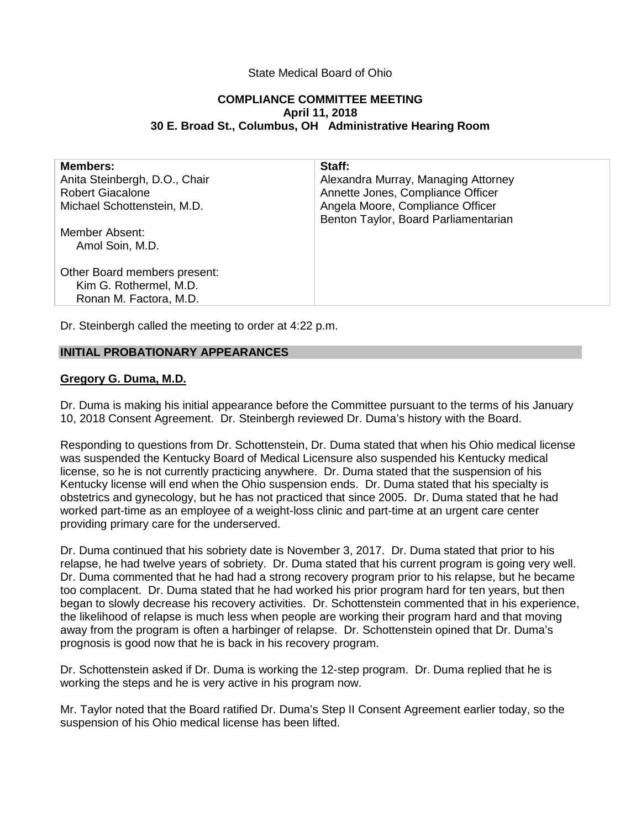## State Medical Board of Ohio

### **COMPLIANCE COMMITTEE MEETING April 11, 2018 30 E. Broad St., Columbus, OH Administrative Hearing Room**

| <b>Members:</b><br>Anita Steinbergh, D.O., Chair | Staff:<br>Alexandra Murray, Managing Attorney |
|--------------------------------------------------|-----------------------------------------------|
| <b>Robert Giacalone</b>                          | Annette Jones, Compliance Officer             |
| Michael Schottenstein, M.D.                      | Angela Moore, Compliance Officer              |
|                                                  | Benton Taylor, Board Parliamentarian          |
| Member Absent:<br>Amol Soin, M.D.                |                                               |
| Other Board members present:                     |                                               |
| Kim G. Rothermel, M.D.                           |                                               |
| Ronan M. Factora, M.D.                           |                                               |
|                                                  |                                               |

Dr. Steinbergh called the meeting to order at 4:22 p.m.

#### **INITIAL PROBATIONARY APPEARANCES**

### **Gregory G. Duma, M.D.**

Dr. Duma is making his initial appearance before the Committee pursuant to the terms of his January 10, 2018 Consent Agreement. Dr. Steinbergh reviewed Dr. Duma's history with the Board.

Responding to questions from Dr. Schottenstein, Dr. Duma stated that when his Ohio medical license was suspended the Kentucky Board of Medical Licensure also suspended his Kentucky medical license, so he is not currently practicing anywhere. Dr. Duma stated that the suspension of his Kentucky license will end when the Ohio suspension ends. Dr. Duma stated that his specialty is obstetrics and gynecology, but he has not practiced that since 2005. Dr. Duma stated that he had worked part-time as an employee of a weight-loss clinic and part-time at an urgent care center providing primary care for the underserved.

Dr. Duma continued that his sobriety date is November 3, 2017. Dr. Duma stated that prior to his relapse, he had twelve years of sobriety. Dr. Duma stated that his current program is going very well. Dr. Duma commented that he had had a strong recovery program prior to his relapse, but he became too complacent. Dr. Duma stated that he had worked his prior program hard for ten years, but then began to slowly decrease his recovery activities. Dr. Schottenstein commented that in his experience, the likelihood of relapse is much less when people are working their program hard and that moving away from the program is often a harbinger of relapse. Dr. Schottenstein opined that Dr. Duma's prognosis is good now that he is back in his recovery program.

Dr. Schottenstein asked if Dr. Duma is working the 12-step program. Dr. Duma replied that he is working the steps and he is very active in his program now.

Mr. Taylor noted that the Board ratified Dr. Duma's Step II Consent Agreement earlier today, so the suspension of his Ohio medical license has been lifted.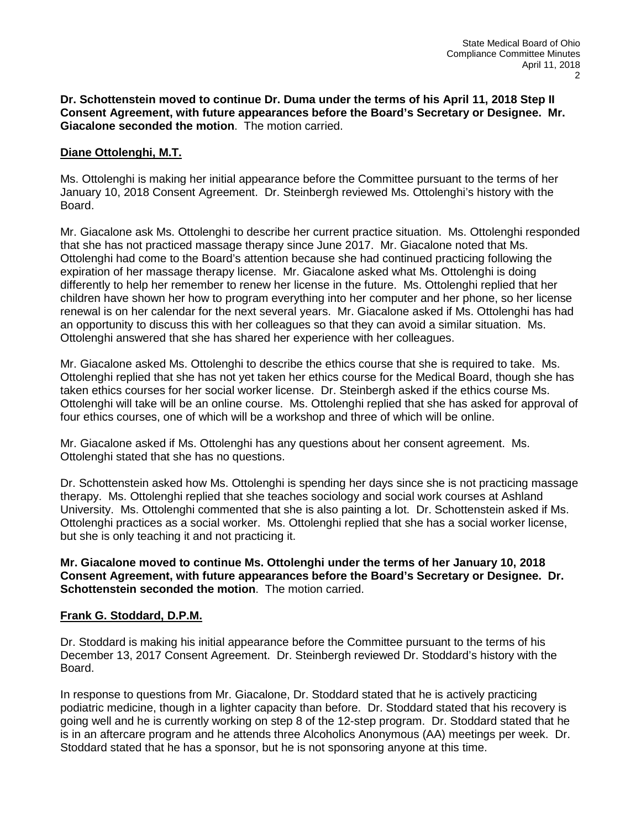**Dr. Schottenstein moved to continue Dr. Duma under the terms of his April 11, 2018 Step II Consent Agreement, with future appearances before the Board's Secretary or Designee. Mr. Giacalone seconded the motion**. The motion carried.

### **Diane Ottolenghi, M.T.**

Ms. Ottolenghi is making her initial appearance before the Committee pursuant to the terms of her January 10, 2018 Consent Agreement. Dr. Steinbergh reviewed Ms. Ottolenghi's history with the Board.

Mr. Giacalone ask Ms. Ottolenghi to describe her current practice situation. Ms. Ottolenghi responded that she has not practiced massage therapy since June 2017. Mr. Giacalone noted that Ms. Ottolenghi had come to the Board's attention because she had continued practicing following the expiration of her massage therapy license. Mr. Giacalone asked what Ms. Ottolenghi is doing differently to help her remember to renew her license in the future. Ms. Ottolenghi replied that her children have shown her how to program everything into her computer and her phone, so her license renewal is on her calendar for the next several years. Mr. Giacalone asked if Ms. Ottolenghi has had an opportunity to discuss this with her colleagues so that they can avoid a similar situation. Ms. Ottolenghi answered that she has shared her experience with her colleagues.

Mr. Giacalone asked Ms. Ottolenghi to describe the ethics course that she is required to take. Ms. Ottolenghi replied that she has not yet taken her ethics course for the Medical Board, though she has taken ethics courses for her social worker license. Dr. Steinbergh asked if the ethics course Ms. Ottolenghi will take will be an online course. Ms. Ottolenghi replied that she has asked for approval of four ethics courses, one of which will be a workshop and three of which will be online.

Mr. Giacalone asked if Ms. Ottolenghi has any questions about her consent agreement. Ms. Ottolenghi stated that she has no questions.

Dr. Schottenstein asked how Ms. Ottolenghi is spending her days since she is not practicing massage therapy. Ms. Ottolenghi replied that she teaches sociology and social work courses at Ashland University. Ms. Ottolenghi commented that she is also painting a lot. Dr. Schottenstein asked if Ms. Ottolenghi practices as a social worker. Ms. Ottolenghi replied that she has a social worker license, but she is only teaching it and not practicing it.

### **Mr. Giacalone moved to continue Ms. Ottolenghi under the terms of her January 10, 2018 Consent Agreement, with future appearances before the Board's Secretary or Designee. Dr. Schottenstein seconded the motion**. The motion carried.

### **Frank G. Stoddard, D.P.M.**

Dr. Stoddard is making his initial appearance before the Committee pursuant to the terms of his December 13, 2017 Consent Agreement. Dr. Steinbergh reviewed Dr. Stoddard's history with the Board.

In response to questions from Mr. Giacalone, Dr. Stoddard stated that he is actively practicing podiatric medicine, though in a lighter capacity than before. Dr. Stoddard stated that his recovery is going well and he is currently working on step 8 of the 12-step program. Dr. Stoddard stated that he is in an aftercare program and he attends three Alcoholics Anonymous (AA) meetings per week. Dr. Stoddard stated that he has a sponsor, but he is not sponsoring anyone at this time.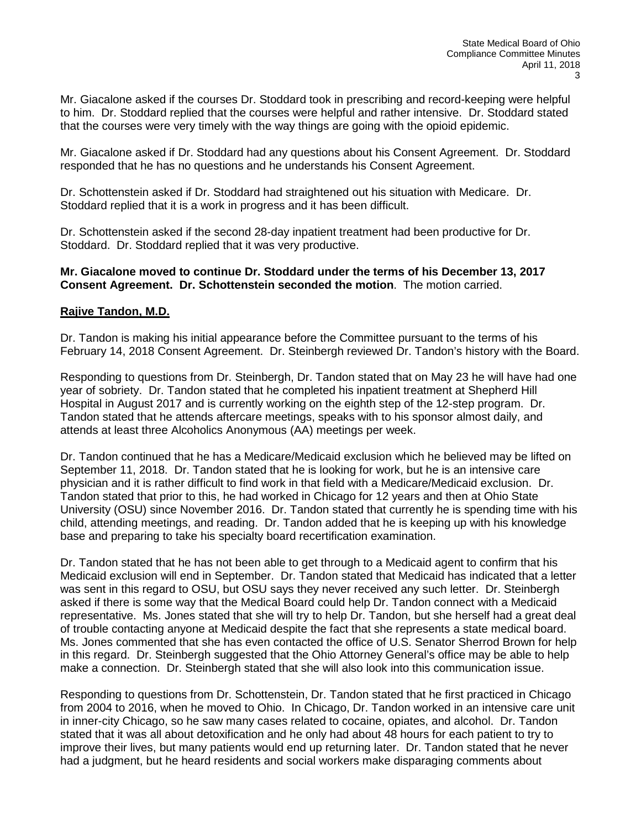Mr. Giacalone asked if the courses Dr. Stoddard took in prescribing and record-keeping were helpful to him. Dr. Stoddard replied that the courses were helpful and rather intensive. Dr. Stoddard stated that the courses were very timely with the way things are going with the opioid epidemic.

Mr. Giacalone asked if Dr. Stoddard had any questions about his Consent Agreement. Dr. Stoddard responded that he has no questions and he understands his Consent Agreement.

Dr. Schottenstein asked if Dr. Stoddard had straightened out his situation with Medicare. Dr. Stoddard replied that it is a work in progress and it has been difficult.

Dr. Schottenstein asked if the second 28-day inpatient treatment had been productive for Dr. Stoddard. Dr. Stoddard replied that it was very productive.

## **Mr. Giacalone moved to continue Dr. Stoddard under the terms of his December 13, 2017 Consent Agreement. Dr. Schottenstein seconded the motion**. The motion carried.

# **Rajive Tandon, M.D.**

Dr. Tandon is making his initial appearance before the Committee pursuant to the terms of his February 14, 2018 Consent Agreement. Dr. Steinbergh reviewed Dr. Tandon's history with the Board.

Responding to questions from Dr. Steinbergh, Dr. Tandon stated that on May 23 he will have had one year of sobriety. Dr. Tandon stated that he completed his inpatient treatment at Shepherd Hill Hospital in August 2017 and is currently working on the eighth step of the 12-step program. Dr. Tandon stated that he attends aftercare meetings, speaks with to his sponsor almost daily, and attends at least three Alcoholics Anonymous (AA) meetings per week.

Dr. Tandon continued that he has a Medicare/Medicaid exclusion which he believed may be lifted on September 11, 2018. Dr. Tandon stated that he is looking for work, but he is an intensive care physician and it is rather difficult to find work in that field with a Medicare/Medicaid exclusion. Dr. Tandon stated that prior to this, he had worked in Chicago for 12 years and then at Ohio State University (OSU) since November 2016. Dr. Tandon stated that currently he is spending time with his child, attending meetings, and reading. Dr. Tandon added that he is keeping up with his knowledge base and preparing to take his specialty board recertification examination.

Dr. Tandon stated that he has not been able to get through to a Medicaid agent to confirm that his Medicaid exclusion will end in September. Dr. Tandon stated that Medicaid has indicated that a letter was sent in this regard to OSU, but OSU says they never received any such letter. Dr. Steinbergh asked if there is some way that the Medical Board could help Dr. Tandon connect with a Medicaid representative. Ms. Jones stated that she will try to help Dr. Tandon, but she herself had a great deal of trouble contacting anyone at Medicaid despite the fact that she represents a state medical board. Ms. Jones commented that she has even contacted the office of U.S. Senator Sherrod Brown for help in this regard. Dr. Steinbergh suggested that the Ohio Attorney General's office may be able to help make a connection. Dr. Steinbergh stated that she will also look into this communication issue.

Responding to questions from Dr. Schottenstein, Dr. Tandon stated that he first practiced in Chicago from 2004 to 2016, when he moved to Ohio. In Chicago, Dr. Tandon worked in an intensive care unit in inner-city Chicago, so he saw many cases related to cocaine, opiates, and alcohol. Dr. Tandon stated that it was all about detoxification and he only had about 48 hours for each patient to try to improve their lives, but many patients would end up returning later. Dr. Tandon stated that he never had a judgment, but he heard residents and social workers make disparaging comments about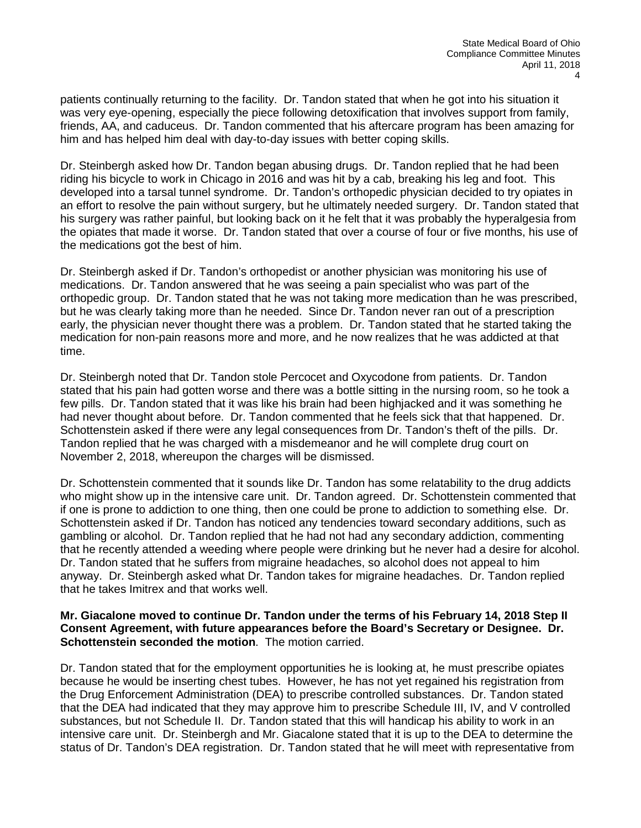patients continually returning to the facility. Dr. Tandon stated that when he got into his situation it was very eye-opening, especially the piece following detoxification that involves support from family, friends, AA, and caduceus. Dr. Tandon commented that his aftercare program has been amazing for him and has helped him deal with day-to-day issues with better coping skills.

Dr. Steinbergh asked how Dr. Tandon began abusing drugs. Dr. Tandon replied that he had been riding his bicycle to work in Chicago in 2016 and was hit by a cab, breaking his leg and foot. This developed into a tarsal tunnel syndrome. Dr. Tandon's orthopedic physician decided to try opiates in an effort to resolve the pain without surgery, but he ultimately needed surgery. Dr. Tandon stated that his surgery was rather painful, but looking back on it he felt that it was probably the hyperalgesia from the opiates that made it worse. Dr. Tandon stated that over a course of four or five months, his use of the medications got the best of him.

Dr. Steinbergh asked if Dr. Tandon's orthopedist or another physician was monitoring his use of medications. Dr. Tandon answered that he was seeing a pain specialist who was part of the orthopedic group. Dr. Tandon stated that he was not taking more medication than he was prescribed, but he was clearly taking more than he needed. Since Dr. Tandon never ran out of a prescription early, the physician never thought there was a problem. Dr. Tandon stated that he started taking the medication for non-pain reasons more and more, and he now realizes that he was addicted at that time.

Dr. Steinbergh noted that Dr. Tandon stole Percocet and Oxycodone from patients. Dr. Tandon stated that his pain had gotten worse and there was a bottle sitting in the nursing room, so he took a few pills. Dr. Tandon stated that it was like his brain had been highjacked and it was something he had never thought about before. Dr. Tandon commented that he feels sick that that happened. Dr. Schottenstein asked if there were any legal consequences from Dr. Tandon's theft of the pills. Dr. Tandon replied that he was charged with a misdemeanor and he will complete drug court on November 2, 2018, whereupon the charges will be dismissed.

Dr. Schottenstein commented that it sounds like Dr. Tandon has some relatability to the drug addicts who might show up in the intensive care unit. Dr. Tandon agreed. Dr. Schottenstein commented that if one is prone to addiction to one thing, then one could be prone to addiction to something else. Dr. Schottenstein asked if Dr. Tandon has noticed any tendencies toward secondary additions, such as gambling or alcohol. Dr. Tandon replied that he had not had any secondary addiction, commenting that he recently attended a weeding where people were drinking but he never had a desire for alcohol. Dr. Tandon stated that he suffers from migraine headaches, so alcohol does not appeal to him anyway. Dr. Steinbergh asked what Dr. Tandon takes for migraine headaches. Dr. Tandon replied that he takes Imitrex and that works well.

## **Mr. Giacalone moved to continue Dr. Tandon under the terms of his February 14, 2018 Step II Consent Agreement, with future appearances before the Board's Secretary or Designee. Dr. Schottenstein seconded the motion**. The motion carried.

Dr. Tandon stated that for the employment opportunities he is looking at, he must prescribe opiates because he would be inserting chest tubes. However, he has not yet regained his registration from the Drug Enforcement Administration (DEA) to prescribe controlled substances. Dr. Tandon stated that the DEA had indicated that they may approve him to prescribe Schedule III, IV, and V controlled substances, but not Schedule II. Dr. Tandon stated that this will handicap his ability to work in an intensive care unit. Dr. Steinbergh and Mr. Giacalone stated that it is up to the DEA to determine the status of Dr. Tandon's DEA registration. Dr. Tandon stated that he will meet with representative from